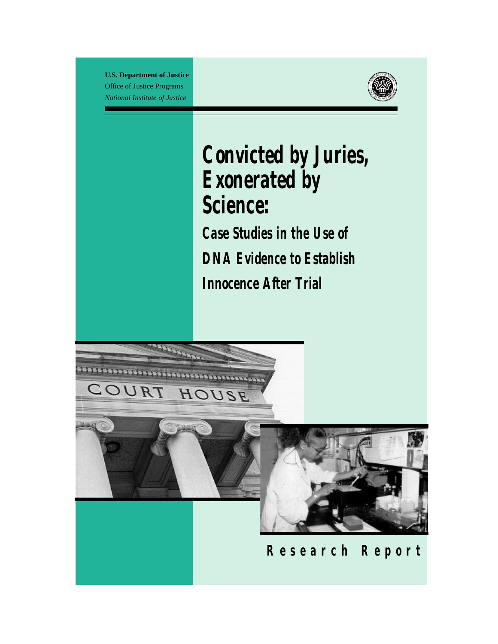**U.S. Department of Justice** Office of Justice Programs *National Institute of Justice*



# *Convicted by Juries, Exonerated by Science:*

*Case Studies in the Use of DNA Evidence to Establish Innocence After Trial*

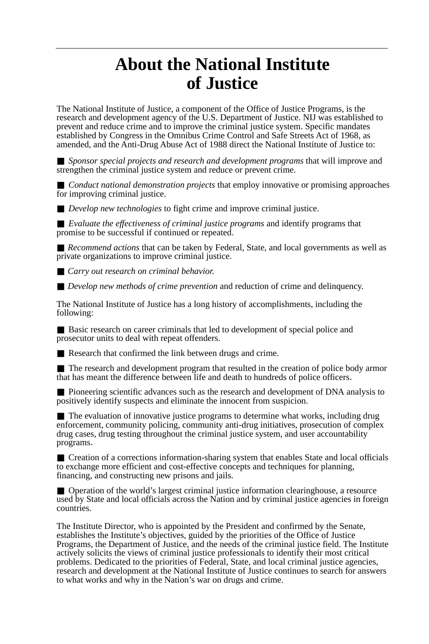# **About the National Institute of Justice**

The National Institute of Justice, a component of the Office of Justice Programs, is the research and development agency of the U.S. Department of Justice. NIJ was established to prevent and reduce crime and to improve the criminal justice system. Specific mandates established by Congress in the Omnibus Crime Control and Safe Streets Act of 1968, as amended, and the Anti-Drug Abuse Act of 1988 direct the National Institute of Justice to:

■ *Sponsor special projects and research and development programs* that will improve and strengthen the criminal justice system and reduce or prevent crime.

■ *Conduct national demonstration projects* that employ innovative or promising approaches for improving criminal justice.

■ *Develop new technologies* to fight crime and improve criminal justice.

■ *Evaluate the effectiveness of criminal justice programs* and identify programs that promise to be successful if continued or repeated.

■ *Recommend actions* that can be taken by Federal, State, and local governments as well as private organizations to improve criminal justice.

■ *Carry out research on criminal behavior.* 

■ *Develop new methods of crime prevention* and reduction of crime and delinquency.

The National Institute of Justice has a long history of accomplishments, including the following:

■ Basic research on career criminals that led to development of special police and prosecutor units to deal with repeat offenders.

■ Research that confirmed the link between drugs and crime.

■ The research and development program that resulted in the creation of police body armor that has meant the difference between life and death to hundreds of police officers.

■ Pioneering scientific advances such as the research and development of DNA analysis to positively identify suspects and eliminate the innocent from suspicion.

■ The evaluation of innovative justice programs to determine what works, including drug enforcement, community policing, community anti-drug initiatives, prosecution of complex drug cases, drug testing throughout the criminal justice system, and user accountability programs.

■ Creation of a corrections information-sharing system that enables State and local officials to exchange more efficient and cost-effective concepts and techniques for planning, financing, and constructing new prisons and jails.

■ Operation of the world's largest criminal justice information clearinghouse, a resource used by State and local officials across the Nation and by criminal justice agencies in foreign countries.

The Institute Director, who is appointed by the President and confirmed by the Senate, establishes the Institute's objectives, guided by the priorities of the Office of Justice Programs, the Department of Justice, and the needs of the criminal justice field. The Institute actively solicits the views of criminal justice professionals to identify their most critical problems. Dedicated to the priorities of Federal, State, and local criminal justice agencies, research and development at the National Institute of Justice continues to search for answers to what works and why in the Nation's war on drugs and crime.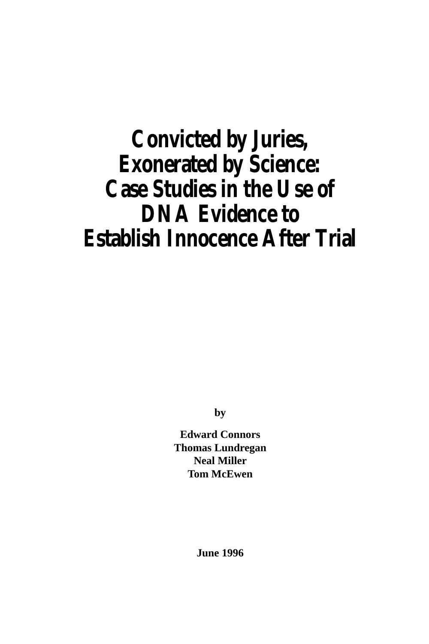# **Convicted by Juries, Exonerated by Science: Case Studies in the Use of DNA Evidence to Establish Innocence After Trial**

**by**

**Edward Connors Thomas Lundregan Neal Miller Tom McEwen**

**June 1996**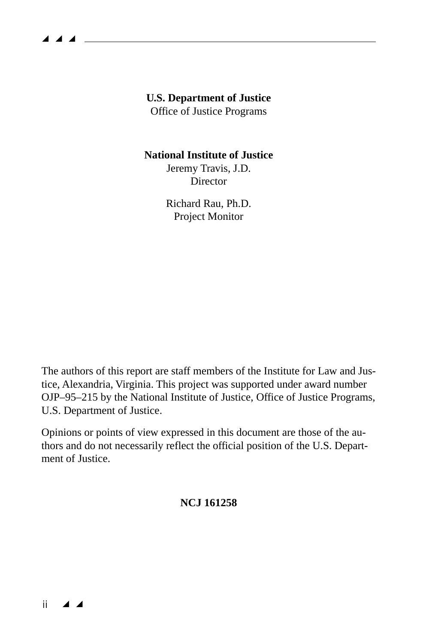#### **U.S. Department of Justice** Office of Justice Programs

#### **National Institute of Justice**

Jeremy Travis, J.D. **Director** 

Richard Rau, Ph.D. Project Monitor

The authors of this report are staff members of the Institute for Law and Justice, Alexandria, Virginia. This project was supported under award number OJP–95–215 by the National Institute of Justice, Office of Justice Programs, U.S. Department of Justice.

Opinions or points of view expressed in this document are those of the authors and do not necessarily reflect the official position of the U.S. Department of Justice.

#### **NCJ 161258**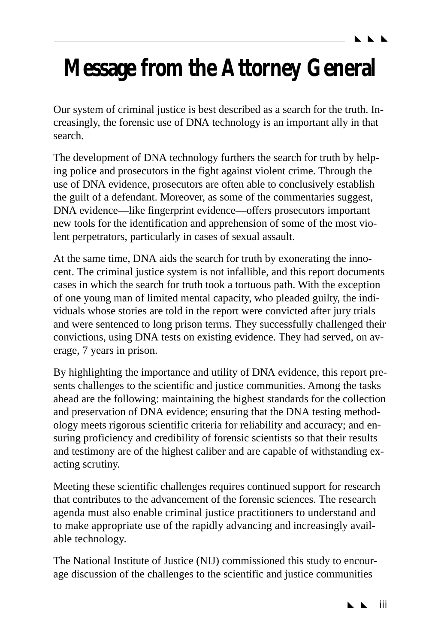# **Message from the Attorney General**

Our system of criminal justice is best described as a search for the truth. Increasingly, the forensic use of DNA technology is an important ally in that search.

The development of DNA technology furthers the search for truth by helping police and prosecutors in the fight against violent crime. Through the use of DNA evidence, prosecutors are often able to conclusively establish the guilt of a defendant. Moreover, as some of the commentaries suggest, DNA evidence—like fingerprint evidence—offers prosecutors important new tools for the identification and apprehension of some of the most violent perpetrators, particularly in cases of sexual assault.

At the same time, DNA aids the search for truth by exonerating the innocent. The criminal justice system is not infallible, and this report documents cases in which the search for truth took a tortuous path. With the exception of one young man of limited mental capacity, who pleaded guilty, the individuals whose stories are told in the report were convicted after jury trials and were sentenced to long prison terms. They successfully challenged their convictions, using DNA tests on existing evidence. They had served, on average, 7 years in prison.

By highlighting the importance and utility of DNA evidence, this report presents challenges to the scientific and justice communities. Among the tasks ahead are the following: maintaining the highest standards for the collection and preservation of DNA evidence; ensuring that the DNA testing methodology meets rigorous scientific criteria for reliability and accuracy; and ensuring proficiency and credibility of forensic scientists so that their results and testimony are of the highest caliber and are capable of withstanding exacting scrutiny.

Meeting these scientific challenges requires continued support for research that contributes to the advancement of the forensic sciences. The research agenda must also enable criminal justice practitioners to understand and to make appropriate use of the rapidly advancing and increasingly available technology.

The National Institute of Justice (NIJ) commissioned this study to encourage discussion of the challenges to the scientific and justice communities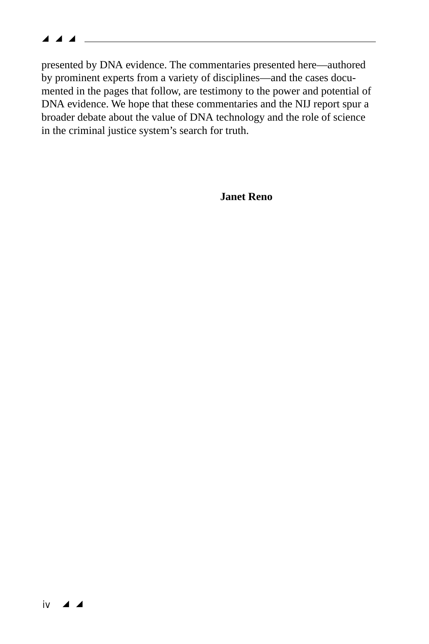#### $\blacktriangle$   $\blacktriangle$   $\blacktriangle$

presented by DNA evidence. The commentaries presented here—authored by prominent experts from a variety of disciplines—and the cases documented in the pages that follow, are testimony to the power and potential of DNA evidence. We hope that these commentaries and the NIJ report spur a broader debate about the value of DNA technology and the role of science in the criminal justice system's search for truth.

**Janet Reno**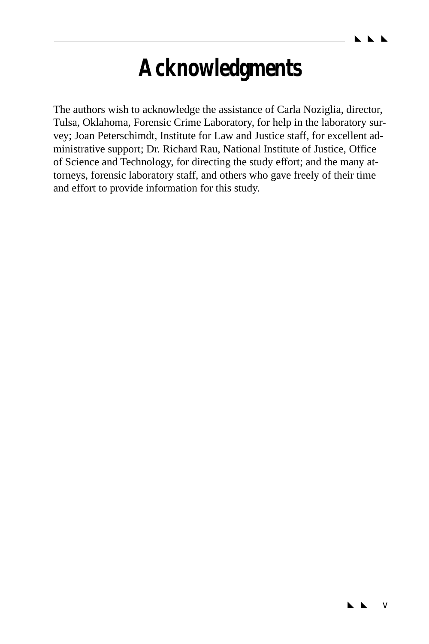# **Acknowledgments**

The authors wish to acknowledge the assistance of Carla Noziglia, director, Tulsa, Oklahoma, Forensic Crime Laboratory, for help in the laboratory survey; Joan Peterschimdt, Institute for Law and Justice staff, for excellent administrative support; Dr. Richard Rau, National Institute of Justice, Office of Science and Technology, for directing the study effort; and the many attorneys, forensic laboratory staff, and others who gave freely of their time and effort to provide information for this study.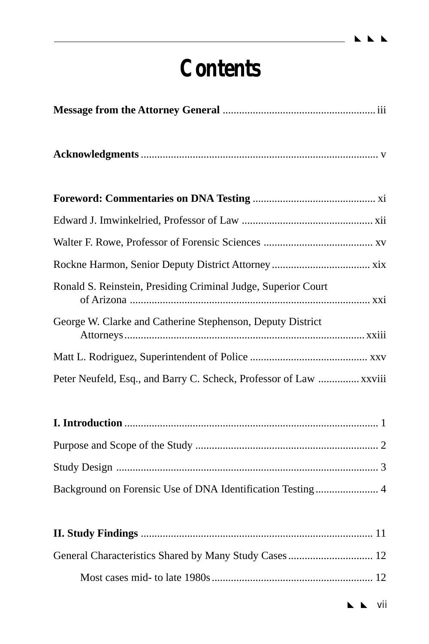# **Contents**

| Ronald S. Reinstein, Presiding Criminal Judge, Superior Court      |
|--------------------------------------------------------------------|
| George W. Clarke and Catherine Stephenson, Deputy District         |
|                                                                    |
| Peter Neufeld, Esq., and Barry C. Scheck, Professor of Law  xxviii |
|                                                                    |
|                                                                    |
|                                                                    |
| Background on Forensic Use of DNA Identification Testing 4         |
|                                                                    |
| General Characteristics Shared by Many Study Cases  12             |
|                                                                    |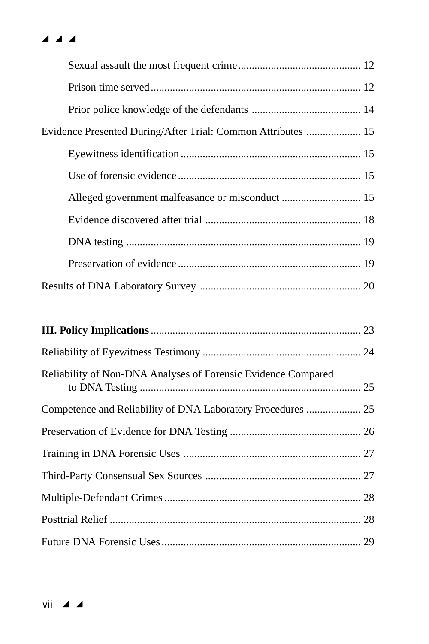| <u> 1989 - Andrea Station Barbara, amerikan personal (h. 1989).</u> |
|---------------------------------------------------------------------|
|                                                                     |
|                                                                     |
|                                                                     |
| Evidence Presented During/After Trial: Common Attributes  15        |
|                                                                     |
|                                                                     |
| Alleged government malfeasance or misconduct  15                    |
|                                                                     |
|                                                                     |
|                                                                     |
|                                                                     |

| Reliability of Non-DNA Analyses of Forensic Evidence Compared |  |
|---------------------------------------------------------------|--|
| Competence and Reliability of DNA Laboratory Procedures  25   |  |
|                                                               |  |
|                                                               |  |
|                                                               |  |
|                                                               |  |
|                                                               |  |
|                                                               |  |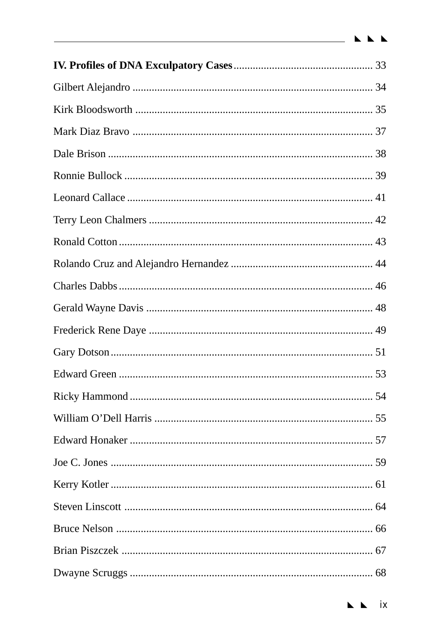#### K.K.K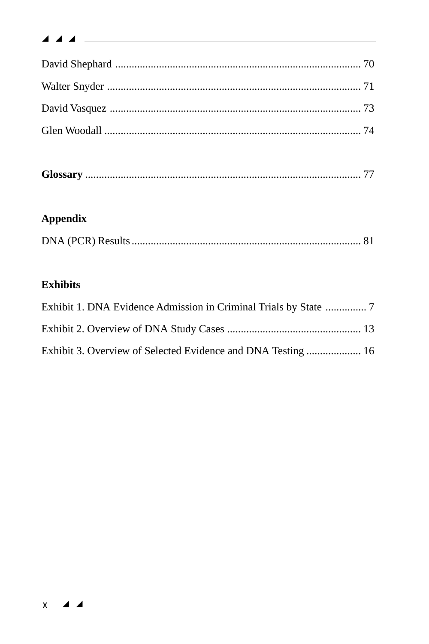### $\overline{111}$

| <b>Glossary</b> |
|-----------------|
|-----------------|

### **Appendix**

|--|--|--|--|--|

### **Exhibits**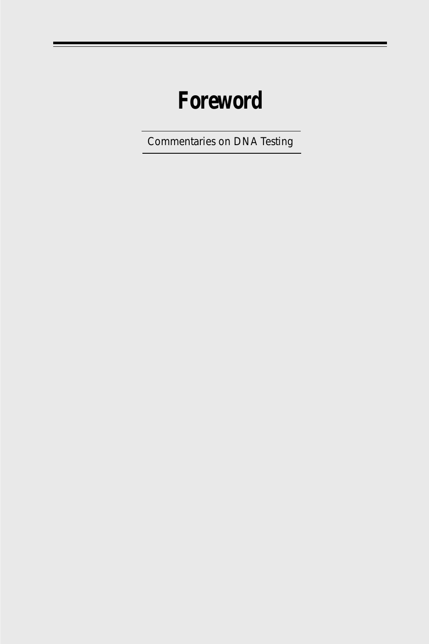# **Foreword**

Commentaries on DNA Testing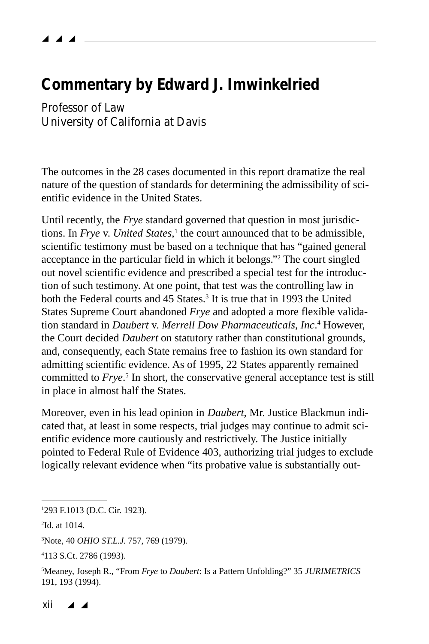## **Commentary by Edward J. Imwinkelried**

Professor of Law University of California at Davis

The outcomes in the 28 cases documented in this report dramatize the real nature of the question of standards for determining the admissibility of scientific evidence in the United States.

Until recently, the *Frye* standard governed that question in most jurisdictions. In *Frye* v. *United States*,<sup>1</sup> the court announced that to be admissible, scientific testimony must be based on a technique that has "gained general acceptance in the particular field in which it belongs."2 The court singled out novel scientific evidence and prescribed a special test for the introduction of such testimony. At one point, that test was the controlling law in both the Federal courts and 45 States.<sup>3</sup> It is true that in 1993 the United States Supreme Court abandoned *Frye* and adopted a more flexible validation standard in *Daubert* v. *Merrell Dow Pharmaceuticals, Inc*. 4 However, the Court decided *Daubert* on statutory rather than constitutional grounds, and, consequently, each State remains free to fashion its own standard for admitting scientific evidence. As of 1995, 22 States apparently remained committed to *Frye*. 5 In short, the conservative general acceptance test is still in place in almost half the States.

Moreover, even in his lead opinion in *Daubert*, Mr. Justice Blackmun indicated that, at least in some respects, trial judges may continue to admit scientific evidence more cautiously and restrictively. The Justice initially pointed to Federal Rule of Evidence 403, authorizing trial judges to exclude logically relevant evidence when "its probative value is substantially out-

xii  $\blacktriangle$ 

<sup>1</sup> 293 F.1013 (D.C. Cir. 1923).

<sup>2</sup> Id. at 1014.

<sup>3</sup> Note, 40 *OHIO ST.L.J.* 757, 769 (1979).

<sup>4</sup> 113 S.Ct. 2786 (1993).

<sup>5</sup> Meaney, Joseph R., "From *Frye* to *Daubert*: Is a Pattern Unfolding?" 35 *JURIMETRICS* 191, 193 (1994).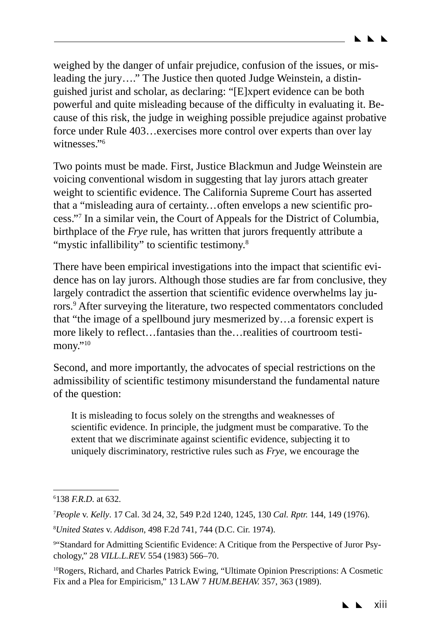weighed by the danger of unfair prejudice, confusion of the issues, or misleading the jury…." The Justice then quoted Judge Weinstein, a distinguished jurist and scholar, as declaring: "[E]xpert evidence can be both powerful and quite misleading because of the difficulty in evaluating it. Because of this risk, the judge in weighing possible prejudice against probative force under Rule 403…exercises more control over experts than over lay witnesses."<sup>6</sup>

Two points must be made. First, Justice Blackmun and Judge Weinstein are voicing conventional wisdom in suggesting that lay jurors attach greater weight to scientific evidence. The California Supreme Court has asserted that a "misleading aura of certainty...often envelops a new scientific process."7 In a similar vein, the Court of Appeals for the District of Columbia, birthplace of the *Frye* rule, has written that jurors frequently attribute a "mystic infallibility" to scientific testimony.<sup>8</sup>

There have been empirical investigations into the impact that scientific evidence has on lay jurors. Although those studies are far from conclusive, they largely contradict the assertion that scientific evidence overwhelms lay jurors.9 After surveying the literature, two respected commentators concluded that "the image of a spellbound jury mesmerized by…a forensic expert is more likely to reflect…fantasies than the…realities of courtroom testimony."<sup>10</sup>

Second, and more importantly, the advocates of special restrictions on the admissibility of scientific testimony misunderstand the fundamental nature of the question:

It is misleading to focus solely on the strengths and weaknesses of scientific evidence. In principle, the judgment must be comparative. To the extent that we discriminate against scientific evidence, subjecting it to uniquely discriminatory, restrictive rules such as *Frye*, we encourage the

<sup>6</sup> 138 *F.R.D.* at 632.

<sup>7</sup> *People* v. *Kelly*. 17 Cal. 3d 24, 32, 549 P.2d 1240, 1245, 130 *Cal. Rptr.* 144, 149 (1976).

<sup>8</sup> *United States* v. *Addison*, 498 F.2d 741, 744 (D.C. Cir. 1974).

<sup>9</sup> "Standard for Admitting Scientific Evidence: A Critique from the Perspective of Juror Psychology," 28 *VILL.L.REV.* 554 (1983) 566–70.

<sup>10</sup>Rogers, Richard, and Charles Patrick Ewing, "Ultimate Opinion Prescriptions: A Cosmetic Fix and a Plea for Empiricism," 13 LAW 7 *HUM.BEHAV.* 357, 363 (1989).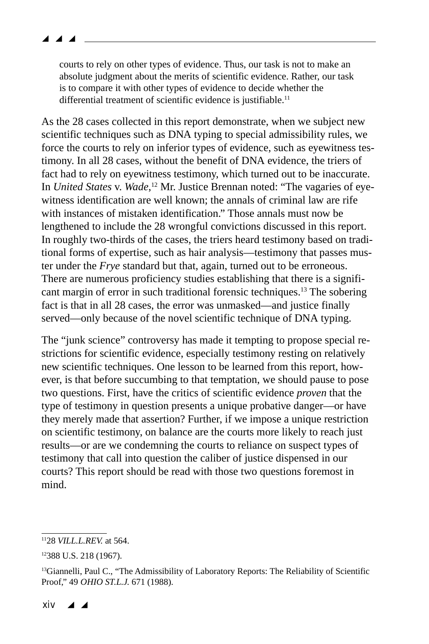courts to rely on other types of evidence. Thus, our task is not to make an absolute judgment about the merits of scientific evidence. Rather, our task is to compare it with other types of evidence to decide whether the differential treatment of scientific evidence is justifiable.<sup>11</sup>

As the 28 cases collected in this report demonstrate, when we subject new scientific techniques such as DNA typing to special admissibility rules, we force the courts to rely on inferior types of evidence, such as eyewitness testimony. In all 28 cases, without the benefit of DNA evidence, the triers of fact had to rely on eyewitness testimony, which turned out to be inaccurate. In *United States* v. *Wade*,<sup>12</sup> Mr. Justice Brennan noted: "The vagaries of eyewitness identification are well known; the annals of criminal law are rife with instances of mistaken identification." Those annals must now be lengthened to include the 28 wrongful convictions discussed in this report. In roughly two-thirds of the cases, the triers heard testimony based on traditional forms of expertise, such as hair analysis—testimony that passes muster under the *Frye* standard but that, again, turned out to be erroneous. There are numerous proficiency studies establishing that there is a significant margin of error in such traditional forensic techniques.13 The sobering fact is that in all 28 cases, the error was unmasked—and justice finally served—only because of the novel scientific technique of DNA typing.

The "junk science" controversy has made it tempting to propose special restrictions for scientific evidence, especially testimony resting on relatively new scientific techniques. One lesson to be learned from this report, however, is that before succumbing to that temptation, we should pause to pose two questions. First, have the critics of scientific evidence *proven* that the type of testimony in question presents a unique probative danger—or have they merely made that assertion? Further, if we impose a unique restriction on scientific testimony, on balance are the courts more likely to reach just results—or are we condemning the courts to reliance on suspect types of testimony that call into question the caliber of justice dispensed in our courts? This report should be read with those two questions foremost in mind.

<sup>1128</sup> *VILL.L.REV.* at 564.

<sup>12388</sup> U.S. 218 (1967).

<sup>&</sup>lt;sup>13</sup>Giannelli, Paul C., "The Admissibility of Laboratory Reports: The Reliability of Scientific Proof," 49 *OHIO ST.L.J.* 671 (1988).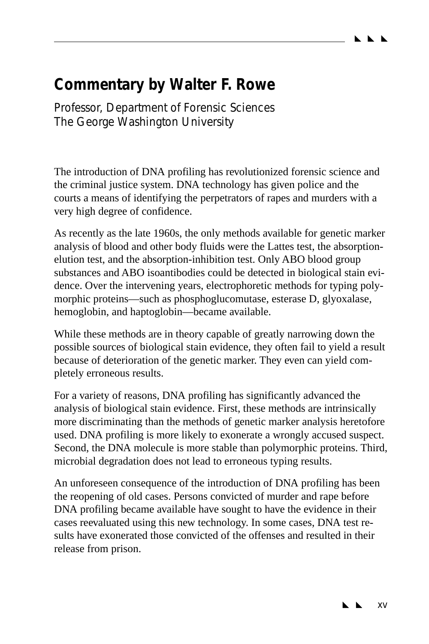## **Commentary by Walter F. Rowe**

Professor, Department of Forensic Sciences The George Washington University

The introduction of DNA profiling has revolutionized forensic science and the criminal justice system. DNA technology has given police and the courts a means of identifying the perpetrators of rapes and murders with a very high degree of confidence.

As recently as the late 1960s, the only methods available for genetic marker analysis of blood and other body fluids were the Lattes test, the absorptionelution test, and the absorption-inhibition test. Only ABO blood group substances and ABO isoantibodies could be detected in biological stain evidence. Over the intervening years, electrophoretic methods for typing polymorphic proteins—such as phosphoglucomutase, esterase D, glyoxalase, hemoglobin, and haptoglobin—became available.

While these methods are in theory capable of greatly narrowing down the possible sources of biological stain evidence, they often fail to yield a result because of deterioration of the genetic marker. They even can yield completely erroneous results.

For a variety of reasons, DNA profiling has significantly advanced the analysis of biological stain evidence. First, these methods are intrinsically more discriminating than the methods of genetic marker analysis heretofore used. DNA profiling is more likely to exonerate a wrongly accused suspect. Second, the DNA molecule is more stable than polymorphic proteins. Third, microbial degradation does not lead to erroneous typing results.

An unforeseen consequence of the introduction of DNA profiling has been the reopening of old cases. Persons convicted of murder and rape before DNA profiling became available have sought to have the evidence in their cases reevaluated using this new technology. In some cases, DNA test results have exonerated those convicted of the offenses and resulted in their release from prison.

xv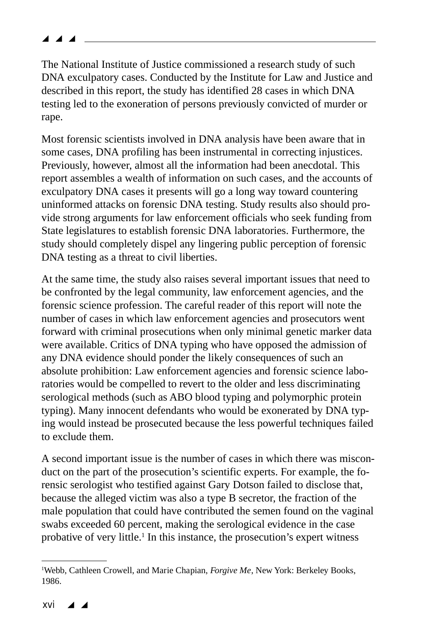The National Institute of Justice commissioned a research study of such DNA exculpatory cases. Conducted by the Institute for Law and Justice and described in this report, the study has identified 28 cases in which DNA testing led to the exoneration of persons previously convicted of murder or rape.

Most forensic scientists involved in DNA analysis have been aware that in some cases, DNA profiling has been instrumental in correcting injustices. Previously, however, almost all the information had been anecdotal. This report assembles a wealth of information on such cases, and the accounts of exculpatory DNA cases it presents will go a long way toward countering uninformed attacks on forensic DNA testing. Study results also should provide strong arguments for law enforcement officials who seek funding from State legislatures to establish forensic DNA laboratories. Furthermore, the study should completely dispel any lingering public perception of forensic DNA testing as a threat to civil liberties.

At the same time, the study also raises several important issues that need to be confronted by the legal community, law enforcement agencies, and the forensic science profession. The careful reader of this report will note the number of cases in which law enforcement agencies and prosecutors went forward with criminal prosecutions when only minimal genetic marker data were available. Critics of DNA typing who have opposed the admission of any DNA evidence should ponder the likely consequences of such an absolute prohibition: Law enforcement agencies and forensic science laboratories would be compelled to revert to the older and less discriminating serological methods (such as ABO blood typing and polymorphic protein typing). Many innocent defendants who would be exonerated by DNA typing would instead be prosecuted because the less powerful techniques failed to exclude them.

A second important issue is the number of cases in which there was misconduct on the part of the prosecution's scientific experts. For example, the forensic serologist who testified against Gary Dotson failed to disclose that, because the alleged victim was also a type B secretor, the fraction of the male population that could have contributed the semen found on the vaginal swabs exceeded 60 percent, making the serological evidence in the case probative of very little.<sup>1</sup> In this instance, the prosecution's expert witness

<sup>&</sup>lt;sup>1</sup>Webb, Cathleen Crowell, and Marie Chapian, *Forgive Me*, New York: Berkeley Books, 1986.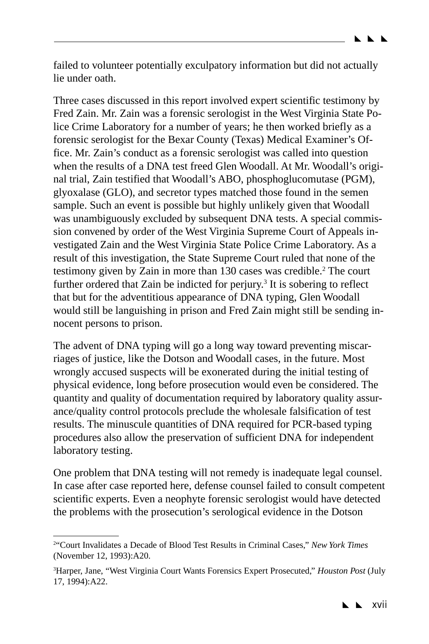failed to volunteer potentially exculpatory information but did not actually lie under oath.

Three cases discussed in this report involved expert scientific testimony by Fred Zain. Mr. Zain was a forensic serologist in the West Virginia State Police Crime Laboratory for a number of years; he then worked briefly as a forensic serologist for the Bexar County (Texas) Medical Examiner's Office. Mr. Zain's conduct as a forensic serologist was called into question when the results of a DNA test freed Glen Woodall. At Mr. Woodall's original trial, Zain testified that Woodall's ABO, phosphoglucomutase (PGM), glyoxalase (GLO), and secretor types matched those found in the semen sample. Such an event is possible but highly unlikely given that Woodall was unambiguously excluded by subsequent DNA tests. A special commission convened by order of the West Virginia Supreme Court of Appeals investigated Zain and the West Virginia State Police Crime Laboratory. As a result of this investigation, the State Supreme Court ruled that none of the testimony given by Zain in more than 130 cases was credible.<sup>2</sup> The court further ordered that Zain be indicted for perjury.<sup>3</sup> It is sobering to reflect that but for the adventitious appearance of DNA typing, Glen Woodall would still be languishing in prison and Fred Zain might still be sending innocent persons to prison.

The advent of DNA typing will go a long way toward preventing miscarriages of justice, like the Dotson and Woodall cases, in the future. Most wrongly accused suspects will be exonerated during the initial testing of physical evidence, long before prosecution would even be considered. The quantity and quality of documentation required by laboratory quality assurance/quality control protocols preclude the wholesale falsification of test results. The minuscule quantities of DNA required for PCR-based typing procedures also allow the preservation of sufficient DNA for independent laboratory testing.

One problem that DNA testing will not remedy is inadequate legal counsel. In case after case reported here, defense counsel failed to consult competent scientific experts. Even a neophyte forensic serologist would have detected the problems with the prosecution's serological evidence in the Dotson

<sup>2</sup> "Court Invalidates a Decade of Blood Test Results in Criminal Cases," *New York Times* (November 12, 1993):A20.

<sup>3</sup> Harper, Jane, "West Virginia Court Wants Forensics Expert Prosecuted," *Houston Post* (July 17, 1994):A22.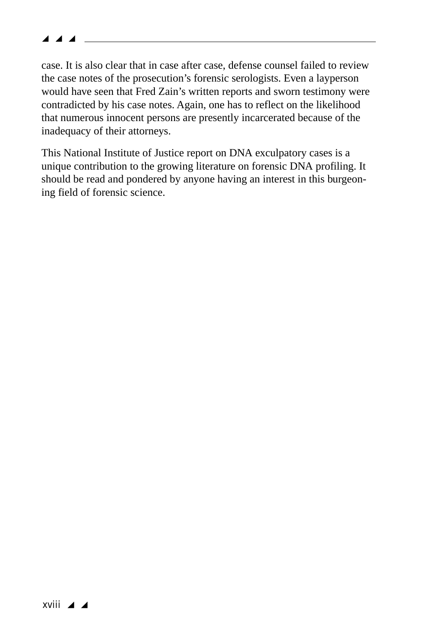#### $\blacktriangle$   $\blacktriangle$   $\blacktriangle$

case. It is also clear that in case after case, defense counsel failed to review the case notes of the prosecution's forensic serologists. Even a layperson would have seen that Fred Zain's written reports and sworn testimony were contradicted by his case notes. Again, one has to reflect on the likelihood that numerous innocent persons are presently incarcerated because of the inadequacy of their attorneys.

This National Institute of Justice report on DNA exculpatory cases is a unique contribution to the growing literature on forensic DNA profiling. It should be read and pondered by anyone having an interest in this burgeoning field of forensic science.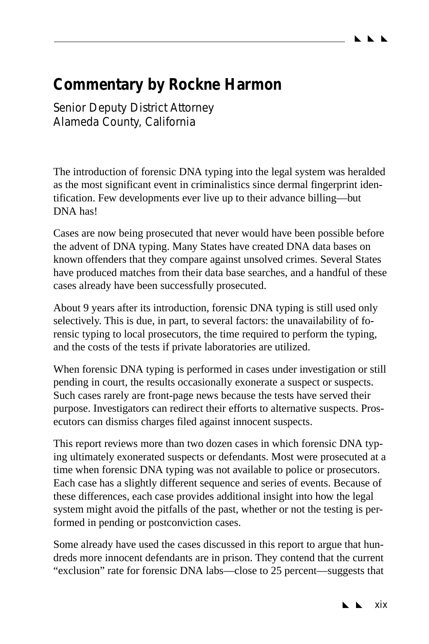## **Commentary by Rockne Harmon**

Senior Deputy District Attorney Alameda County, California

The introduction of forensic DNA typing into the legal system was heralded as the most significant event in criminalistics since dermal fingerprint identification. Few developments ever live up to their advance billing—but DNA has!

Cases are now being prosecuted that never would have been possible before the advent of DNA typing. Many States have created DNA data bases on known offenders that they compare against unsolved crimes. Several States have produced matches from their data base searches, and a handful of these cases already have been successfully prosecuted.

About 9 years after its introduction, forensic DNA typing is still used only selectively. This is due, in part, to several factors: the unavailability of forensic typing to local prosecutors, the time required to perform the typing, and the costs of the tests if private laboratories are utilized.

When forensic DNA typing is performed in cases under investigation or still pending in court, the results occasionally exonerate a suspect or suspects. Such cases rarely are front-page news because the tests have served their purpose. Investigators can redirect their efforts to alternative suspects. Prosecutors can dismiss charges filed against innocent suspects.

This report reviews more than two dozen cases in which forensic DNA typing ultimately exonerated suspects or defendants. Most were prosecuted at a time when forensic DNA typing was not available to police or prosecutors. Each case has a slightly different sequence and series of events. Because of these differences, each case provides additional insight into how the legal system might avoid the pitfalls of the past, whether or not the testing is performed in pending or postconviction cases.

Some already have used the cases discussed in this report to argue that hundreds more innocent defendants are in prison. They contend that the current "exclusion" rate for forensic DNA labs—close to 25 percent—suggests that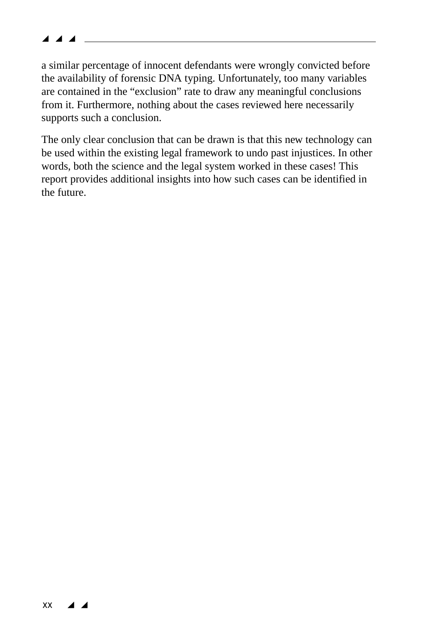### $\blacktriangle$   $\blacktriangle$   $\blacktriangle$

a similar percentage of innocent defendants were wrongly convicted before the availability of forensic DNA typing. Unfortunately, too many variables are contained in the "exclusion" rate to draw any meaningful conclusions from it. Furthermore, nothing about the cases reviewed here necessarily supports such a conclusion.

The only clear conclusion that can be drawn is that this new technology can be used within the existing legal framework to undo past injustices. In other words, both the science and the legal system worked in these cases! This report provides additional insights into how such cases can be identified in the future.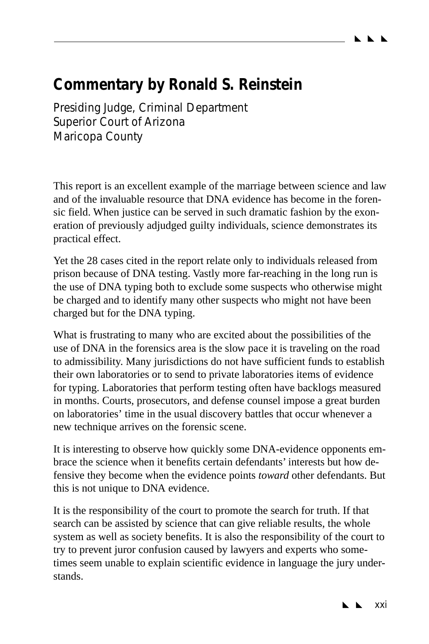## **Commentary by Ronald S. Reinstein**

Presiding Judge, Criminal Department Superior Court of Arizona Maricopa County

This report is an excellent example of the marriage between science and law and of the invaluable resource that DNA evidence has become in the forensic field. When justice can be served in such dramatic fashion by the exoneration of previously adjudged guilty individuals, science demonstrates its practical effect.

Yet the 28 cases cited in the report relate only to individuals released from prison because of DNA testing. Vastly more far-reaching in the long run is the use of DNA typing both to exclude some suspects who otherwise might be charged and to identify many other suspects who might not have been charged but for the DNA typing.

What is frustrating to many who are excited about the possibilities of the use of DNA in the forensics area is the slow pace it is traveling on the road to admissibility. Many jurisdictions do not have sufficient funds to establish their own laboratories or to send to private laboratories items of evidence for typing. Laboratories that perform testing often have backlogs measured in months. Courts, prosecutors, and defense counsel impose a great burden on laboratories' time in the usual discovery battles that occur whenever a new technique arrives on the forensic scene.

It is interesting to observe how quickly some DNA-evidence opponents embrace the science when it benefits certain defendants' interests but how defensive they become when the evidence points *toward* other defendants. But this is not unique to DNA evidence.

It is the responsibility of the court to promote the search for truth. If that search can be assisted by science that can give reliable results, the whole system as well as society benefits. It is also the responsibility of the court to try to prevent juror confusion caused by lawyers and experts who sometimes seem unable to explain scientific evidence in language the jury understands.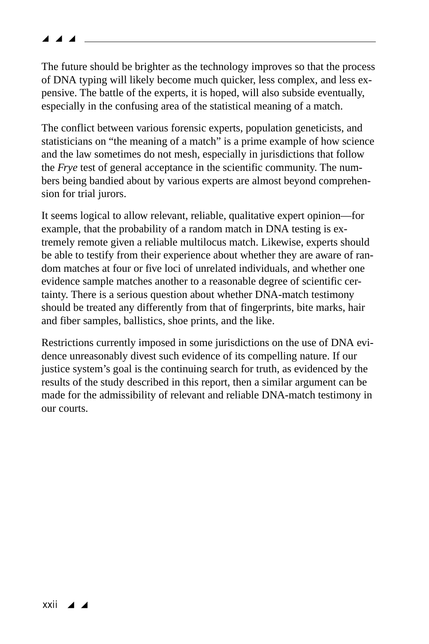The future should be brighter as the technology improves so that the process of DNA typing will likely become much quicker, less complex, and less expensive. The battle of the experts, it is hoped, will also subside eventually, especially in the confusing area of the statistical meaning of a match.

The conflict between various forensic experts, population geneticists, and statisticians on "the meaning of a match" is a prime example of how science and the law sometimes do not mesh, especially in jurisdictions that follow the *Frye* test of general acceptance in the scientific community. The numbers being bandied about by various experts are almost beyond comprehension for trial jurors.

It seems logical to allow relevant, reliable, qualitative expert opinion—for example, that the probability of a random match in DNA testing is extremely remote given a reliable multilocus match. Likewise, experts should be able to testify from their experience about whether they are aware of random matches at four or five loci of unrelated individuals, and whether one evidence sample matches another to a reasonable degree of scientific certainty. There is a serious question about whether DNA-match testimony should be treated any differently from that of fingerprints, bite marks, hair and fiber samples, ballistics, shoe prints, and the like.

Restrictions currently imposed in some jurisdictions on the use of DNA evidence unreasonably divest such evidence of its compelling nature. If our justice system's goal is the continuing search for truth, as evidenced by the results of the study described in this report, then a similar argument can be made for the admissibility of relevant and reliable DNA-match testimony in our courts.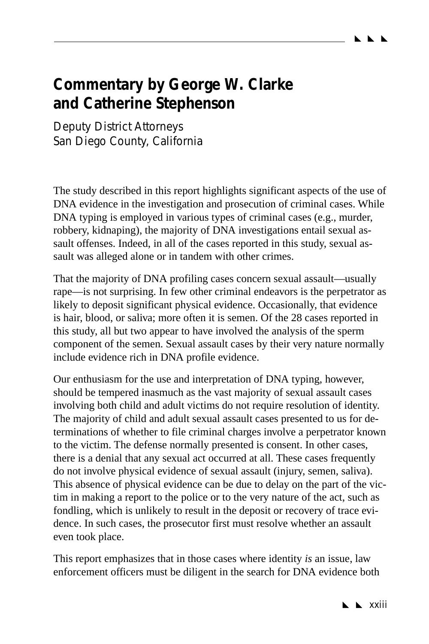## **Commentary by George W. Clarke and Catherine Stephenson**

Deputy District Attorneys San Diego County, California

The study described in this report highlights significant aspects of the use of DNA evidence in the investigation and prosecution of criminal cases. While DNA typing is employed in various types of criminal cases (e.g., murder, robbery, kidnaping), the majority of DNA investigations entail sexual assault offenses. Indeed, in all of the cases reported in this study, sexual assault was alleged alone or in tandem with other crimes.

That the majority of DNA profiling cases concern sexual assault—usually rape—is not surprising. In few other criminal endeavors is the perpetrator as likely to deposit significant physical evidence. Occasionally, that evidence is hair, blood, or saliva; more often it is semen. Of the 28 cases reported in this study, all but two appear to have involved the analysis of the sperm component of the semen. Sexual assault cases by their very nature normally include evidence rich in DNA profile evidence.

Our enthusiasm for the use and interpretation of DNA typing, however, should be tempered inasmuch as the vast majority of sexual assault cases involving both child and adult victims do not require resolution of identity. The majority of child and adult sexual assault cases presented to us for determinations of whether to file criminal charges involve a perpetrator known to the victim. The defense normally presented is consent. In other cases, there is a denial that any sexual act occurred at all. These cases frequently do not involve physical evidence of sexual assault (injury, semen, saliva). This absence of physical evidence can be due to delay on the part of the victim in making a report to the police or to the very nature of the act, such as fondling, which is unlikely to result in the deposit or recovery of trace evidence. In such cases, the prosecutor first must resolve whether an assault even took place.

This report emphasizes that in those cases where identity *is* an issue, law enforcement officers must be diligent in the search for DNA evidence both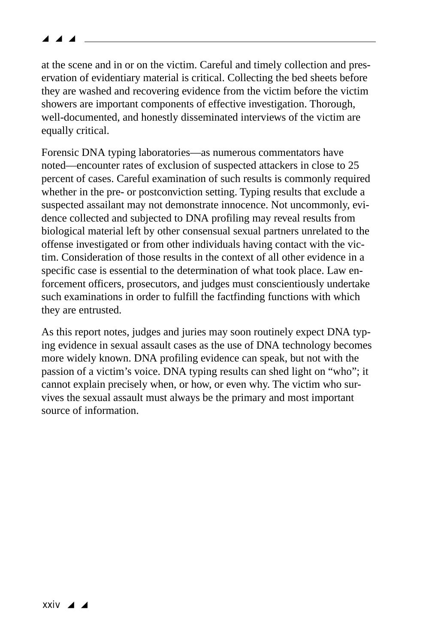at the scene and in or on the victim. Careful and timely collection and preservation of evidentiary material is critical. Collecting the bed sheets before they are washed and recovering evidence from the victim before the victim showers are important components of effective investigation. Thorough, well-documented, and honestly disseminated interviews of the victim are equally critical.

Forensic DNA typing laboratories—as numerous commentators have noted—encounter rates of exclusion of suspected attackers in close to 25 percent of cases. Careful examination of such results is commonly required whether in the pre- or postconviction setting. Typing results that exclude a suspected assailant may not demonstrate innocence. Not uncommonly, evidence collected and subjected to DNA profiling may reveal results from biological material left by other consensual sexual partners unrelated to the offense investigated or from other individuals having contact with the victim. Consideration of those results in the context of all other evidence in a specific case is essential to the determination of what took place. Law enforcement officers, prosecutors, and judges must conscientiously undertake such examinations in order to fulfill the factfinding functions with which they are entrusted.

As this report notes, judges and juries may soon routinely expect DNA typing evidence in sexual assault cases as the use of DNA technology becomes more widely known. DNA profiling evidence can speak, but not with the passion of a victim's voice. DNA typing results can shed light on "who"; it cannot explain precisely when, or how, or even why. The victim who survives the sexual assault must always be the primary and most important source of information.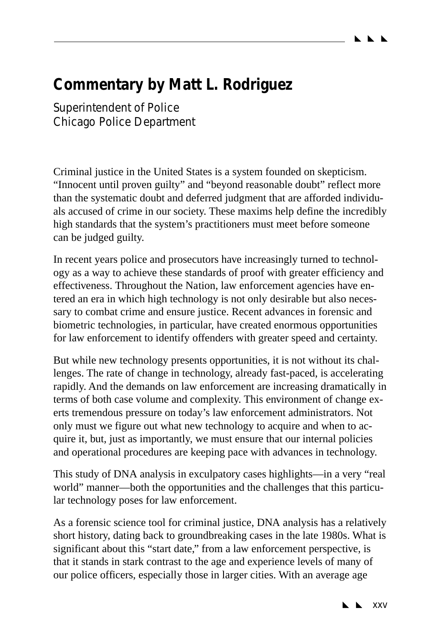## **Commentary by Matt L. Rodriguez**

Superintendent of Police Chicago Police Department

Criminal justice in the United States is a system founded on skepticism. "Innocent until proven guilty" and "beyond reasonable doubt" reflect more than the systematic doubt and deferred judgment that are afforded individuals accused of crime in our society. These maxims help define the incredibly high standards that the system's practitioners must meet before someone can be judged guilty.

In recent years police and prosecutors have increasingly turned to technology as a way to achieve these standards of proof with greater efficiency and effectiveness. Throughout the Nation, law enforcement agencies have entered an era in which high technology is not only desirable but also necessary to combat crime and ensure justice. Recent advances in forensic and biometric technologies, in particular, have created enormous opportunities for law enforcement to identify offenders with greater speed and certainty.

But while new technology presents opportunities, it is not without its challenges. The rate of change in technology, already fast-paced, is accelerating rapidly. And the demands on law enforcement are increasing dramatically in terms of both case volume and complexity. This environment of change exerts tremendous pressure on today's law enforcement administrators. Not only must we figure out what new technology to acquire and when to acquire it, but, just as importantly, we must ensure that our internal policies and operational procedures are keeping pace with advances in technology.

This study of DNA analysis in exculpatory cases highlights—in a very "real world" manner—both the opportunities and the challenges that this particular technology poses for law enforcement.

As a forensic science tool for criminal justice, DNA analysis has a relatively short history, dating back to groundbreaking cases in the late 1980s. What is significant about this "start date," from a law enforcement perspective, is that it stands in stark contrast to the age and experience levels of many of our police officers, especially those in larger cities. With an average age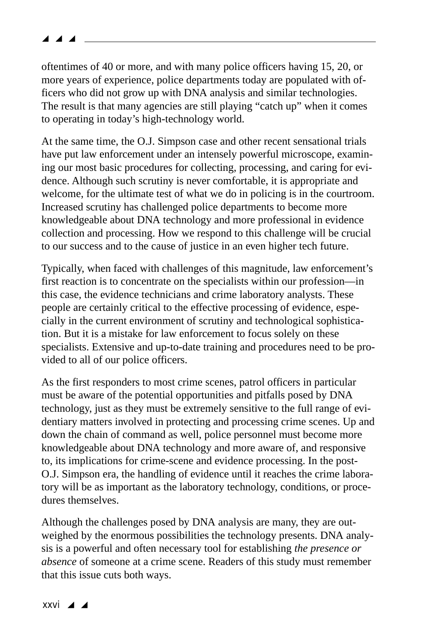oftentimes of 40 or more, and with many police officers having 15, 20, or more years of experience, police departments today are populated with officers who did not grow up with DNA analysis and similar technologies. The result is that many agencies are still playing "catch up" when it comes to operating in today's high-technology world.

At the same time, the O.J. Simpson case and other recent sensational trials have put law enforcement under an intensely powerful microscope, examining our most basic procedures for collecting, processing, and caring for evidence. Although such scrutiny is never comfortable, it is appropriate and welcome, for the ultimate test of what we do in policing is in the courtroom. Increased scrutiny has challenged police departments to become more knowledgeable about DNA technology and more professional in evidence collection and processing. How we respond to this challenge will be crucial to our success and to the cause of justice in an even higher tech future.

Typically, when faced with challenges of this magnitude, law enforcement's first reaction is to concentrate on the specialists within our profession—in this case, the evidence technicians and crime laboratory analysts. These people are certainly critical to the effective processing of evidence, especially in the current environment of scrutiny and technological sophistication. But it is a mistake for law enforcement to focus solely on these specialists. Extensive and up-to-date training and procedures need to be provided to all of our police officers.

As the first responders to most crime scenes, patrol officers in particular must be aware of the potential opportunities and pitfalls posed by DNA technology, just as they must be extremely sensitive to the full range of evidentiary matters involved in protecting and processing crime scenes. Up and down the chain of command as well, police personnel must become more knowledgeable about DNA technology and more aware of, and responsive to, its implications for crime-scene and evidence processing. In the post-O.J. Simpson era, the handling of evidence until it reaches the crime laboratory will be as important as the laboratory technology, conditions, or procedures themselves.

Although the challenges posed by DNA analysis are many, they are outweighed by the enormous possibilities the technology presents. DNA analysis is a powerful and often necessary tool for establishing *the presence or absence* of someone at a crime scene. Readers of this study must remember that this issue cuts both ways.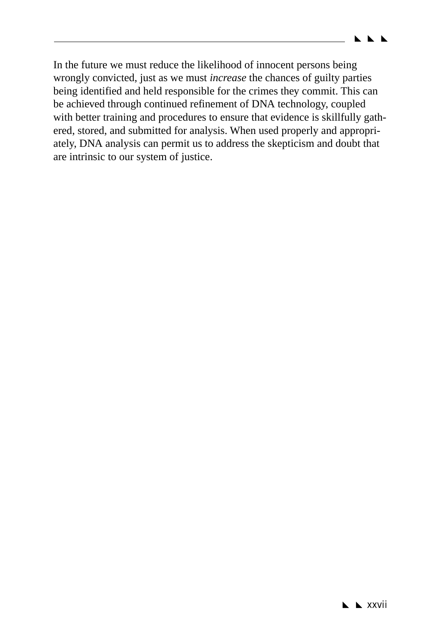In the future we must reduce the likelihood of innocent persons being wrongly convicted, just as we must *increase* the chances of guilty parties being identified and held responsible for the crimes they commit. This can be achieved through continued refinement of DNA technology, coupled with better training and procedures to ensure that evidence is skillfully gathered, stored, and submitted for analysis. When used properly and appropriately, DNA analysis can permit us to address the skepticism and doubt that are intrinsic to our system of justice.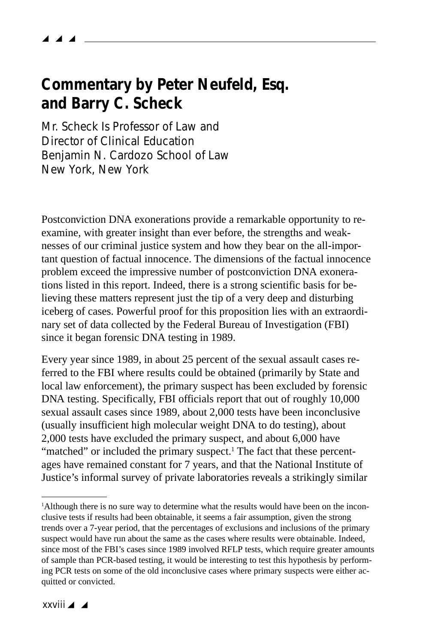## **Commentary by Peter Neufeld, Esq. and Barry C. Scheck**

Mr. Scheck Is Professor of Law and Director of Clinical Education Benjamin N. Cardozo School of Law New York, New York

Postconviction DNA exonerations provide a remarkable opportunity to reexamine, with greater insight than ever before, the strengths and weaknesses of our criminal justice system and how they bear on the all-important question of factual innocence. The dimensions of the factual innocence problem exceed the impressive number of postconviction DNA exonerations listed in this report. Indeed, there is a strong scientific basis for believing these matters represent just the tip of a very deep and disturbing iceberg of cases. Powerful proof for this proposition lies with an extraordinary set of data collected by the Federal Bureau of Investigation (FBI) since it began forensic DNA testing in 1989.

Every year since 1989, in about 25 percent of the sexual assault cases referred to the FBI where results could be obtained (primarily by State and local law enforcement), the primary suspect has been excluded by forensic DNA testing. Specifically, FBI officials report that out of roughly 10,000 sexual assault cases since 1989, about 2,000 tests have been inconclusive (usually insufficient high molecular weight DNA to do testing), about 2,000 tests have excluded the primary suspect, and about 6,000 have "matched" or included the primary suspect.<sup>1</sup> The fact that these percentages have remained constant for 7 years, and that the National Institute of Justice's informal survey of private laboratories reveals a strikingly similar

<sup>1</sup> Although there is no sure way to determine what the results would have been on the inconclusive tests if results had been obtainable, it seems a fair assumption, given the strong trends over a 7-year period, that the percentages of exclusions and inclusions of the primary suspect would have run about the same as the cases where results were obtainable. Indeed, since most of the FBI's cases since 1989 involved RFLP tests, which require greater amounts of sample than PCR-based testing, it would be interesting to test this hypothesis by performing PCR tests on some of the old inconclusive cases where primary suspects were either acquitted or convicted.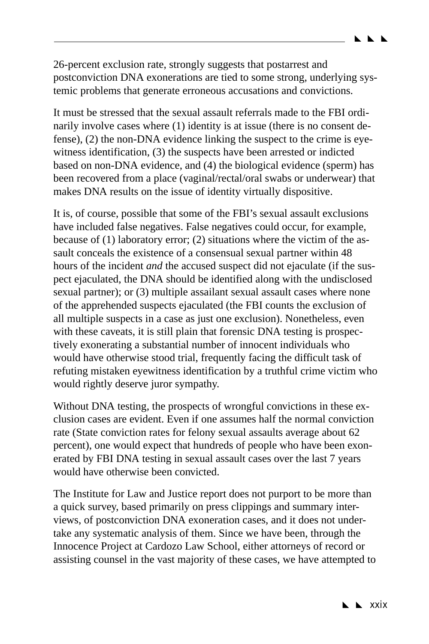26-percent exclusion rate, strongly suggests that postarrest and postconviction DNA exonerations are tied to some strong, underlying systemic problems that generate erroneous accusations and convictions.

It must be stressed that the sexual assault referrals made to the FBI ordinarily involve cases where (1) identity is at issue (there is no consent defense), (2) the non-DNA evidence linking the suspect to the crime is eyewitness identification, (3) the suspects have been arrested or indicted based on non-DNA evidence, and (4) the biological evidence (sperm) has been recovered from a place (vaginal/rectal/oral swabs or underwear) that makes DNA results on the issue of identity virtually dispositive.

It is, of course, possible that some of the FBI's sexual assault exclusions have included false negatives. False negatives could occur, for example, because of (1) laboratory error; (2) situations where the victim of the assault conceals the existence of a consensual sexual partner within 48 hours of the incident *and* the accused suspect did not ejaculate (if the suspect ejaculated, the DNA should be identified along with the undisclosed sexual partner); or (3) multiple assailant sexual assault cases where none of the apprehended suspects ejaculated (the FBI counts the exclusion of all multiple suspects in a case as just one exclusion). Nonetheless, even with these caveats, it is still plain that forensic DNA testing is prospectively exonerating a substantial number of innocent individuals who would have otherwise stood trial, frequently facing the difficult task of refuting mistaken eyewitness identification by a truthful crime victim who would rightly deserve juror sympathy.

Without DNA testing, the prospects of wrongful convictions in these exclusion cases are evident. Even if one assumes half the normal conviction rate (State conviction rates for felony sexual assaults average about 62 percent), one would expect that hundreds of people who have been exonerated by FBI DNA testing in sexual assault cases over the last 7 years would have otherwise been convicted.

The Institute for Law and Justice report does not purport to be more than a quick survey, based primarily on press clippings and summary interviews, of postconviction DNA exoneration cases, and it does not undertake any systematic analysis of them. Since we have been, through the Innocence Project at Cardozo Law School, either attorneys of record or assisting counsel in the vast majority of these cases, we have attempted to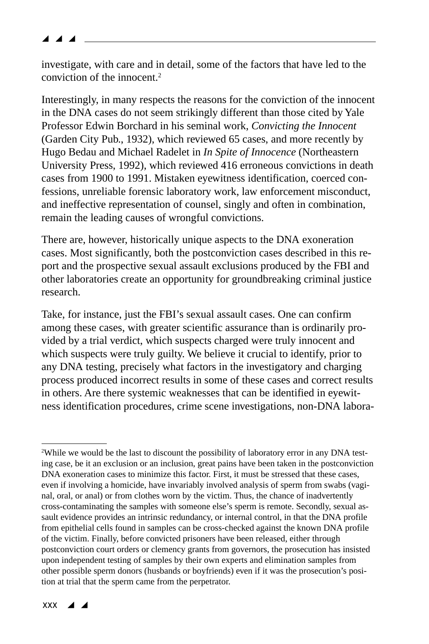investigate, with care and in detail, some of the factors that have led to the conviction of the innocent.2

Interestingly, in many respects the reasons for the conviction of the innocent in the DNA cases do not seem strikingly different than those cited by Yale Professor Edwin Borchard in his seminal work, *Convicting the Innocent* (Garden City Pub., 1932), which reviewed 65 cases, and more recently by Hugo Bedau and Michael Radelet in *In Spite of Innocence* (Northeastern University Press, 1992), which reviewed 416 erroneous convictions in death cases from 1900 to 1991. Mistaken eyewitness identification, coerced confessions, unreliable forensic laboratory work, law enforcement misconduct, and ineffective representation of counsel, singly and often in combination, remain the leading causes of wrongful convictions.

There are, however, historically unique aspects to the DNA exoneration cases. Most significantly, both the postconviction cases described in this report and the prospective sexual assault exclusions produced by the FBI and other laboratories create an opportunity for groundbreaking criminal justice research.

Take, for instance, just the FBI's sexual assault cases. One can confirm among these cases, with greater scientific assurance than is ordinarily provided by a trial verdict, which suspects charged were truly innocent and which suspects were truly guilty. We believe it crucial to identify, prior to any DNA testing, precisely what factors in the investigatory and charging process produced incorrect results in some of these cases and correct results in others. Are there systemic weaknesses that can be identified in eyewitness identification procedures, crime scene investigations, non-DNA labora-

<sup>2</sup> While we would be the last to discount the possibility of laboratory error in any DNA testing case, be it an exclusion or an inclusion, great pains have been taken in the postconviction DNA exoneration cases to minimize this factor. First, it must be stressed that these cases, even if involving a homicide, have invariably involved analysis of sperm from swabs (vaginal, oral, or anal) or from clothes worn by the victim. Thus, the chance of inadvertently cross-contaminating the samples with someone else's sperm is remote. Secondly, sexual assault evidence provides an intrinsic redundancy, or internal control, in that the DNA profile from epithelial cells found in samples can be cross-checked against the known DNA profile of the victim. Finally, before convicted prisoners have been released, either through postconviction court orders or clemency grants from governors, the prosecution has insisted upon independent testing of samples by their own experts and elimination samples from other possible sperm donors (husbands or boyfriends) even if it was the prosecution's position at trial that the sperm came from the perpetrator.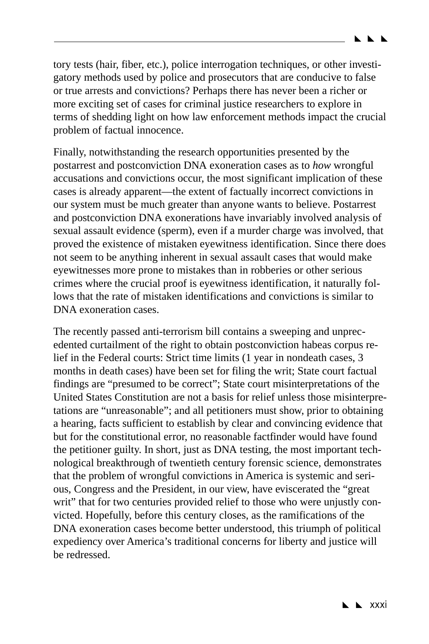tory tests (hair, fiber, etc.), police interrogation techniques, or other investigatory methods used by police and prosecutors that are conducive to false or true arrests and convictions? Perhaps there has never been a richer or more exciting set of cases for criminal justice researchers to explore in terms of shedding light on how law enforcement methods impact the crucial problem of factual innocence.

Finally, notwithstanding the research opportunities presented by the postarrest and postconviction DNA exoneration cases as to *how* wrongful accusations and convictions occur, the most significant implication of these cases is already apparent—the extent of factually incorrect convictions in our system must be much greater than anyone wants to believe. Postarrest and postconviction DNA exonerations have invariably involved analysis of sexual assault evidence (sperm), even if a murder charge was involved, that proved the existence of mistaken eyewitness identification. Since there does not seem to be anything inherent in sexual assault cases that would make eyewitnesses more prone to mistakes than in robberies or other serious crimes where the crucial proof is eyewitness identification, it naturally follows that the rate of mistaken identifications and convictions is similar to DNA exoneration cases.

The recently passed anti-terrorism bill contains a sweeping and unprecedented curtailment of the right to obtain postconviction habeas corpus relief in the Federal courts: Strict time limits (1 year in nondeath cases, 3 months in death cases) have been set for filing the writ; State court factual findings are "presumed to be correct"; State court misinterpretations of the United States Constitution are not a basis for relief unless those misinterpretations are "unreasonable"; and all petitioners must show, prior to obtaining a hearing, facts sufficient to establish by clear and convincing evidence that but for the constitutional error, no reasonable factfinder would have found the petitioner guilty. In short, just as DNA testing, the most important technological breakthrough of twentieth century forensic science, demonstrates that the problem of wrongful convictions in America is systemic and serious, Congress and the President, in our view, have eviscerated the "great writ" that for two centuries provided relief to those who were unjustly convicted. Hopefully, before this century closes, as the ramifications of the DNA exoneration cases become better understood, this triumph of political expediency over America's traditional concerns for liberty and justice will be redressed.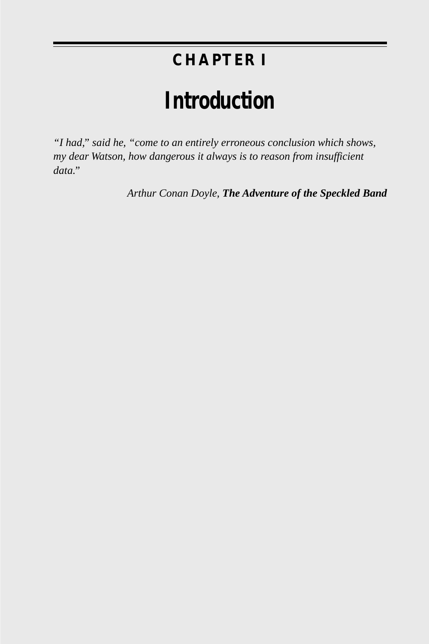# **CHAPTER I**

# **Introduction**

*"I had," said he, "come to an entirely erroneous conclusion which shows, my dear Watson, how dangerous it always is to reason from insufficient data."*

*Arthur Conan Doyle, The Adventure of the Speckled Band*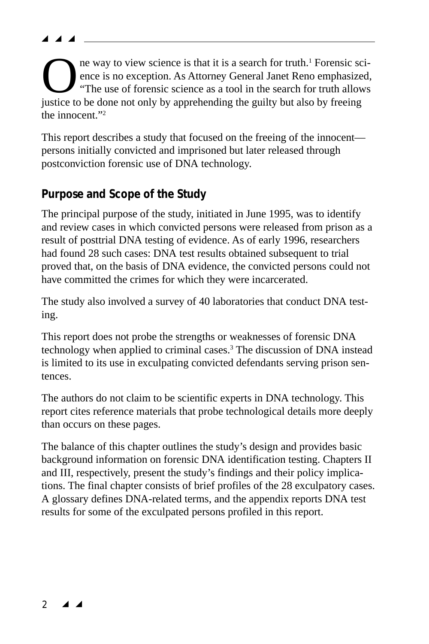One way to view science is that it is a search for truth.<sup>1</sup><br>
ence is no exception. As Attorney General Janet Reno<br>
"The use of forensic science as a tool in the search for<br>
institute to be done not only by apprehending th ne way to view science is that it is a search for truth.<sup>1</sup> Forensic science is no exception. As Attorney General Janet Reno emphasized, "The use of forensic science as a tool in the search for truth allows justice to be done not only by apprehending the guilty but also by freeing the innocent $"$ <sup>2</sup>

This report describes a study that focused on the freeing of the innocent persons initially convicted and imprisoned but later released through postconviction forensic use of DNA technology.

### **Purpose and Scope of the Study**

The principal purpose of the study, initiated in June 1995, was to identify and review cases in which convicted persons were released from prison as a result of posttrial DNA testing of evidence. As of early 1996, researchers had found 28 such cases: DNA test results obtained subsequent to trial proved that, on the basis of DNA evidence, the convicted persons could not have committed the crimes for which they were incarcerated.

The study also involved a survey of 40 laboratories that conduct DNA testing.

This report does not probe the strengths or weaknesses of forensic DNA technology when applied to criminal cases.<sup>3</sup> The discussion of DNA instead is limited to its use in exculpating convicted defendants serving prison sentences.

The authors do not claim to be scientific experts in DNA technology. This report cites reference materials that probe technological details more deeply than occurs on these pages.

The balance of this chapter outlines the study's design and provides basic background information on forensic DNA identification testing. Chapters II and III, respectively, present the study's findings and their policy implications. The final chapter consists of brief profiles of the 28 exculpatory cases. A glossary defines DNA-related terms, and the appendix reports DNA test results for some of the exculpated persons profiled in this report.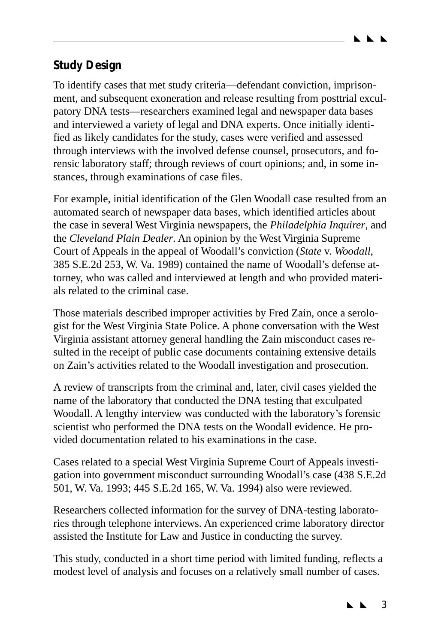### **Study Design**

To identify cases that met study criteria—defendant conviction, imprisonment, and subsequent exoneration and release resulting from posttrial exculpatory DNA tests—researchers examined legal and newspaper data bases and interviewed a variety of legal and DNA experts. Once initially identified as likely candidates for the study, cases were verified and assessed through interviews with the involved defense counsel, prosecutors, and forensic laboratory staff; through reviews of court opinions; and, in some instances, through examinations of case files.

For example, initial identification of the Glen Woodall case resulted from an automated search of newspaper data bases, which identified articles about the case in several West Virginia newspapers, the *Philadelphia Inquirer*, and the *Cleveland Plain Dealer*. An opinion by the West Virginia Supreme Court of Appeals in the appeal of Woodall's conviction (*State* v. *Woodall*, 385 S.E.2d 253, W. Va. 1989) contained the name of Woodall's defense attorney, who was called and interviewed at length and who provided materials related to the criminal case.

Those materials described improper activities by Fred Zain, once a serologist for the West Virginia State Police. A phone conversation with the West Virginia assistant attorney general handling the Zain misconduct cases resulted in the receipt of public case documents containing extensive details on Zain's activities related to the Woodall investigation and prosecution.

A review of transcripts from the criminal and, later, civil cases yielded the name of the laboratory that conducted the DNA testing that exculpated Woodall. A lengthy interview was conducted with the laboratory's forensic scientist who performed the DNA tests on the Woodall evidence. He provided documentation related to his examinations in the case.

Cases related to a special West Virginia Supreme Court of Appeals investigation into government misconduct surrounding Woodall's case (438 S.E.2d 501, W. Va. 1993; 445 S.E.2d 165, W. Va. 1994) also were reviewed.

Researchers collected information for the survey of DNA-testing laboratories through telephone interviews. An experienced crime laboratory director assisted the Institute for Law and Justice in conducting the survey.

This study, conducted in a short time period with limited funding, reflects a modest level of analysis and focuses on a relatively small number of cases.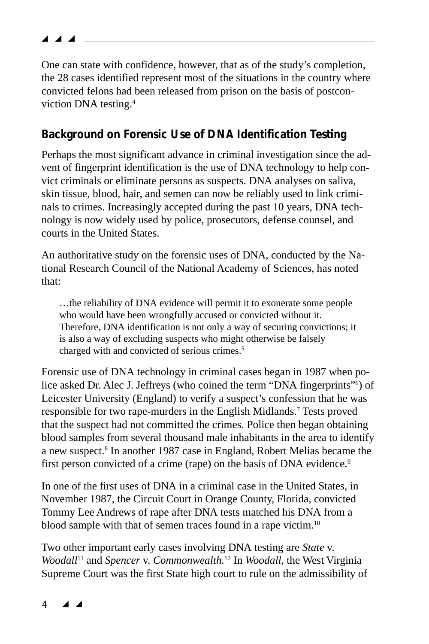One can state with confidence, however, that as of the study's completion, the 28 cases identified represent most of the situations in the country where convicted felons had been released from prison on the basis of postconviction DNA testing.4

### **Background on Forensic Use of DNA Identification Testing**

Perhaps the most significant advance in criminal investigation since the advent of fingerprint identification is the use of DNA technology to help convict criminals or eliminate persons as suspects. DNA analyses on saliva, skin tissue, blood, hair, and semen can now be reliably used to link criminals to crimes. Increasingly accepted during the past 10 years, DNA technology is now widely used by police, prosecutors, defense counsel, and courts in the United States.

An authoritative study on the forensic uses of DNA, conducted by the National Research Council of the National Academy of Sciences, has noted that:

…the reliability of DNA evidence will permit it to exonerate some people who would have been wrongfully accused or convicted without it. Therefore, DNA identification is not only a way of securing convictions; it is also a way of excluding suspects who might otherwise be falsely charged with and convicted of serious crimes.<sup>5</sup>

Forensic use of DNA technology in criminal cases began in 1987 when police asked Dr. Alec J. Jeffreys (who coined the term "DNA fingerprints"<sup>6</sup>) of Leicester University (England) to verify a suspect's confession that he was responsible for two rape-murders in the English Midlands.<sup>7</sup> Tests proved that the suspect had not committed the crimes. Police then began obtaining blood samples from several thousand male inhabitants in the area to identify a new suspect.<sup>8</sup> In another 1987 case in England, Robert Melias became the first person convicted of a crime (rape) on the basis of DNA evidence.<sup>9</sup>

In one of the first uses of DNA in a criminal case in the United States, in November 1987, the Circuit Court in Orange County, Florida, convicted Tommy Lee Andrews of rape after DNA tests matched his DNA from a blood sample with that of semen traces found in a rape victim.<sup>10</sup>

Two other important early cases involving DNA testing are *State* v. *Woodall*11 and *Spencer* v. *Commonwealth.*12 In *Woodall*, the West Virginia Supreme Court was the first State high court to rule on the admissibility of

 $\blacktriangle$   $\blacktriangle$ 4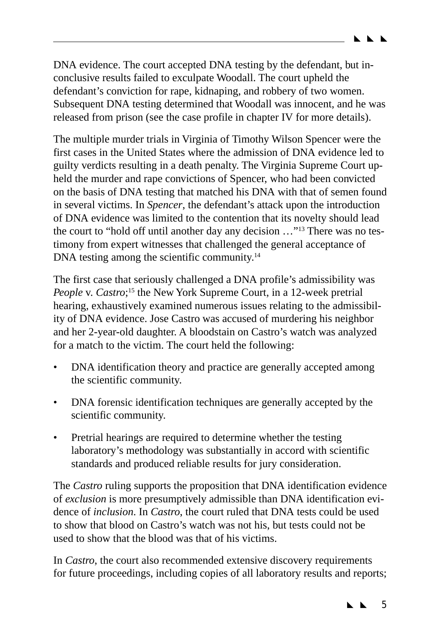DNA evidence. The court accepted DNA testing by the defendant, but inconclusive results failed to exculpate Woodall. The court upheld the defendant's conviction for rape, kidnaping, and robbery of two women. Subsequent DNA testing determined that Woodall was innocent, and he was released from prison (see the case profile in chapter IV for more details).

The multiple murder trials in Virginia of Timothy Wilson Spencer were the first cases in the United States where the admission of DNA evidence led to guilty verdicts resulting in a death penalty. The Virginia Supreme Court upheld the murder and rape convictions of Spencer, who had been convicted on the basis of DNA testing that matched his DNA with that of semen found in several victims. In *Spencer*, the defendant's attack upon the introduction of DNA evidence was limited to the contention that its novelty should lead the court to "hold off until another day any decision …"13 There was no testimony from expert witnesses that challenged the general acceptance of DNA testing among the scientific community.14

The first case that seriously challenged a DNA profile's admissibility was People v. Castro;<sup>15</sup> the New York Supreme Court, in a 12-week pretrial hearing, exhaustively examined numerous issues relating to the admissibility of DNA evidence. Jose Castro was accused of murdering his neighbor and her 2-year-old daughter. A bloodstain on Castro's watch was analyzed for a match to the victim. The court held the following:

- DNA identification theory and practice are generally accepted among the scientific community.
- DNA forensic identification techniques are generally accepted by the scientific community.
- Pretrial hearings are required to determine whether the testing laboratory's methodology was substantially in accord with scientific standards and produced reliable results for jury consideration.

The *Castro* ruling supports the proposition that DNA identification evidence of *exclusion* is more presumptively admissible than DNA identification evidence of *inclusion*. In *Castro*, the court ruled that DNA tests could be used to show that blood on Castro's watch was not his, but tests could not be used to show that the blood was that of his victims.

In *Castro*, the court also recommended extensive discovery requirements for future proceedings, including copies of all laboratory results and reports;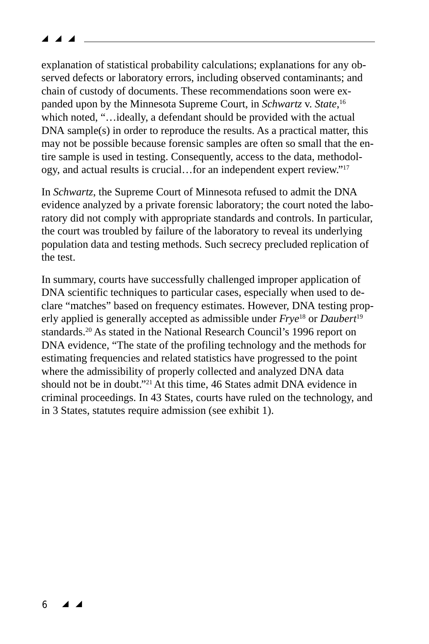explanation of statistical probability calculations; explanations for any observed defects or laboratory errors, including observed contaminants; and chain of custody of documents. These recommendations soon were expanded upon by the Minnesota Supreme Court, in *Schwartz* v. *State*, 16 which noted, "…ideally, a defendant should be provided with the actual DNA sample(s) in order to reproduce the results. As a practical matter, this may not be possible because forensic samples are often so small that the entire sample is used in testing. Consequently, access to the data, methodology, and actual results is crucial…for an independent expert review."17

In *Schwartz*, the Supreme Court of Minnesota refused to admit the DNA evidence analyzed by a private forensic laboratory; the court noted the laboratory did not comply with appropriate standards and controls. In particular, the court was troubled by failure of the laboratory to reveal its underlying population data and testing methods. Such secrecy precluded replication of the test.

In summary, courts have successfully challenged improper application of DNA scientific techniques to particular cases, especially when used to declare "matches" based on frequency estimates. However, DNA testing properly applied is generally accepted as admissible under *Frye*18 or *Daubert*<sup>19</sup> standards.20 As stated in the National Research Council's 1996 report on DNA evidence, "The state of the profiling technology and the methods for estimating frequencies and related statistics have progressed to the point where the admissibility of properly collected and analyzed DNA data should not be in doubt."21 At this time, 46 States admit DNA evidence in criminal proceedings. In 43 States, courts have ruled on the technology, and in 3 States, statutes require admission (see exhibit 1).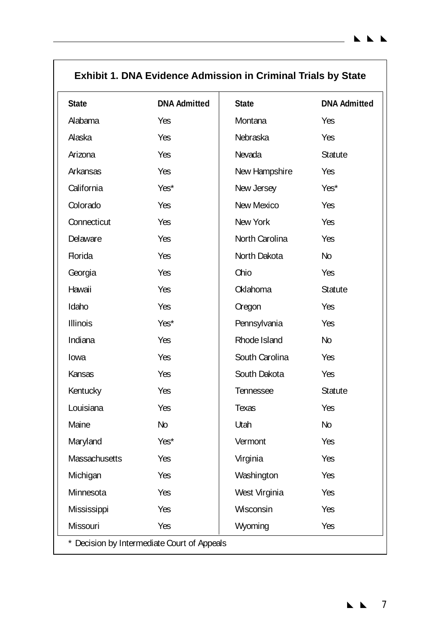### $\overline{ }$

| Exhibit 1. DNA Evidence Admission in Criminal Trials by State |              |                 |                |  |
|---------------------------------------------------------------|--------------|-----------------|----------------|--|
| <b>State</b>                                                  | DNA Admitted | <b>State</b>    | DNA Admitted   |  |
| Alabama                                                       | Yes          | Montana         | Yes            |  |
| Alaska                                                        | Yes          | Nebraska        | Yes            |  |
| Arizona                                                       | Yes          | Nevada          | <b>Statute</b> |  |
| Arkansas                                                      | Yes          | New Hampshire   | Yes            |  |
| California                                                    | Yes*         | New Jersey      | Yes*           |  |
| Colorado                                                      | Yes          | New Mexico      | Yes            |  |
| Connecticut                                                   | Yes          | New York        | Yes            |  |
| Delaware                                                      | Yes          | North Carolina  | Yes            |  |
| Florida                                                       | Yes          | North Dakota    | No             |  |
| Georgia                                                       | Yes          | Ohio            | Yes            |  |
| Hawaii                                                        | Yes          | <b>Oklahoma</b> | <b>Statute</b> |  |
| Idaho                                                         | Yes          | Oregon          | Yes            |  |
| <b>Illinois</b>                                               | Yes*         | Pennsylvania    | Yes            |  |
| Indiana                                                       | Yes          | Rhode Island    | No             |  |
| lowa                                                          | Yes          | South Carolina  | Yes            |  |
| Kansas                                                        | Yes          | South Dakota    | Yes            |  |
| Kentucky                                                      | Yes          | Tennessee       | <b>Statute</b> |  |
| Louisiana                                                     | Yes          | Texas           | Yes            |  |
| Maine                                                         | No           | Utah            | N <sub>0</sub> |  |
| Maryland                                                      | Yes*         | Vermont         | Yes            |  |
| Massachusetts                                                 | Yes          | Virginia        | Yes            |  |
| Michigan                                                      | Yes          | Washington      | Yes            |  |
| Minnesota                                                     | Yes          | West Virginia   | Yes            |  |
| Mississippi                                                   | Yes          | Wisconsin       | Yes            |  |
| Missouri                                                      | Yes          | Wyoming         | Yes            |  |
| * Decision by Intermediate Court of Appeals                   |              |                 |                |  |

 7 L  $\blacktriangleright$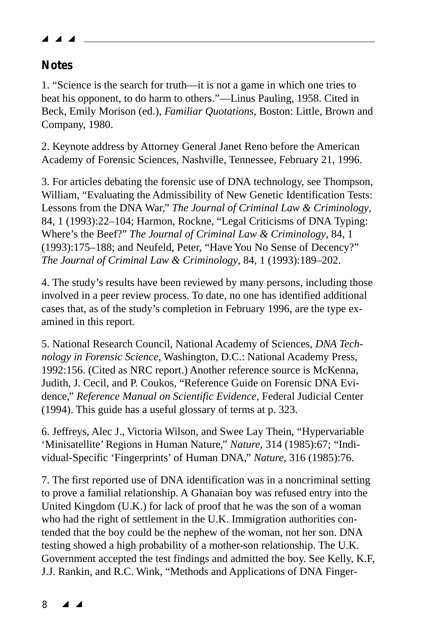**Notes**

1. "Science is the search for truth—it is not a game in which one tries to beat his opponent, to do harm to others."—Linus Pauling, 1958. Cited in Beck, Emily Morison (ed.), *Familiar Quotations*, Boston: Little, Brown and Company, 1980.

2. Keynote address by Attorney General Janet Reno before the American Academy of Forensic Sciences, Nashville, Tennessee, February 21, 1996.

3. For articles debating the forensic use of DNA technology, see Thompson, William, "Evaluating the Admissibility of New Genetic Identification Tests: Lessons from the DNA War," *The Journal of Criminal Law & Criminology*, 84, 1 (1993):22–104; Harmon, Rockne, "Legal Criticisms of DNA Typing: Where's the Beef?" *The Journal of Criminal Law & Criminology*, 84, 1 (1993):175–188; and Neufeld, Peter, "Have You No Sense of Decency?" *The Journal of Criminal Law & Criminology*, 84, 1 (1993):189–202.

4. The study's results have been reviewed by many persons, including those involved in a peer review process. To date, no one has identified additional cases that, as of the study's completion in February 1996, are the type examined in this report.

5. National Research Council, National Academy of Sciences, *DNA Technology in Forensic Science*, Washington, D.C.: National Academy Press, 1992:156. (Cited as NRC report.) Another reference source is McKenna, Judith, J. Cecil, and P. Coukos, "Reference Guide on Forensic DNA Evidence," *Reference Manual on Scientific Evidence*, Federal Judicial Center (1994). This guide has a useful glossary of terms at p. 323.

6. Jeffreys, Alec J., Victoria Wilson, and Swee Lay Thein, "Hypervariable 'Minisatellite' Regions in Human Nature," *Nature*, 314 (1985):67; "Individual-Specific 'Fingerprints' of Human DNA," *Nature*, 316 (1985):76.

7. The first reported use of DNA identification was in a noncriminal setting to prove a familial relationship. A Ghanaian boy was refused entry into the United Kingdom (U.K.) for lack of proof that he was the son of a woman who had the right of settlement in the U.K. Immigration authorities contended that the boy could be the nephew of the woman, not her son. DNA testing showed a high probability of a mother-son relationship. The U.K. Government accepted the test findings and admitted the boy. See Kelly, K.F, J.J. Rankin, and R.C. Wink, "Methods and Applications of DNA Finger-

8 ◢◢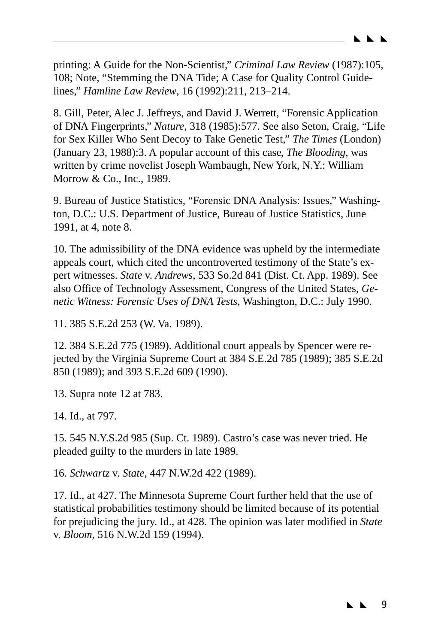printing: A Guide for the Non-Scientist," *Criminal Law Review* (1987):105, 108; Note, "Stemming the DNA Tide; A Case for Quality Control Guidelines," *Hamline Law Review*, 16 (1992):211, 213–214.

8. Gill, Peter, Alec J. Jeffreys, and David J. Werrett, "Forensic Application of DNA Fingerprints," *Nature*, 318 (1985):577. See also Seton, Craig, "Life for Sex Killer Who Sent Decoy to Take Genetic Test," *The Times* (London) (January 23, 1988):3. A popular account of this case, *The Blooding*, was written by crime novelist Joseph Wambaugh, New York, N.Y.: William Morrow & Co., Inc., 1989.

9. Bureau of Justice Statistics, "Forensic DNA Analysis: Issues," Washington, D.C.: U.S. Department of Justice, Bureau of Justice Statistics, June 1991, at 4, note 8.

10. The admissibility of the DNA evidence was upheld by the intermediate appeals court, which cited the uncontroverted testimony of the State's expert witnesses. *State* v. *Andrews*, 533 So.2d 841 (Dist. Ct. App. 1989). See also Office of Technology Assessment, Congress of the United States, *Genetic Witness: Forensic Uses of DNA Tests*, Washington, D.C.: July 1990.

11. 385 S.E.2d 253 (W. Va. 1989).

12. 384 S.E.2d 775 (1989). Additional court appeals by Spencer were rejected by the Virginia Supreme Court at 384 S.E.2d 785 (1989); 385 S.E.2d 850 (1989); and 393 S.E.2d 609 (1990).

13. Supra note 12 at 783.

14. Id., at 797.

15. 545 N.Y.S.2d 985 (Sup. Ct. 1989). Castro's case was never tried. He pleaded guilty to the murders in late 1989.

16. *Schwartz* v. *State*, 447 N.W.2d 422 (1989).

17. Id., at 427. The Minnesota Supreme Court further held that the use of statistical probabilities testimony should be limited because of its potential for prejudicing the jury. Id., at 428. The opinion was later modified in *State* v. *Bloom*, 516 N.W.2d 159 (1994).

9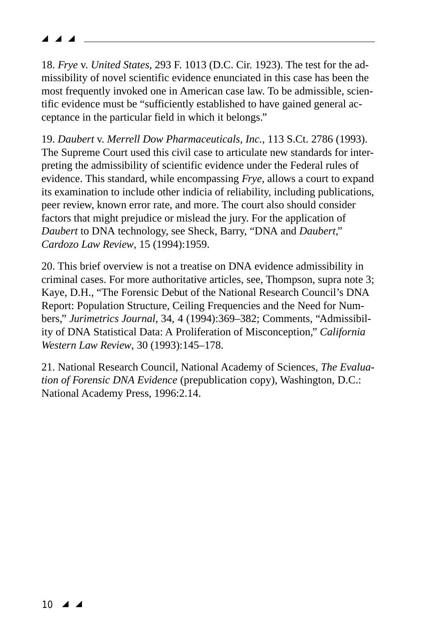18. *Frye* v. *United States*, 293 F. 1013 (D.C. Cir. 1923). The test for the admissibility of novel scientific evidence enunciated in this case has been the most frequently invoked one in American case law. To be admissible, scientific evidence must be "sufficiently established to have gained general acceptance in the particular field in which it belongs."

19. *Daubert* v. *Merrell Dow Pharmaceuticals, Inc.*, 113 S.Ct. 2786 (1993). The Supreme Court used this civil case to articulate new standards for interpreting the admissibility of scientific evidence under the Federal rules of evidence. This standard, while encompassing *Frye*, allows a court to expand its examination to include other indicia of reliability, including publications, peer review, known error rate, and more. The court also should consider factors that might prejudice or mislead the jury. For the application of *Daubert* to DNA technology, see Sheck, Barry, "DNA and *Daubert*," *Cardozo Law Review*, 15 (1994):1959.

20. This brief overview is not a treatise on DNA evidence admissibility in criminal cases. For more authoritative articles, see, Thompson, supra note 3; Kaye, D.H., "The Forensic Debut of the National Research Council's DNA Report: Population Structure, Ceiling Frequencies and the Need for Numbers," *Jurimetrics Journal*, 34, 4 (1994):369–382; Comments, "Admissibility of DNA Statistical Data: A Proliferation of Misconception," *California Western Law Review*, 30 (1993):145–178.

21. National Research Council, National Academy of Sciences, *The Evaluation of Forensic DNA Evidence* (prepublication copy), Washington, D.C.: National Academy Press, 1996:2.14.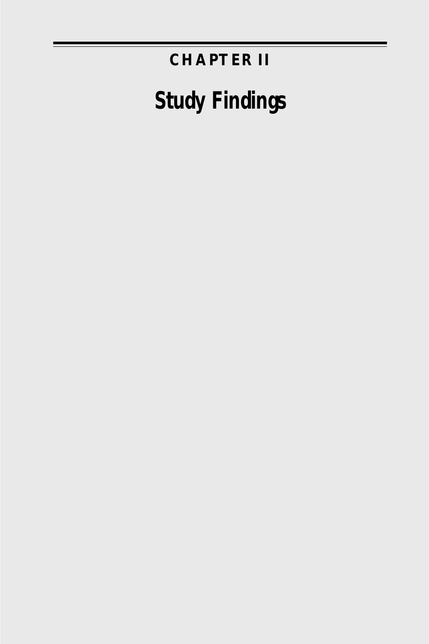# **CHAPTER II Study Findings**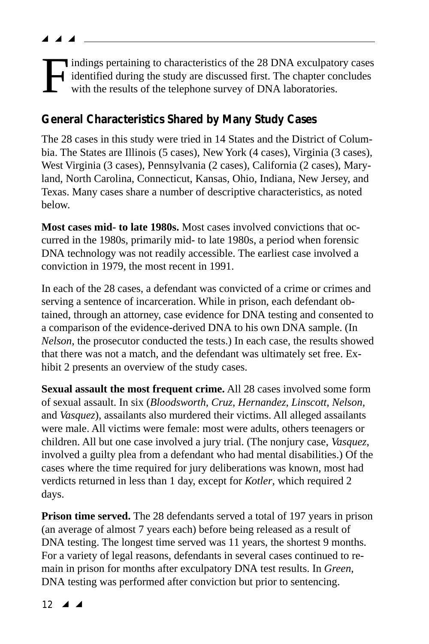Indings pertaining to characteristics of the 28 DNA exculpatory cases<br>identified during the study are discussed first. The chapter concludes<br>with the results of the telephone survey of DNA laboratories. identified during the study are discussed first. The chapter concludes with the results of the telephone survey of DNA laboratories.

### **General Characteristics Shared by Many Study Cases**

The 28 cases in this study were tried in 14 States and the District of Columbia. The States are Illinois (5 cases), New York (4 cases), Virginia (3 cases), West Virginia (3 cases), Pennsylvania (2 cases), California (2 cases), Maryland, North Carolina, Connecticut, Kansas, Ohio, Indiana, New Jersey, and Texas. Many cases share a number of descriptive characteristics, as noted below.

**Most cases mid- to late 1980s.** Most cases involved convictions that occurred in the 1980s, primarily mid- to late 1980s, a period when forensic DNA technology was not readily accessible. The earliest case involved a conviction in 1979, the most recent in 1991.

In each of the 28 cases, a defendant was convicted of a crime or crimes and serving a sentence of incarceration. While in prison, each defendant obtained, through an attorney, case evidence for DNA testing and consented to a comparison of the evidence-derived DNA to his own DNA sample. (In *Nelson*, the prosecutor conducted the tests.) In each case, the results showed that there was not a match, and the defendant was ultimately set free. Exhibit 2 presents an overview of the study cases.

**Sexual assault the most frequent crime.** All 28 cases involved some form of sexual assault. In six (*Bloodsworth*, *Cruz*, *Hernandez*, *Linscott*, *Nelson*, and *Vasquez*), assailants also murdered their victims. All alleged assailants were male. All victims were female: most were adults, others teenagers or children. All but one case involved a jury trial. (The nonjury case, *Vasquez*, involved a guilty plea from a defendant who had mental disabilities.) Of the cases where the time required for jury deliberations was known, most had verdicts returned in less than 1 day, except for *Kotler*, which required 2 days.

**Prison time served.** The 28 defendants served a total of 197 years in prison (an average of almost 7 years each) before being released as a result of DNA testing. The longest time served was 11 years, the shortest 9 months. For a variety of legal reasons, defendants in several cases continued to remain in prison for months after exculpatory DNA test results. In *Green*, DNA testing was performed after conviction but prior to sentencing.

### 12  $\blacktriangle$   $\blacktriangle$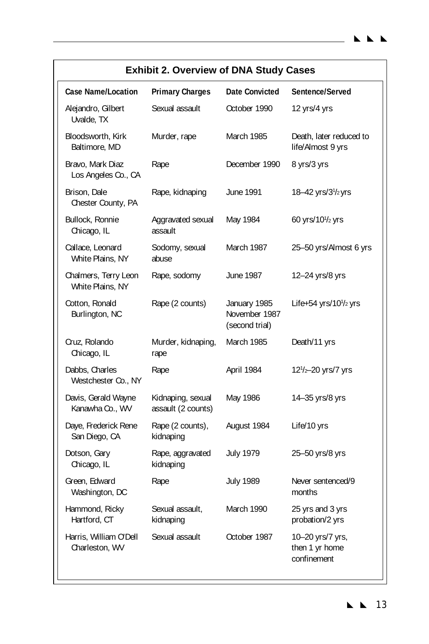### ⊾

| <b>Exhibit 2. Overview of DNA Study Cases</b> |                                         |                                                 |                                                   |  |
|-----------------------------------------------|-----------------------------------------|-------------------------------------------------|---------------------------------------------------|--|
| Case Name/Location                            | Primary Charges                         | Date Convicted                                  | Sentence/Served                                   |  |
| Alejandro, Gilbert<br>Uvalde, TX              | Sexual assault                          | October 1990                                    | 12 yrs/4 yrs                                      |  |
| Bloodsworth, Kirk<br>Baltimore, MD            | Murder, rape                            | <b>March 1985</b>                               | Death, later reduced to<br>life/Almost 9 yrs      |  |
| Bravo, Mark Diaz<br>Los Angeles Co., CA       | Rape                                    | December 1990                                   | 8 yrs/3 yrs                                       |  |
| Brison, Dale<br>Chester County, PA            | Rape, kidnaping                         | June 1991                                       | 18-42 yrs/31/2 yrs                                |  |
| Bullock, Ronnie<br>Chicago, IL                | Aggravated sexual<br>assault            | May 1984                                        | 60 yrs/10 <sup>1</sup> /2 yrs                     |  |
| Callace, Leonard<br>White Plains, NY          | Sodomy, sexual<br>abuse                 | March 1987                                      | 25-50 yrs/Almost 6 yrs                            |  |
| Chalmers, Terry Leon<br>White Plains, NY      | Rape, sodomy                            | June 1987                                       | 12-24 yrs/8 yrs                                   |  |
| Cotton, Ronald<br>Burlington, NC              | Rape (2 counts)                         | January 1985<br>November 1987<br>(second trial) | Life+54 yrs/10 $\frac{1}{2}$ yrs                  |  |
| Cruz, Rolando<br>Chicago, IL                  | Murder, kidnaping,<br>rape              | March 1985                                      | Death/11 yrs                                      |  |
| Dabbs, Charles<br>Westchester Co., NY         | Rape                                    | April 1984                                      | 121/2-20 yrs/7 yrs                                |  |
| Davis, Gerald Wayne<br>Kanawha Co., WV        | Kidnaping, sexual<br>assault (2 counts) | May 1986                                        | 14-35 yrs/8 yrs                                   |  |
| Daye, Frederick Rene<br>San Diego, CA         | Rape (2 counts),<br>kidnaping           | August 1984                                     | Life/10 yrs                                       |  |
| Dotson, Gary<br>Chicago, IL                   | Rape, aggravated<br>kidnaping           | <b>July 1979</b>                                | 25-50 yrs/8 yrs                                   |  |
| Green, Edward<br>Washington, DC               | Rape                                    | <b>July 1989</b>                                | Never sentenced/9<br>months                       |  |
| Hammond, Ricky<br>Hartford, CT                | Sexual assault,<br>kidnaping            | March 1990                                      | 25 yrs and 3 yrs<br>probation/2 yrs               |  |
| Harris, William O'Dell<br>Charleston, WV      | Sexual assault                          | October 1987                                    | 10-20 yrs/7 yrs,<br>then 1 yr home<br>confinement |  |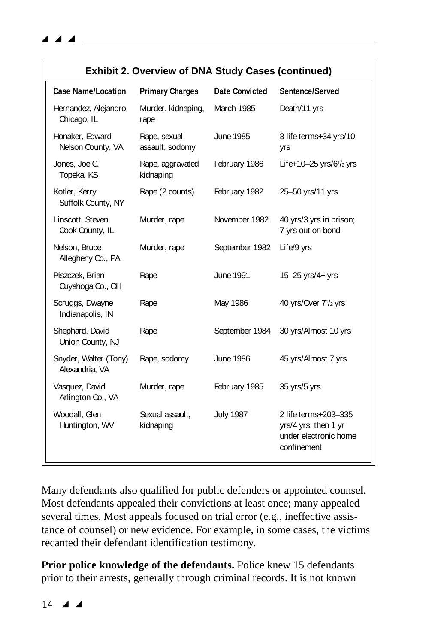### **Exhibit 2. Overview of DNA Study Cases (continued)**

| Case Name/Location                      | <b>Primary Charges</b>          | Date Convicted   | Sentence/Served                                                                      |
|-----------------------------------------|---------------------------------|------------------|--------------------------------------------------------------------------------------|
| Hernandez, Alejandro<br>Chicago, IL     | Murder, kidnaping,<br>rape      | March 1985       | Death/11 yrs                                                                         |
| Honaker, Edward<br>Nelson County, VA    | Rape, sexual<br>assault, sodomy | June 1985        | 3 life terms+34 yrs/10<br>yrs                                                        |
| Jones, Joe C.<br>Topeka, KS             | Rape, aggravated<br>kidnaping   | February 1986    | Life+10-25 yrs/6 <sup>1</sup> /2 yrs                                                 |
| Kotler, Kerry<br>Suffolk County, NY     | Rape (2 counts)                 | February 1982    | 25-50 yrs/11 yrs                                                                     |
| Linscott, Steven<br>Cook County, IL     | Murder, rape                    | November 1982    | 40 yrs/3 yrs in prison;<br>7 yrs out on bond                                         |
| Nelson, Bruce<br>Allegheny Co., PA      | Murder, rape                    | September 1982   | Life/9 yrs                                                                           |
| Piszczek, Brian<br>Cuyahoga Co., OH     | Rape                            | June 1991        | $15 - 25$ yrs/4+ yrs                                                                 |
| Scruggs, Dwayne<br>Indianapolis, IN     | Rape                            | May 1986         | 40 yrs/Over 7 <sup>1</sup> /2 yrs                                                    |
| Shephard, David<br>Union County, NJ     | Rape                            | September 1984   | 30 yrs/Almost 10 yrs                                                                 |
| Snyder, Walter (Tony)<br>Alexandria, VA | Rape, sodomy                    | June 1986        | 45 yrs/Almost 7 yrs                                                                  |
| Vasquez, David<br>Arlington Co., VA     | Murder, rape                    | February 1985    | 35 yrs/5 yrs                                                                         |
| Woodall, Glen<br>Huntington, WV         | Sexual assault,<br>kidnaping    | <b>July 1987</b> | 2 life terms+203-335<br>yrs/4 yrs, then 1 yr<br>under electronic home<br>confinement |

Many defendants also qualified for public defenders or appointed counsel. Most defendants appealed their convictions at least once; many appealed several times. Most appeals focused on trial error (e.g., ineffective assistance of counsel) or new evidence. For example, in some cases, the victims recanted their defendant identification testimony.

**Prior police knowledge of the defendants.** Police knew 15 defendants prior to their arrests, generally through criminal records. It is not known

14  $\blacktriangle$   $\blacktriangle$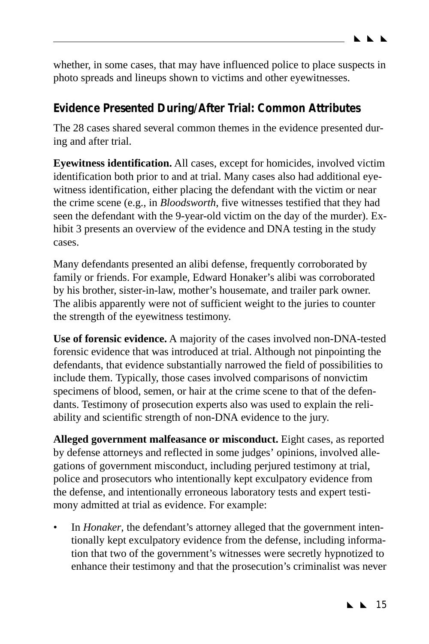whether, in some cases, that may have influenced police to place suspects in photo spreads and lineups shown to victims and other eyewitnesses.

### **Evidence Presented During/After Trial: Common Attributes**

The 28 cases shared several common themes in the evidence presented during and after trial.

**Eyewitness identification.** All cases, except for homicides, involved victim identification both prior to and at trial. Many cases also had additional eyewitness identification, either placing the defendant with the victim or near the crime scene (e.g., in *Bloodsworth*, five witnesses testified that they had seen the defendant with the 9-year-old victim on the day of the murder). Exhibit 3 presents an overview of the evidence and DNA testing in the study cases.

Many defendants presented an alibi defense, frequently corroborated by family or friends. For example, Edward Honaker's alibi was corroborated by his brother, sister-in-law, mother's housemate, and trailer park owner. The alibis apparently were not of sufficient weight to the juries to counter the strength of the eyewitness testimony.

**Use of forensic evidence.** A majority of the cases involved non-DNA-tested forensic evidence that was introduced at trial. Although not pinpointing the defendants, that evidence substantially narrowed the field of possibilities to include them. Typically, those cases involved comparisons of nonvictim specimens of blood, semen, or hair at the crime scene to that of the defendants. Testimony of prosecution experts also was used to explain the reliability and scientific strength of non-DNA evidence to the jury.

**Alleged government malfeasance or misconduct.** Eight cases, as reported by defense attorneys and reflected in some judges' opinions, involved allegations of government misconduct, including perjured testimony at trial, police and prosecutors who intentionally kept exculpatory evidence from the defense, and intentionally erroneous laboratory tests and expert testimony admitted at trial as evidence. For example:

In *Honaker*, the defendant's attorney alleged that the government intentionally kept exculpatory evidence from the defense, including information that two of the government's witnesses were secretly hypnotized to enhance their testimony and that the prosecution's criminalist was never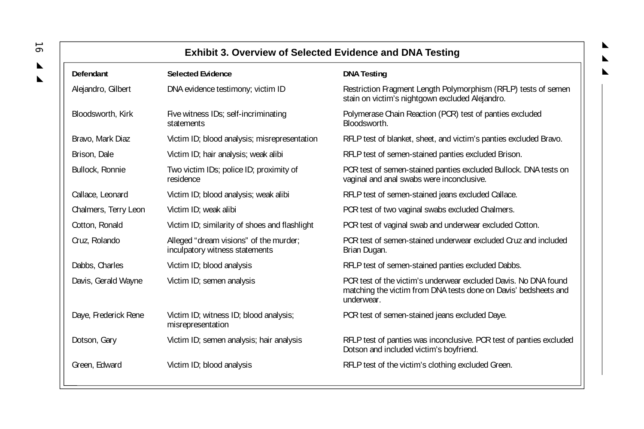### 16 **Exhibit 3. Overview of Selected Evidence and DNA Testing Defendant Selected Evidence DNA Testing** Alejandro, Gilbert DNA evidence testimony; victim ID Restriction Fragment Length Polymorphism (RFLP) tests of semen stain on victim's nightgown excluded Alejandro. Bloodsworth, Kirk Five witness IDs; self-incriminating Polymerase Chain Reaction (PCR) test of panties excluded statements Bloodsworth. Bravo, Mark Diaz Victim ID; blood analysis; misrepresentation RFLP test of blanket, sheet, and victim's panties excluded Bravo. Brison, Dale Victim ID; hair analysis; weak alibi RFLP test of semen-stained panties excluded Brison. Bullock, Ronnie Two victim IDs; police ID; proximity of PCR test of semen-stained panties excluded Bullock. DNA tests on residence vaginal and anal swabs were inconclusive. Callace, Leonard Victim ID; blood analysis; weak alibi RFLP test of semen-stained jeans excluded Callace. Chalmers, Terry Leon Victim ID; weak alibi PCR test of two vaginal swabs excluded Chalmers. Cotton, Ronald Victim ID; similarity of shoes and flashlight PCR test of vaginal swab and underwear excluded Cotton. Cruz, Rolando Alleged "dream visions" of the murder; PCR test of semen-stained underwear excluded Cruz and included inculpatory witness statements **Brian Dugan.** Dabbs, Charles Victim ID; blood analysis RFLP test of semen-stained panties excluded Dabbs. Davis, Gerald Wayne Victim ID; semen analysis PCR test of the victim's underwear excluded Davis. No DNA found matching the victim from DNA tests done on Davis' bedsheets and underwear.Daye, Frederick Rene Victim ID; witness ID; blood analysis; PCR test of semen-stained jeans excluded Daye. misrepresentation

Dotson, Gary Victim ID; semen analysis; hair analysis RFLP test of panties was inconclusive. PCR test of panties excluded Dotson and included victim's boyfriend.

Green, Edward Victim ID; blood analysis RFLP test of the victim's clothing excluded Green.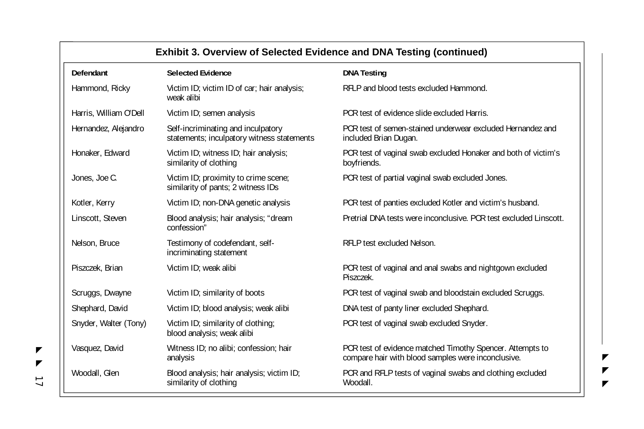| <b>Exhibit 3. Overview of Selected Evidence and DNA Testing (continued)</b> |                                                                                  |                                                                                                                 |  |  |
|-----------------------------------------------------------------------------|----------------------------------------------------------------------------------|-----------------------------------------------------------------------------------------------------------------|--|--|
| Defendant                                                                   | Selected Evidence                                                                | <b>DNA Testing</b>                                                                                              |  |  |
| Hammond, Ricky                                                              | Victim ID; victim ID of car; hair analysis;<br>weak alibi                        | RFLP and blood tests excluded Hammond.                                                                          |  |  |
| Harris, William O'Dell                                                      | Victim ID; semen analysis                                                        | PCR test of evidence slide excluded Harris.                                                                     |  |  |
| Hernandez, Alejandro                                                        | Self-incriminating and inculpatory<br>statements; inculpatory witness statements | PCR test of semen-stained underwear excluded Hernandez and<br>included Brian Dugan.                             |  |  |
| Honaker, Edward                                                             | Victim ID; witness ID; hair analysis;<br>similarity of clothing                  | PCR test of vaginal swab excluded Honaker and both of victim's<br>boyfriends.                                   |  |  |
| Jones, Joe C.                                                               | Victim ID; proximity to crime scene;<br>similarity of pants; 2 witness IDs       | PCR test of partial vaginal swab excluded Jones.                                                                |  |  |
| Kotler, Kerry                                                               | Victim ID; non-DNA genetic analysis                                              | PCR test of panties excluded Kotler and victim's husband.                                                       |  |  |
| Linscott, Steven                                                            | Blood analysis; hair analysis; "dream<br>confession"                             | Pretrial DNA tests were inconclusive. PCR test excluded Linscott.                                               |  |  |
| Nelson, Bruce                                                               | Testimony of codefendant, self-<br>incriminating statement                       | RFLP test excluded Nelson.                                                                                      |  |  |
| Piszczek, Brian                                                             | Victim ID: weak alibi                                                            | PCR test of vaginal and anal swabs and nightgown excluded<br>Piszczek.                                          |  |  |
| Scruggs, Dwayne                                                             | Victim ID; similarity of boots                                                   | PCR test of vaginal swab and bloodstain excluded Scruggs.                                                       |  |  |
| Shephard, David                                                             | Victim ID; blood analysis; weak alibi                                            | DNA test of panty liner excluded Shephard.                                                                      |  |  |
| Snyder, Walter (Tony)                                                       | Victim ID; similarity of clothing;<br>blood analysis; weak alibi                 | PCR test of vaginal swab excluded Snyder.                                                                       |  |  |
| Vasquez, David                                                              | Witness ID; no alibi; confession; hair<br>analysis                               | PCR test of evidence matched Timothy Spencer. Attempts to<br>compare hair with blood samples were inconclusive. |  |  |
| Woodall, Glen                                                               | Blood analysis; hair analysis; victim ID;<br>similarity of clothing              | PCR and RFLP tests of vaginal swabs and clothing excluded<br>Woodall.                                           |  |  |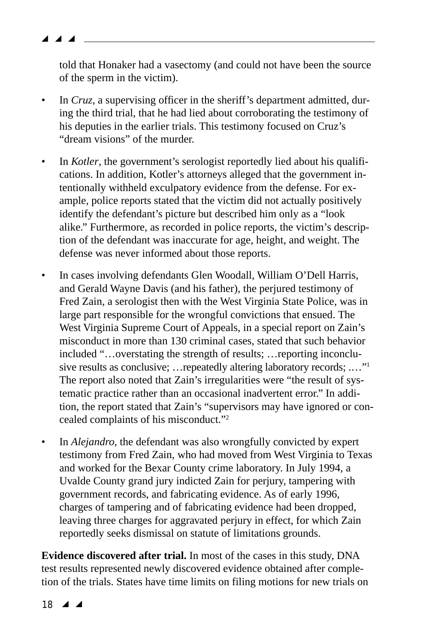told that Honaker had a vasectomy (and could not have been the source of the sperm in the victim).

- In *Cruz*, a supervising officer in the sheriff's department admitted, during the third trial, that he had lied about corroborating the testimony of his deputies in the earlier trials. This testimony focused on Cruz's "dream visions" of the murder.
- In *Kotler*, the government's serologist reportedly lied about his qualifications. In addition, Kotler's attorneys alleged that the government intentionally withheld exculpatory evidence from the defense. For example, police reports stated that the victim did not actually positively identify the defendant's picture but described him only as a "look alike." Furthermore, as recorded in police reports, the victim's description of the defendant was inaccurate for age, height, and weight. The defense was never informed about those reports.
- In cases involving defendants Glen Woodall, William O'Dell Harris, and Gerald Wayne Davis (and his father), the perjured testimony of Fred Zain, a serologist then with the West Virginia State Police, was in large part responsible for the wrongful convictions that ensued. The West Virginia Supreme Court of Appeals, in a special report on Zain's misconduct in more than 130 criminal cases, stated that such behavior included "…overstating the strength of results; …reporting inconclusive results as conclusive; ... repeatedly altering laboratory records; ...."<sup>1</sup> The report also noted that Zain's irregularities were "the result of systematic practice rather than an occasional inadvertent error." In addition, the report stated that Zain's "supervisors may have ignored or concealed complaints of his misconduct."2
- In *Alejandro*, the defendant was also wrongfully convicted by expert testimony from Fred Zain, who had moved from West Virginia to Texas and worked for the Bexar County crime laboratory. In July 1994, a Uvalde County grand jury indicted Zain for perjury, tampering with government records, and fabricating evidence. As of early 1996, charges of tampering and of fabricating evidence had been dropped, leaving three charges for aggravated perjury in effect, for which Zain reportedly seeks dismissal on statute of limitations grounds.

**Evidence discovered after trial.** In most of the cases in this study, DNA test results represented newly discovered evidence obtained after completion of the trials. States have time limits on filing motions for new trials on

18  $\blacktriangle$   $\blacktriangle$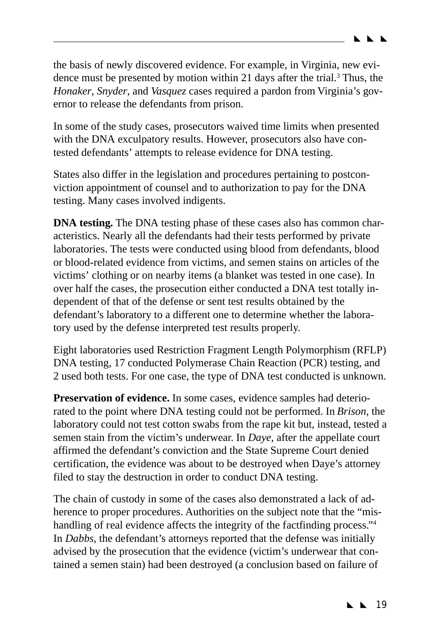the basis of newly discovered evidence. For example, in Virginia, new evidence must be presented by motion within 21 days after the trial.<sup>3</sup> Thus, the *Honaker*, *Snyder*, and *Vasquez* cases required a pardon from Virginia's governor to release the defendants from prison.

In some of the study cases, prosecutors waived time limits when presented with the DNA exculpatory results. However, prosecutors also have contested defendants' attempts to release evidence for DNA testing.

States also differ in the legislation and procedures pertaining to postconviction appointment of counsel and to authorization to pay for the DNA testing. Many cases involved indigents.

**DNA testing.** The DNA testing phase of these cases also has common characteristics. Nearly all the defendants had their tests performed by private laboratories. The tests were conducted using blood from defendants, blood or blood-related evidence from victims, and semen stains on articles of the victims' clothing or on nearby items (a blanket was tested in one case). In over half the cases, the prosecution either conducted a DNA test totally independent of that of the defense or sent test results obtained by the defendant's laboratory to a different one to determine whether the laboratory used by the defense interpreted test results properly.

Eight laboratories used Restriction Fragment Length Polymorphism (RFLP) DNA testing, 17 conducted Polymerase Chain Reaction (PCR) testing, and 2 used both tests. For one case, the type of DNA test conducted is unknown.

**Preservation of evidence.** In some cases, evidence samples had deteriorated to the point where DNA testing could not be performed. In *Brison*, the laboratory could not test cotton swabs from the rape kit but, instead, tested a semen stain from the victim's underwear. In *Daye*, after the appellate court affirmed the defendant's conviction and the State Supreme Court denied certification, the evidence was about to be destroyed when Daye's attorney filed to stay the destruction in order to conduct DNA testing.

The chain of custody in some of the cases also demonstrated a lack of adherence to proper procedures. Authorities on the subject note that the "mishandling of real evidence affects the integrity of the factfinding process."<sup>4</sup> In *Dabbs*, the defendant's attorneys reported that the defense was initially advised by the prosecution that the evidence (victim's underwear that contained a semen stain) had been destroyed (a conclusion based on failure of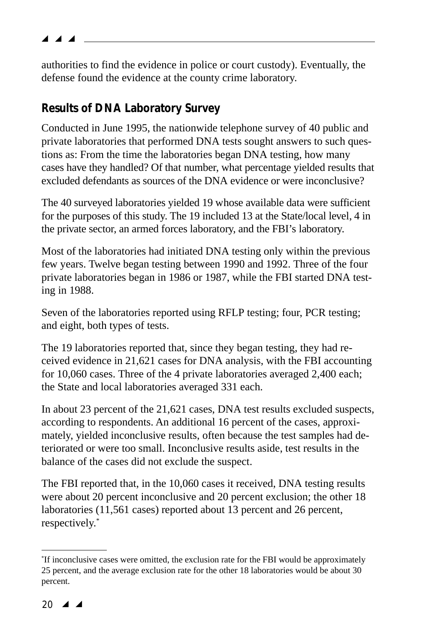authorities to find the evidence in police or court custody). Eventually, the defense found the evidence at the county crime laboratory.

### **Results of DNA Laboratory Survey**

Conducted in June 1995, the nationwide telephone survey of 40 public and private laboratories that performed DNA tests sought answers to such questions as: From the time the laboratories began DNA testing, how many cases have they handled? Of that number, what percentage yielded results that excluded defendants as sources of the DNA evidence or were inconclusive?

The 40 surveyed laboratories yielded 19 whose available data were sufficient for the purposes of this study. The 19 included 13 at the State/local level, 4 in the private sector, an armed forces laboratory, and the FBI's laboratory.

Most of the laboratories had initiated DNA testing only within the previous few years. Twelve began testing between 1990 and 1992. Three of the four private laboratories began in 1986 or 1987, while the FBI started DNA testing in 1988.

Seven of the laboratories reported using RFLP testing; four, PCR testing; and eight, both types of tests.

The 19 laboratories reported that, since they began testing, they had received evidence in 21,621 cases for DNA analysis, with the FBI accounting for 10,060 cases. Three of the 4 private laboratories averaged 2,400 each; the State and local laboratories averaged 331 each.

In about 23 percent of the 21,621 cases, DNA test results excluded suspects, according to respondents. An additional 16 percent of the cases, approximately, yielded inconclusive results, often because the test samples had deteriorated or were too small. Inconclusive results aside, test results in the balance of the cases did not exclude the suspect.

The FBI reported that, in the 10,060 cases it received, DNA testing results were about 20 percent inconclusive and 20 percent exclusion; the other 18 laboratories (11,561 cases) reported about 13 percent and 26 percent, respectively.\*

<sup>\*</sup> If inconclusive cases were omitted, the exclusion rate for the FBI would be approximately 25 percent, and the average exclusion rate for the other 18 laboratories would be about 30 percent.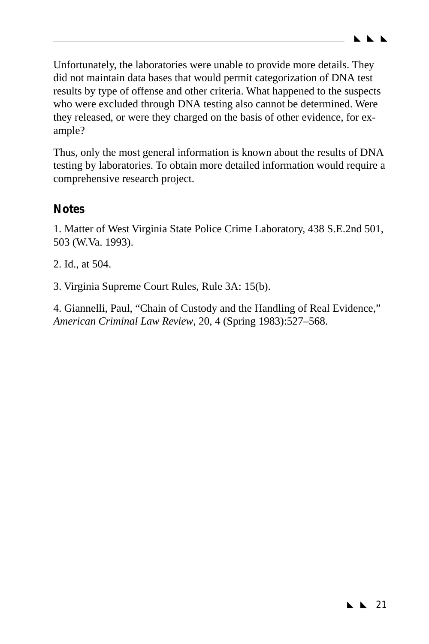Unfortunately, the laboratories were unable to provide more details. They did not maintain data bases that would permit categorization of DNA test results by type of offense and other criteria. What happened to the suspects who were excluded through DNA testing also cannot be determined. Were they released, or were they charged on the basis of other evidence, for ex-

Thus, only the most general information is known about the results of DNA testing by laboratories. To obtain more detailed information would require a comprehensive research project.

**Notes**

ample?

1. Matter of West Virginia State Police Crime Laboratory, 438 S.E.2nd 501, 503 (W.Va. 1993).

2. Id., at 504.

3. Virginia Supreme Court Rules, Rule 3A: 15(b).

4. Giannelli, Paul, "Chain of Custody and the Handling of Real Evidence," *American Criminal Law Review*, 20, 4 (Spring 1983):527–568.

### $\blacktriangle$  21

 $\mathbf{K}$  ,  $\mathbf{K}$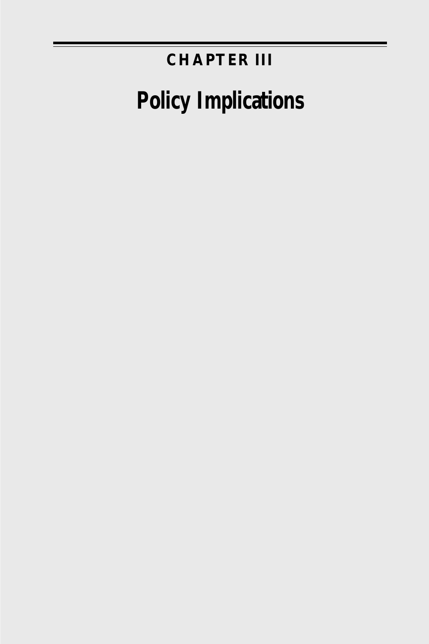# **CHAPTER III Policy Implications**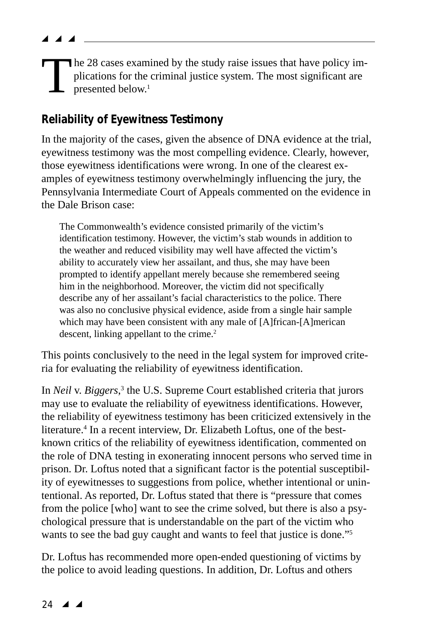### The 28 cases examined by the study raise issues that have policy implications for the criminal justice system. The most significant are presented below. $1$

### **Reliability of Eyewitness Testimony**

In the majority of the cases, given the absence of DNA evidence at the trial, eyewitness testimony was the most compelling evidence. Clearly, however, those eyewitness identifications were wrong. In one of the clearest examples of eyewitness testimony overwhelmingly influencing the jury, the Pennsylvania Intermediate Court of Appeals commented on the evidence in the Dale Brison case:

The Commonwealth's evidence consisted primarily of the victim's identification testimony. However, the victim's stab wounds in addition to the weather and reduced visibility may well have affected the victim's ability to accurately view her assailant, and thus, she may have been prompted to identify appellant merely because she remembered seeing him in the neighborhood. Moreover, the victim did not specifically describe any of her assailant's facial characteristics to the police. There was also no conclusive physical evidence, aside from a single hair sample which may have been consistent with any male of [A]frican-[A]merican descent, linking appellant to the crime.<sup>2</sup>

This points conclusively to the need in the legal system for improved criteria for evaluating the reliability of eyewitness identification.

In *Neil* v. *Biggers*, 3 the U.S. Supreme Court established criteria that jurors may use to evaluate the reliability of eyewitness identifications. However, the reliability of eyewitness testimony has been criticized extensively in the literature.<sup>4</sup> In a recent interview, Dr. Elizabeth Loftus, one of the bestknown critics of the reliability of eyewitness identification, commented on the role of DNA testing in exonerating innocent persons who served time in prison. Dr. Loftus noted that a significant factor is the potential susceptibility of eyewitnesses to suggestions from police, whether intentional or unintentional. As reported, Dr. Loftus stated that there is "pressure that comes from the police [who] want to see the crime solved, but there is also a psychological pressure that is understandable on the part of the victim who wants to see the bad guy caught and wants to feel that justice is done."<sup>5</sup>

Dr. Loftus has recommended more open-ended questioning of victims by the police to avoid leading questions. In addition, Dr. Loftus and others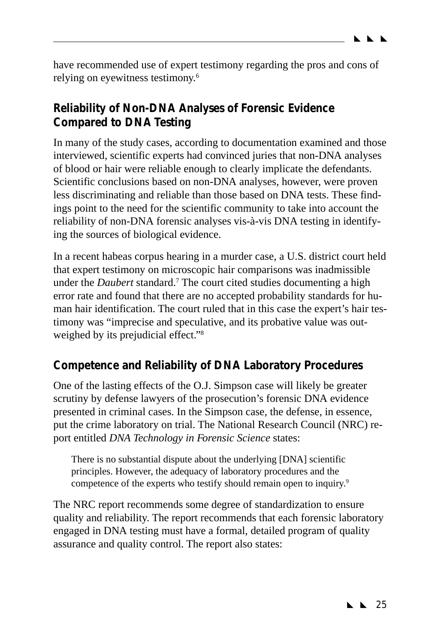have recommended use of expert testimony regarding the pros and cons of relying on eyewitness testimony.6

### **Reliability of Non-DNA Analyses of Forensic Evidence Compared to DNA Testing**

In many of the study cases, according to documentation examined and those interviewed, scientific experts had convinced juries that non-DNA analyses of blood or hair were reliable enough to clearly implicate the defendants. Scientific conclusions based on non-DNA analyses, however, were proven less discriminating and reliable than those based on DNA tests. These findings point to the need for the scientific community to take into account the reliability of non-DNA forensic analyses vis-à-vis DNA testing in identifying the sources of biological evidence.

In a recent habeas corpus hearing in a murder case, a U.S. district court held that expert testimony on microscopic hair comparisons was inadmissible under the *Daubert* standard.7 The court cited studies documenting a high error rate and found that there are no accepted probability standards for human hair identification. The court ruled that in this case the expert's hair testimony was "imprecise and speculative, and its probative value was outweighed by its prejudicial effect."8

### **Competence and Reliability of DNA Laboratory Procedures**

One of the lasting effects of the O.J. Simpson case will likely be greater scrutiny by defense lawyers of the prosecution's forensic DNA evidence presented in criminal cases. In the Simpson case, the defense, in essence, put the crime laboratory on trial. The National Research Council (NRC) report entitled *DNA Technology in Forensic Science* states:

There is no substantial dispute about the underlying [DNA] scientific principles. However, the adequacy of laboratory procedures and the competence of the experts who testify should remain open to inquiry.<sup>9</sup>

The NRC report recommends some degree of standardization to ensure quality and reliability. The report recommends that each forensic laboratory engaged in DNA testing must have a formal, detailed program of quality assurance and quality control. The report also states: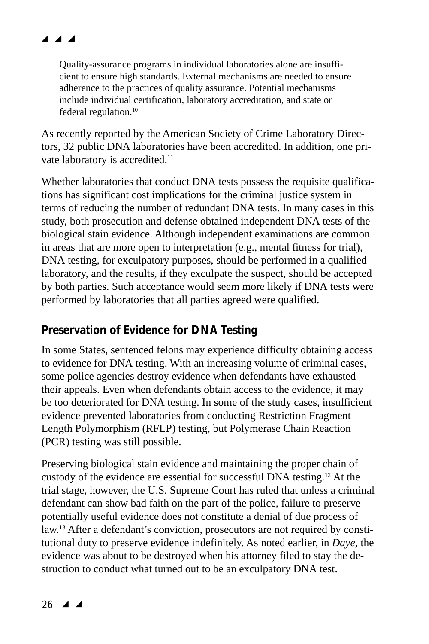Quality-assurance programs in individual laboratories alone are insufficient to ensure high standards. External mechanisms are needed to ensure adherence to the practices of quality assurance. Potential mechanisms include individual certification, laboratory accreditation, and state or federal regulation.10

As recently reported by the American Society of Crime Laboratory Directors, 32 public DNA laboratories have been accredited. In addition, one private laboratory is accredited.<sup>11</sup>

Whether laboratories that conduct DNA tests possess the requisite qualifications has significant cost implications for the criminal justice system in terms of reducing the number of redundant DNA tests. In many cases in this study, both prosecution and defense obtained independent DNA tests of the biological stain evidence. Although independent examinations are common in areas that are more open to interpretation (e.g., mental fitness for trial), DNA testing, for exculpatory purposes, should be performed in a qualified laboratory, and the results, if they exculpate the suspect, should be accepted by both parties. Such acceptance would seem more likely if DNA tests were performed by laboratories that all parties agreed were qualified.

### **Preservation of Evidence for DNA Testing**

In some States, sentenced felons may experience difficulty obtaining access to evidence for DNA testing. With an increasing volume of criminal cases, some police agencies destroy evidence when defendants have exhausted their appeals. Even when defendants obtain access to the evidence, it may be too deteriorated for DNA testing. In some of the study cases, insufficient evidence prevented laboratories from conducting Restriction Fragment Length Polymorphism (RFLP) testing, but Polymerase Chain Reaction (PCR) testing was still possible.

Preserving biological stain evidence and maintaining the proper chain of custody of the evidence are essential for successful DNA testing.<sup>12</sup> At the trial stage, however, the U.S. Supreme Court has ruled that unless a criminal defendant can show bad faith on the part of the police, failure to preserve potentially useful evidence does not constitute a denial of due process of law.13 After a defendant's conviction, prosecutors are not required by constitutional duty to preserve evidence indefinitely. As noted earlier, in *Daye*, the evidence was about to be destroyed when his attorney filed to stay the destruction to conduct what turned out to be an exculpatory DNA test.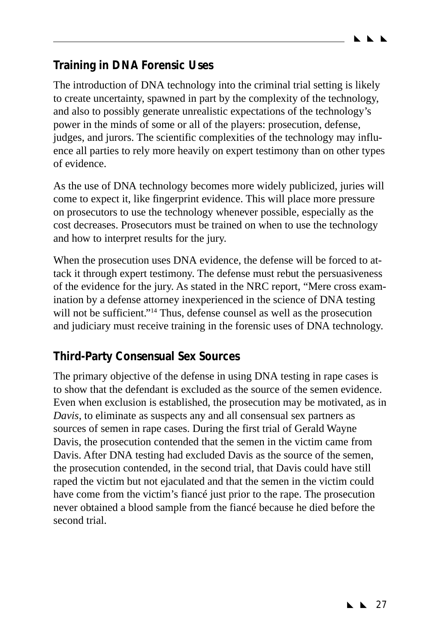### **Training in DNA Forensic Uses**

The introduction of DNA technology into the criminal trial setting is likely to create uncertainty, spawned in part by the complexity of the technology, and also to possibly generate unrealistic expectations of the technology's power in the minds of some or all of the players: prosecution, defense, judges, and jurors. The scientific complexities of the technology may influence all parties to rely more heavily on expert testimony than on other types of evidence.

As the use of DNA technology becomes more widely publicized, juries will come to expect it, like fingerprint evidence. This will place more pressure on prosecutors to use the technology whenever possible, especially as the cost decreases. Prosecutors must be trained on when to use the technology and how to interpret results for the jury.

When the prosecution uses DNA evidence, the defense will be forced to attack it through expert testimony. The defense must rebut the persuasiveness of the evidence for the jury. As stated in the NRC report, "Mere cross examination by a defense attorney inexperienced in the science of DNA testing will not be sufficient."<sup>14</sup> Thus, defense counsel as well as the prosecution and judiciary must receive training in the forensic uses of DNA technology.

### **Third-Party Consensual Sex Sources**

The primary objective of the defense in using DNA testing in rape cases is to show that the defendant is excluded as the source of the semen evidence. Even when exclusion is established, the prosecution may be motivated, as in *Davis*, to eliminate as suspects any and all consensual sex partners as sources of semen in rape cases. During the first trial of Gerald Wayne Davis, the prosecution contended that the semen in the victim came from Davis. After DNA testing had excluded Davis as the source of the semen, the prosecution contended, in the second trial, that Davis could have still raped the victim but not ejaculated and that the semen in the victim could have come from the victim's fiancé just prior to the rape. The prosecution never obtained a blood sample from the fiancé because he died before the second trial.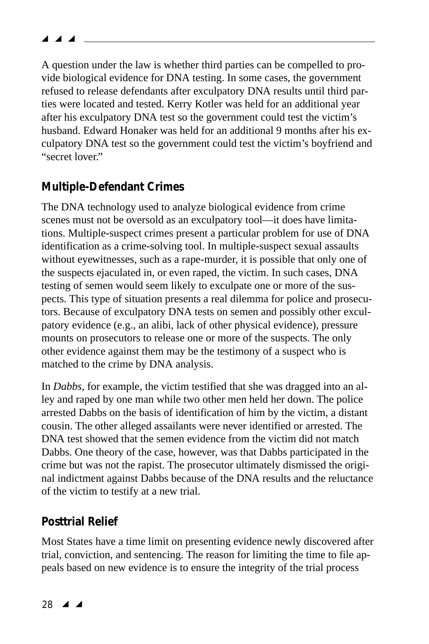A question under the law is whether third parties can be compelled to provide biological evidence for DNA testing. In some cases, the government refused to release defendants after exculpatory DNA results until third parties were located and tested. Kerry Kotler was held for an additional year after his exculpatory DNA test so the government could test the victim's husband. Edward Honaker was held for an additional 9 months after his exculpatory DNA test so the government could test the victim's boyfriend and "secret lover"

### **Multiple-Defendant Crimes**

The DNA technology used to analyze biological evidence from crime scenes must not be oversold as an exculpatory tool—it does have limitations. Multiple-suspect crimes present a particular problem for use of DNA identification as a crime-solving tool. In multiple-suspect sexual assaults without eyewitnesses, such as a rape-murder, it is possible that only one of the suspects ejaculated in, or even raped, the victim. In such cases, DNA testing of semen would seem likely to exculpate one or more of the suspects. This type of situation presents a real dilemma for police and prosecutors. Because of exculpatory DNA tests on semen and possibly other exculpatory evidence (e.g., an alibi, lack of other physical evidence), pressure mounts on prosecutors to release one or more of the suspects. The only other evidence against them may be the testimony of a suspect who is matched to the crime by DNA analysis.

In *Dabbs*, for example, the victim testified that she was dragged into an alley and raped by one man while two other men held her down. The police arrested Dabbs on the basis of identification of him by the victim, a distant cousin. The other alleged assailants were never identified or arrested. The DNA test showed that the semen evidence from the victim did not match Dabbs. One theory of the case, however, was that Dabbs participated in the crime but was not the rapist. The prosecutor ultimately dismissed the original indictment against Dabbs because of the DNA results and the reluctance of the victim to testify at a new trial.

### **Posttrial Relief**

Most States have a time limit on presenting evidence newly discovered after trial, conviction, and sentencing. The reason for limiting the time to file appeals based on new evidence is to ensure the integrity of the trial process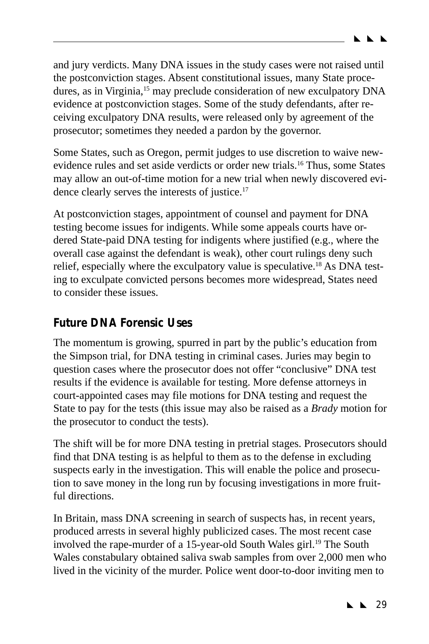and jury verdicts. Many DNA issues in the study cases were not raised until the postconviction stages. Absent constitutional issues, many State procedures, as in Virginia,<sup>15</sup> may preclude consideration of new exculpatory DNA evidence at postconviction stages. Some of the study defendants, after receiving exculpatory DNA results, were released only by agreement of the prosecutor; sometimes they needed a pardon by the governor.

Some States, such as Oregon, permit judges to use discretion to waive newevidence rules and set aside verdicts or order new trials.16 Thus, some States may allow an out-of-time motion for a new trial when newly discovered evidence clearly serves the interests of justice.<sup>17</sup>

At postconviction stages, appointment of counsel and payment for DNA testing become issues for indigents. While some appeals courts have ordered State-paid DNA testing for indigents where justified (e.g., where the overall case against the defendant is weak), other court rulings deny such relief, especially where the exculpatory value is speculative.<sup>18</sup> As DNA testing to exculpate convicted persons becomes more widespread, States need to consider these issues.

### **Future DNA Forensic Uses**

The momentum is growing, spurred in part by the public's education from the Simpson trial, for DNA testing in criminal cases. Juries may begin to question cases where the prosecutor does not offer "conclusive" DNA test results if the evidence is available for testing. More defense attorneys in court-appointed cases may file motions for DNA testing and request the State to pay for the tests (this issue may also be raised as a *Brady* motion for the prosecutor to conduct the tests).

The shift will be for more DNA testing in pretrial stages. Prosecutors should find that DNA testing is as helpful to them as to the defense in excluding suspects early in the investigation. This will enable the police and prosecution to save money in the long run by focusing investigations in more fruitful directions.

In Britain, mass DNA screening in search of suspects has, in recent years, produced arrests in several highly publicized cases. The most recent case involved the rape-murder of a 15-year-old South Wales girl.<sup>19</sup> The South Wales constabulary obtained saliva swab samples from over 2,000 men who lived in the vicinity of the murder. Police went door-to-door inviting men to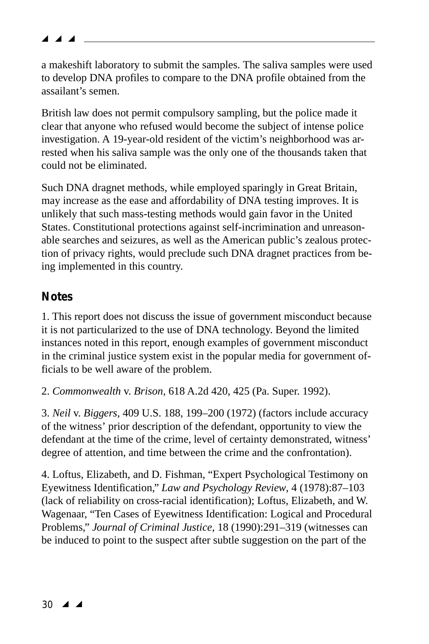a makeshift laboratory to submit the samples. The saliva samples were used to develop DNA profiles to compare to the DNA profile obtained from the assailant's semen.

British law does not permit compulsory sampling, but the police made it clear that anyone who refused would become the subject of intense police investigation. A 19-year-old resident of the victim's neighborhood was arrested when his saliva sample was the only one of the thousands taken that could not be eliminated.

Such DNA dragnet methods, while employed sparingly in Great Britain, may increase as the ease and affordability of DNA testing improves. It is unlikely that such mass-testing methods would gain favor in the United States. Constitutional protections against self-incrimination and unreasonable searches and seizures, as well as the American public's zealous protection of privacy rights, would preclude such DNA dragnet practices from being implemented in this country.

### **Notes**

1. This report does not discuss the issue of government misconduct because it is not particularized to the use of DNA technology. Beyond the limited instances noted in this report, enough examples of government misconduct in the criminal justice system exist in the popular media for government officials to be well aware of the problem.

2. *Commonwealth* v. *Brison*, 618 A.2d 420, 425 (Pa. Super. 1992).

3. *Neil* v. *Biggers*, 409 U.S. 188, 199–200 (1972) (factors include accuracy of the witness' prior description of the defendant, opportunity to view the defendant at the time of the crime, level of certainty demonstrated, witness' degree of attention, and time between the crime and the confrontation).

4. Loftus, Elizabeth, and D. Fishman, "Expert Psychological Testimony on Eyewitness Identification," *Law and Psychology Review*, 4 (1978):87–103 (lack of reliability on cross-racial identification); Loftus, Elizabeth, and W. Wagenaar, "Ten Cases of Eyewitness Identification: Logical and Procedural Problems," *Journal of Criminal Justice*, 18 (1990):291–319 (witnesses can be induced to point to the suspect after subtle suggestion on the part of the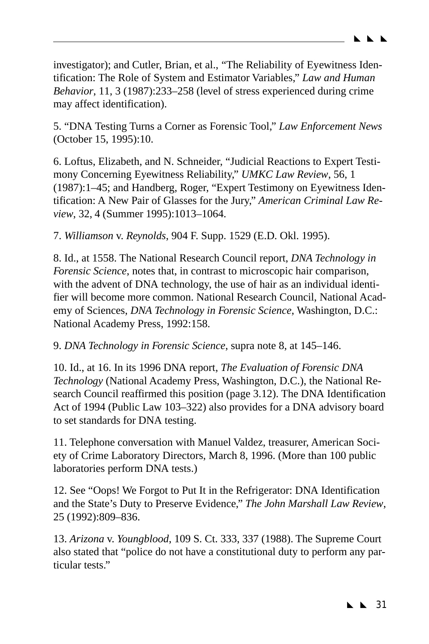investigator); and Cutler, Brian, et al., "The Reliability of Eyewitness Identification: The Role of System and Estimator Variables," *Law and Human Behavior*, 11, 3 (1987):233–258 (level of stress experienced during crime may affect identification).

5. "DNA Testing Turns a Corner as Forensic Tool," *Law Enforcement News* (October 15, 1995):10.

6. Loftus, Elizabeth, and N. Schneider, "Judicial Reactions to Expert Testimony Concerning Eyewitness Reliability," *UMKC Law Review*, 56, 1 (1987):1–45; and Handberg, Roger, "Expert Testimony on Eyewitness Identification: A New Pair of Glasses for the Jury," *American Criminal Law Review*, 32, 4 (Summer 1995):1013–1064.

7. *Williamson* v. *Reynolds*, 904 F. Supp. 1529 (E.D. Okl. 1995).

8. Id., at 1558. The National Research Council report, *DNA Technology in Forensic Science*, notes that, in contrast to microscopic hair comparison, with the advent of DNA technology, the use of hair as an individual identifier will become more common. National Research Council, National Academy of Sciences, *DNA Technology in Forensic Science*, Washington, D.C.: National Academy Press, 1992:158.

9. *DNA Technology in Forensic Science*, supra note 8, at 145–146.

10. Id., at 16. In its 1996 DNA report, *The Evaluation of Forensic DNA Technology* (National Academy Press, Washington, D.C.), the National Research Council reaffirmed this position (page 3.12). The DNA Identification Act of 1994 (Public Law 103–322) also provides for a DNA advisory board to set standards for DNA testing.

11. Telephone conversation with Manuel Valdez, treasurer, American Society of Crime Laboratory Directors, March 8, 1996. (More than 100 public laboratories perform DNA tests.)

12. See "Oops! We Forgot to Put It in the Refrigerator: DNA Identification and the State's Duty to Preserve Evidence," *The John Marshall Law Review*, 25 (1992):809–836.

13. *Arizona* v. *Youngblood*, 109 S. Ct. 333, 337 (1988). The Supreme Court also stated that "police do not have a constitutional duty to perform any particular tests."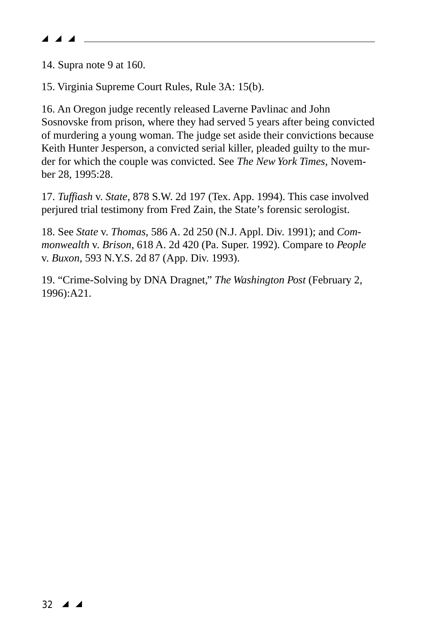14. Supra note 9 at 160.

15. Virginia Supreme Court Rules, Rule 3A: 15(b).

16. An Oregon judge recently released Laverne Pavlinac and John Sosnovske from prison, where they had served 5 years after being convicted of murdering a young woman. The judge set aside their convictions because Keith Hunter Jesperson, a convicted serial killer, pleaded guilty to the murder for which the couple was convicted. See *The New York Times*, November 28, 1995:28.

17. *Tuffiash* v. *State*, 878 S.W. 2d 197 (Tex. App. 1994). This case involved perjured trial testimony from Fred Zain, the State's forensic serologist.

18. See *State* v. *Thomas*, 586 A. 2d 250 (N.J. Appl. Div. 1991); and *Commonwealth* v. *Brison*, 618 A. 2d 420 (Pa. Super. 1992). Compare to *People* v. *Buxon*, 593 N.Y.S. 2d 87 (App. Div. 1993).

19. "Crime-Solving by DNA Dragnet," *The Washington Post* (February 2, 1996):A21.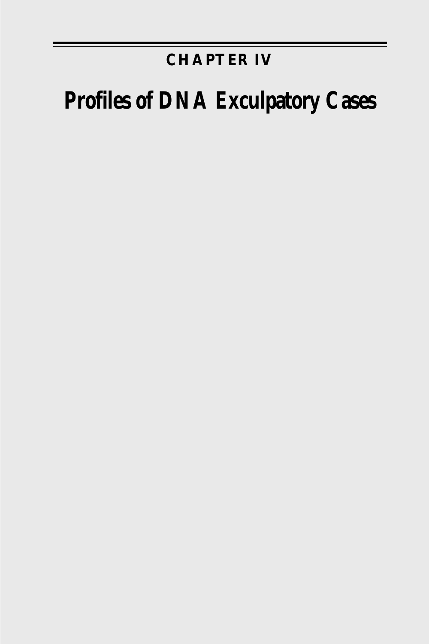## **CHAPTER IV**

## **Profiles of DNA Exculpatory Cases**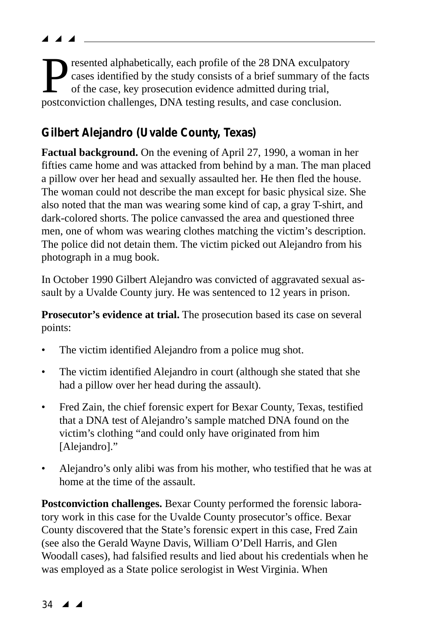resented alphabetically, each profile of the 28 DNA exculpatory cases identified by the study consists of a brief summary of the facts of the case, key prosecution evidence admitted during trial, postconviction challenges, DNA testing results, and case conclusion.

### **Gilbert Alejandro (Uvalde County, Texas)**

**Factual background.** On the evening of April 27, 1990, a woman in her fifties came home and was attacked from behind by a man. The man placed a pillow over her head and sexually assaulted her. He then fled the house. The woman could not describe the man except for basic physical size. She also noted that the man was wearing some kind of cap, a gray T-shirt, and dark-colored shorts. The police canvassed the area and questioned three men, one of whom was wearing clothes matching the victim's description. The police did not detain them. The victim picked out Alejandro from his photograph in a mug book.

In October 1990 Gilbert Alejandro was convicted of aggravated sexual assault by a Uvalde County jury. He was sentenced to 12 years in prison.

**Prosecutor's evidence at trial.** The prosecution based its case on several points:

- The victim identified Alejandro from a police mug shot.
- The victim identified Alejandro in court (although she stated that she had a pillow over her head during the assault).
- Fred Zain, the chief forensic expert for Bexar County, Texas, testified that a DNA test of Alejandro's sample matched DNA found on the victim's clothing "and could only have originated from him [Alejandro]."
- Alejandro's only alibi was from his mother, who testified that he was at home at the time of the assault.

**Postconviction challenges.** Bexar County performed the forensic laboratory work in this case for the Uvalde County prosecutor's office. Bexar County discovered that the State's forensic expert in this case, Fred Zain (see also the Gerald Wayne Davis, William O'Dell Harris, and Glen Woodall cases), had falsified results and lied about his credentials when he was employed as a State police serologist in West Virginia. When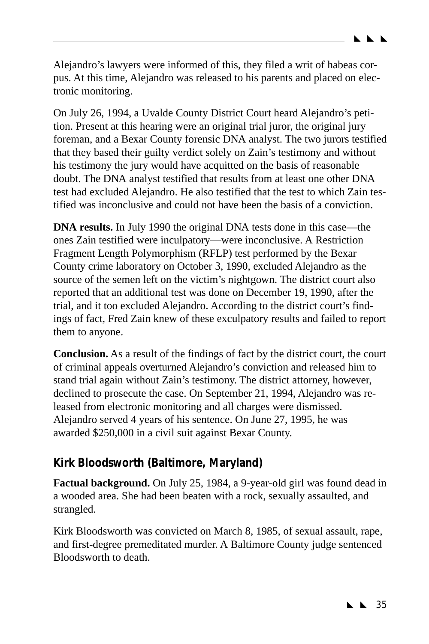Alejandro's lawyers were informed of this, they filed a writ of habeas corpus. At this time, Alejandro was released to his parents and placed on electronic monitoring.

On July 26, 1994, a Uvalde County District Court heard Alejandro's petition. Present at this hearing were an original trial juror, the original jury foreman, and a Bexar County forensic DNA analyst. The two jurors testified that they based their guilty verdict solely on Zain's testimony and without his testimony the jury would have acquitted on the basis of reasonable doubt. The DNA analyst testified that results from at least one other DNA test had excluded Alejandro. He also testified that the test to which Zain testified was inconclusive and could not have been the basis of a conviction.

**DNA results.** In July 1990 the original DNA tests done in this case—the ones Zain testified were inculpatory—were inconclusive. A Restriction Fragment Length Polymorphism (RFLP) test performed by the Bexar County crime laboratory on October 3, 1990, excluded Alejandro as the source of the semen left on the victim's nightgown. The district court also reported that an additional test was done on December 19, 1990, after the trial, and it too excluded Alejandro. According to the district court's findings of fact, Fred Zain knew of these exculpatory results and failed to report them to anyone.

**Conclusion.** As a result of the findings of fact by the district court, the court of criminal appeals overturned Alejandro's conviction and released him to stand trial again without Zain's testimony. The district attorney, however, declined to prosecute the case. On September 21, 1994, Alejandro was released from electronic monitoring and all charges were dismissed. Alejandro served 4 years of his sentence. On June 27, 1995, he was awarded \$250,000 in a civil suit against Bexar County.

### **Kirk Bloodsworth (Baltimore, Maryland)**

**Factual background.** On July 25, 1984, a 9-year-old girl was found dead in a wooded area. She had been beaten with a rock, sexually assaulted, and strangled.

Kirk Bloodsworth was convicted on March 8, 1985, of sexual assault, rape, and first-degree premeditated murder. A Baltimore County judge sentenced Bloodsworth to death.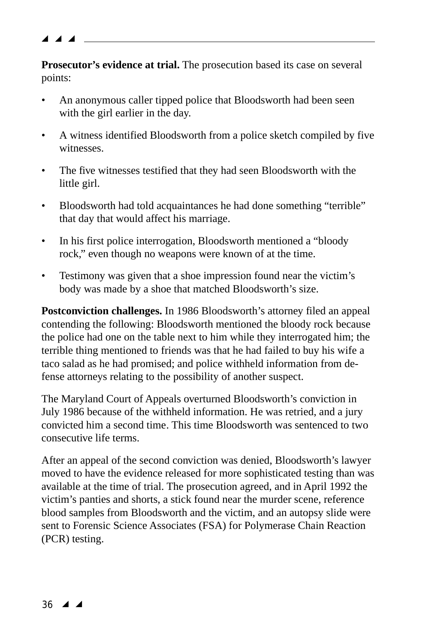**Prosecutor's evidence at trial.** The prosecution based its case on several points:

- An anonymous caller tipped police that Bloodsworth had been seen with the girl earlier in the day.
- A witness identified Bloodsworth from a police sketch compiled by five witnesses.
- The five witnesses testified that they had seen Bloodsworth with the little girl.
- Bloodsworth had told acquaintances he had done something "terrible" that day that would affect his marriage.
- In his first police interrogation, Bloodsworth mentioned a "bloody rock," even though no weapons were known of at the time.
- Testimony was given that a shoe impression found near the victim's body was made by a shoe that matched Bloodsworth's size.

**Postconviction challenges.** In 1986 Bloodsworth's attorney filed an appeal contending the following: Bloodsworth mentioned the bloody rock because the police had one on the table next to him while they interrogated him; the terrible thing mentioned to friends was that he had failed to buy his wife a taco salad as he had promised; and police withheld information from defense attorneys relating to the possibility of another suspect.

The Maryland Court of Appeals overturned Bloodsworth's conviction in July 1986 because of the withheld information. He was retried, and a jury convicted him a second time. This time Bloodsworth was sentenced to two consecutive life terms.

After an appeal of the second conviction was denied, Bloodsworth's lawyer moved to have the evidence released for more sophisticated testing than was available at the time of trial. The prosecution agreed, and in April 1992 the victim's panties and shorts, a stick found near the murder scene, reference blood samples from Bloodsworth and the victim, and an autopsy slide were sent to Forensic Science Associates (FSA) for Polymerase Chain Reaction (PCR) testing.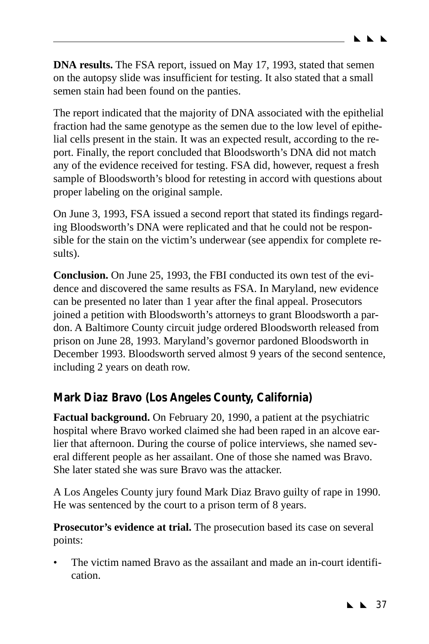**DNA results.** The FSA report, issued on May 17, 1993, stated that semen on the autopsy slide was insufficient for testing. It also stated that a small semen stain had been found on the panties.

The report indicated that the majority of DNA associated with the epithelial fraction had the same genotype as the semen due to the low level of epithelial cells present in the stain. It was an expected result, according to the report. Finally, the report concluded that Bloodsworth's DNA did not match any of the evidence received for testing. FSA did, however, request a fresh sample of Bloodsworth's blood for retesting in accord with questions about proper labeling on the original sample.

On June 3, 1993, FSA issued a second report that stated its findings regarding Bloodsworth's DNA were replicated and that he could not be responsible for the stain on the victim's underwear (see appendix for complete results).

**Conclusion.** On June 25, 1993, the FBI conducted its own test of the evidence and discovered the same results as FSA. In Maryland, new evidence can be presented no later than 1 year after the final appeal. Prosecutors joined a petition with Bloodsworth's attorneys to grant Bloodsworth a pardon. A Baltimore County circuit judge ordered Bloodsworth released from prison on June 28, 1993. Maryland's governor pardoned Bloodsworth in December 1993. Bloodsworth served almost 9 years of the second sentence, including 2 years on death row.

### **Mark Diaz Bravo (Los Angeles County, California)**

**Factual background.** On February 20, 1990, a patient at the psychiatric hospital where Bravo worked claimed she had been raped in an alcove earlier that afternoon. During the course of police interviews, she named several different people as her assailant. One of those she named was Bravo. She later stated she was sure Bravo was the attacker.

A Los Angeles County jury found Mark Diaz Bravo guilty of rape in 1990. He was sentenced by the court to a prison term of 8 years.

**Prosecutor's evidence at trial.** The prosecution based its case on several points:

• The victim named Bravo as the assailant and made an in-court identification.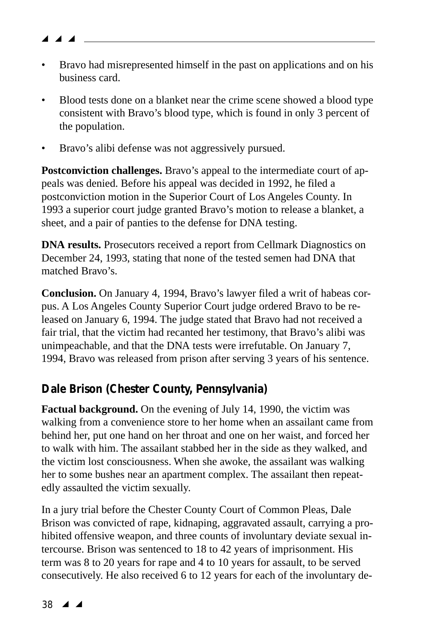- 
- Bravo had misrepresented himself in the past on applications and on his business card.
- Blood tests done on a blanket near the crime scene showed a blood type consistent with Bravo's blood type, which is found in only 3 percent of the population.
- Bravo's alibi defense was not aggressively pursued.

**Postconviction challenges.** Bravo's appeal to the intermediate court of appeals was denied. Before his appeal was decided in 1992, he filed a postconviction motion in the Superior Court of Los Angeles County. In 1993 a superior court judge granted Bravo's motion to release a blanket, a sheet, and a pair of panties to the defense for DNA testing.

**DNA results.** Prosecutors received a report from Cellmark Diagnostics on December 24, 1993, stating that none of the tested semen had DNA that matched Bravo's.

**Conclusion.** On January 4, 1994, Bravo's lawyer filed a writ of habeas corpus. A Los Angeles County Superior Court judge ordered Bravo to be released on January 6, 1994. The judge stated that Bravo had not received a fair trial, that the victim had recanted her testimony, that Bravo's alibi was unimpeachable, and that the DNA tests were irrefutable. On January 7, 1994, Bravo was released from prison after serving 3 years of his sentence.

### **Dale Brison (Chester County, Pennsylvania)**

**Factual background.** On the evening of July 14, 1990, the victim was walking from a convenience store to her home when an assailant came from behind her, put one hand on her throat and one on her waist, and forced her to walk with him. The assailant stabbed her in the side as they walked, and the victim lost consciousness. When she awoke, the assailant was walking her to some bushes near an apartment complex. The assailant then repeatedly assaulted the victim sexually.

In a jury trial before the Chester County Court of Common Pleas, Dale Brison was convicted of rape, kidnaping, aggravated assault, carrying a prohibited offensive weapon, and three counts of involuntary deviate sexual intercourse. Brison was sentenced to 18 to 42 years of imprisonment. His term was 8 to 20 years for rape and 4 to 10 years for assault, to be served consecutively. He also received 6 to 12 years for each of the involuntary de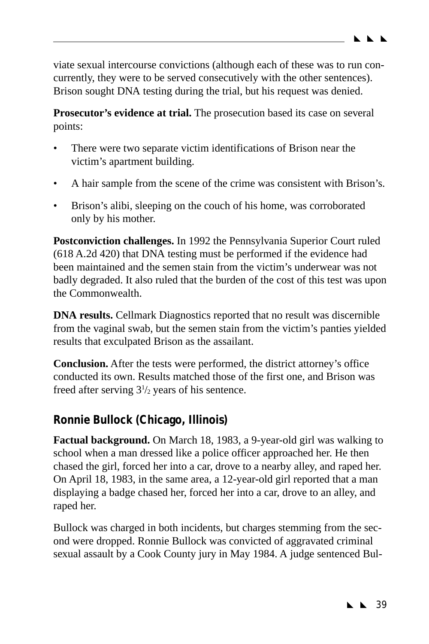viate sexual intercourse convictions (although each of these was to run concurrently, they were to be served consecutively with the other sentences). Brison sought DNA testing during the trial, but his request was denied.

**Prosecutor's evidence at trial.** The prosecution based its case on several points:

- There were two separate victim identifications of Brison near the victim's apartment building.
- A hair sample from the scene of the crime was consistent with Brison's.
- Brison's alibi, sleeping on the couch of his home, was corroborated only by his mother.

**Postconviction challenges.** In 1992 the Pennsylvania Superior Court ruled (618 A.2d 420) that DNA testing must be performed if the evidence had been maintained and the semen stain from the victim's underwear was not badly degraded. It also ruled that the burden of the cost of this test was upon the Commonwealth.

**DNA results.** Cellmark Diagnostics reported that no result was discernible from the vaginal swab, but the semen stain from the victim's panties yielded results that exculpated Brison as the assailant.

**Conclusion.** After the tests were performed, the district attorney's office conducted its own. Results matched those of the first one, and Brison was freed after serving  $3\frac{1}{2}$  years of his sentence.

### **Ronnie Bullock (Chicago, Illinois)**

**Factual background.** On March 18, 1983, a 9-year-old girl was walking to school when a man dressed like a police officer approached her. He then chased the girl, forced her into a car, drove to a nearby alley, and raped her. On April 18, 1983, in the same area, a 12-year-old girl reported that a man displaying a badge chased her, forced her into a car, drove to an alley, and raped her.

Bullock was charged in both incidents, but charges stemming from the second were dropped. Ronnie Bullock was convicted of aggravated criminal sexual assault by a Cook County jury in May 1984. A judge sentenced Bul-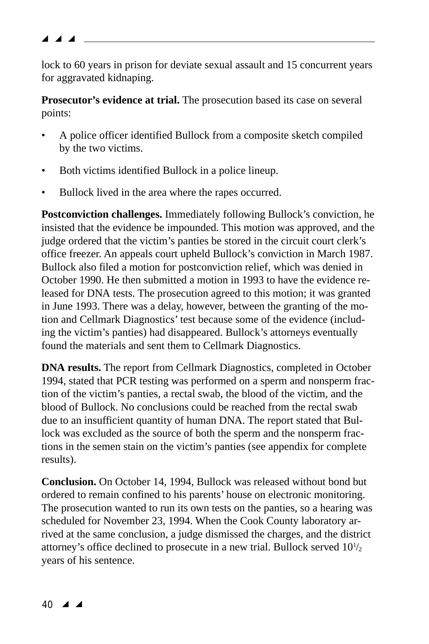lock to 60 years in prison for deviate sexual assault and 15 concurrent years for aggravated kidnaping.

**Prosecutor's evidence at trial.** The prosecution based its case on several points:

- A police officer identified Bullock from a composite sketch compiled by the two victims.
- Both victims identified Bullock in a police lineup.
- Bullock lived in the area where the rapes occurred.

**Postconviction challenges.** Immediately following Bullock's conviction, he insisted that the evidence be impounded. This motion was approved, and the judge ordered that the victim's panties be stored in the circuit court clerk's office freezer. An appeals court upheld Bullock's conviction in March 1987. Bullock also filed a motion for postconviction relief, which was denied in October 1990. He then submitted a motion in 1993 to have the evidence released for DNA tests. The prosecution agreed to this motion; it was granted in June 1993. There was a delay, however, between the granting of the motion and Cellmark Diagnostics' test because some of the evidence (including the victim's panties) had disappeared. Bullock's attorneys eventually found the materials and sent them to Cellmark Diagnostics.

**DNA results.** The report from Cellmark Diagnostics, completed in October 1994, stated that PCR testing was performed on a sperm and nonsperm fraction of the victim's panties, a rectal swab, the blood of the victim, and the blood of Bullock. No conclusions could be reached from the rectal swab due to an insufficient quantity of human DNA. The report stated that Bullock was excluded as the source of both the sperm and the nonsperm fractions in the semen stain on the victim's panties (see appendix for complete results).

**Conclusion.** On October 14, 1994, Bullock was released without bond but ordered to remain confined to his parents' house on electronic monitoring. The prosecution wanted to run its own tests on the panties, so a hearing was scheduled for November 23, 1994. When the Cook County laboratory arrived at the same conclusion, a judge dismissed the charges, and the district attorney's office declined to prosecute in a new trial. Bullock served  $10^{1/2}$ years of his sentence.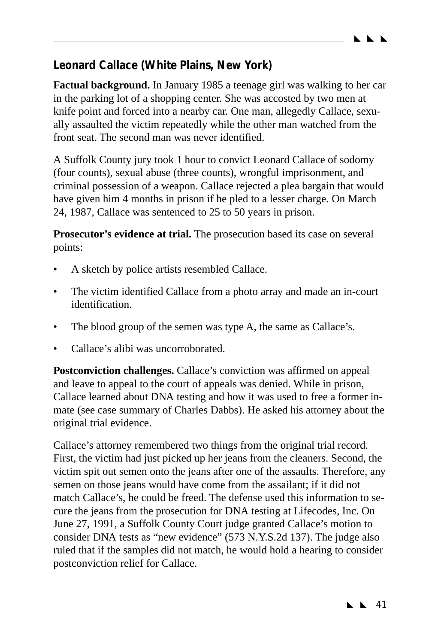### **Leonard Callace (White Plains, New York)**

**Factual background.** In January 1985 a teenage girl was walking to her car in the parking lot of a shopping center. She was accosted by two men at knife point and forced into a nearby car. One man, allegedly Callace, sexually assaulted the victim repeatedly while the other man watched from the front seat. The second man was never identified.

A Suffolk County jury took 1 hour to convict Leonard Callace of sodomy (four counts), sexual abuse (three counts), wrongful imprisonment, and criminal possession of a weapon. Callace rejected a plea bargain that would have given him 4 months in prison if he pled to a lesser charge. On March 24, 1987, Callace was sentenced to 25 to 50 years in prison.

**Prosecutor's evidence at trial.** The prosecution based its case on several points:

- A sketch by police artists resembled Callace.
- The victim identified Callace from a photo array and made an in-court identification.
- The blood group of the semen was type A, the same as Callace's.
- Callace's alibi was uncorroborated.

**Postconviction challenges.** Callace's conviction was affirmed on appeal and leave to appeal to the court of appeals was denied. While in prison, Callace learned about DNA testing and how it was used to free a former inmate (see case summary of Charles Dabbs). He asked his attorney about the original trial evidence.

Callace's attorney remembered two things from the original trial record. First, the victim had just picked up her jeans from the cleaners. Second, the victim spit out semen onto the jeans after one of the assaults. Therefore, any semen on those jeans would have come from the assailant; if it did not match Callace's, he could be freed. The defense used this information to secure the jeans from the prosecution for DNA testing at Lifecodes, Inc. On June 27, 1991, a Suffolk County Court judge granted Callace's motion to consider DNA tests as "new evidence" (573 N.Y.S.2d 137). The judge also ruled that if the samples did not match, he would hold a hearing to consider postconviction relief for Callace.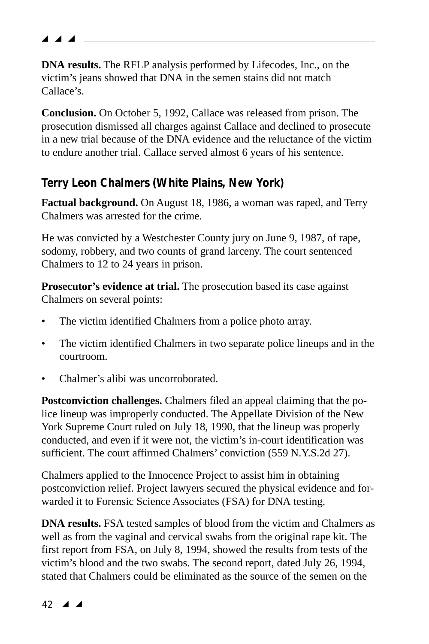$\blacktriangle$   $\blacktriangle$   $\blacktriangle$ 

**DNA results.** The RFLP analysis performed by Lifecodes, Inc., on the victim's jeans showed that DNA in the semen stains did not match Callace's.

**Conclusion.** On October 5, 1992, Callace was released from prison. The prosecution dismissed all charges against Callace and declined to prosecute in a new trial because of the DNA evidence and the reluctance of the victim to endure another trial. Callace served almost 6 years of his sentence.

**Terry Leon Chalmers (White Plains, New York)**

**Factual background.** On August 18, 1986, a woman was raped, and Terry Chalmers was arrested for the crime.

He was convicted by a Westchester County jury on June 9, 1987, of rape, sodomy, robbery, and two counts of grand larceny. The court sentenced Chalmers to 12 to 24 years in prison.

**Prosecutor's evidence at trial.** The prosecution based its case against Chalmers on several points:

- The victim identified Chalmers from a police photo array.
- The victim identified Chalmers in two separate police lineups and in the courtroom.
- Chalmer's alibi was uncorroborated.

**Postconviction challenges.** Chalmers filed an appeal claiming that the police lineup was improperly conducted. The Appellate Division of the New York Supreme Court ruled on July 18, 1990, that the lineup was properly conducted, and even if it were not, the victim's in-court identification was sufficient. The court affirmed Chalmers' conviction (559 N.Y.S.2d 27).

Chalmers applied to the Innocence Project to assist him in obtaining postconviction relief. Project lawyers secured the physical evidence and forwarded it to Forensic Science Associates (FSA) for DNA testing.

**DNA results.** FSA tested samples of blood from the victim and Chalmers as well as from the vaginal and cervical swabs from the original rape kit. The first report from FSA, on July 8, 1994, showed the results from tests of the victim's blood and the two swabs. The second report, dated July 26, 1994, stated that Chalmers could be eliminated as the source of the semen on the

### 42  $\blacktriangle$   $\blacktriangle$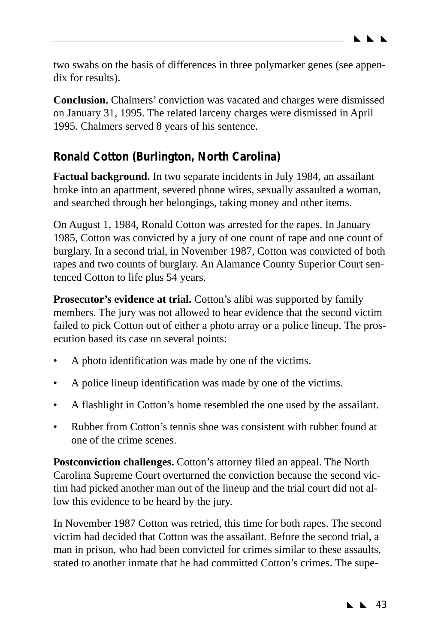two swabs on the basis of differences in three polymarker genes (see appendix for results).

**Conclusion.** Chalmers' conviction was vacated and charges were dismissed on January 31, 1995. The related larceny charges were dismissed in April 1995. Chalmers served 8 years of his sentence.

# **Ronald Cotton (Burlington, North Carolina)**

**Factual background.** In two separate incidents in July 1984, an assailant broke into an apartment, severed phone wires, sexually assaulted a woman, and searched through her belongings, taking money and other items.

On August 1, 1984, Ronald Cotton was arrested for the rapes. In January 1985, Cotton was convicted by a jury of one count of rape and one count of burglary. In a second trial, in November 1987, Cotton was convicted of both rapes and two counts of burglary. An Alamance County Superior Court sentenced Cotton to life plus 54 years.

**Prosecutor's evidence at trial.** Cotton's alibi was supported by family members. The jury was not allowed to hear evidence that the second victim failed to pick Cotton out of either a photo array or a police lineup. The prosecution based its case on several points:

- A photo identification was made by one of the victims.
- A police lineup identification was made by one of the victims.
- A flashlight in Cotton's home resembled the one used by the assailant.
- Rubber from Cotton's tennis shoe was consistent with rubber found at one of the crime scenes.

**Postconviction challenges.** Cotton's attorney filed an appeal. The North Carolina Supreme Court overturned the conviction because the second victim had picked another man out of the lineup and the trial court did not allow this evidence to be heard by the jury.

In November 1987 Cotton was retried, this time for both rapes. The second victim had decided that Cotton was the assailant. Before the second trial, a man in prison, who had been convicted for crimes similar to these assaults, stated to another inmate that he had committed Cotton's crimes. The supe-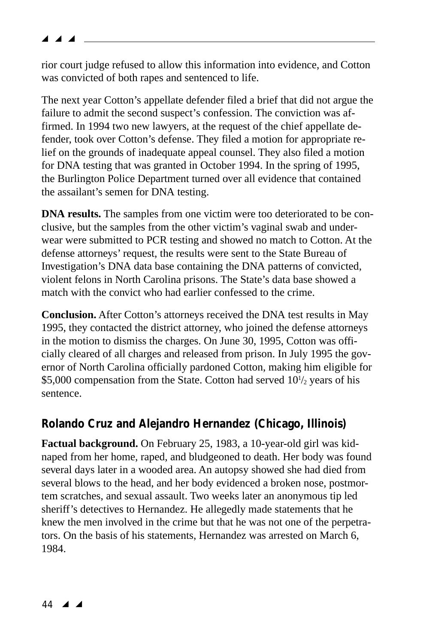rior court judge refused to allow this information into evidence, and Cotton was convicted of both rapes and sentenced to life.

The next year Cotton's appellate defender filed a brief that did not argue the failure to admit the second suspect's confession. The conviction was affirmed. In 1994 two new lawyers, at the request of the chief appellate defender, took over Cotton's defense. They filed a motion for appropriate relief on the grounds of inadequate appeal counsel. They also filed a motion for DNA testing that was granted in October 1994. In the spring of 1995, the Burlington Police Department turned over all evidence that contained the assailant's semen for DNA testing.

**DNA results.** The samples from one victim were too deteriorated to be conclusive, but the samples from the other victim's vaginal swab and underwear were submitted to PCR testing and showed no match to Cotton. At the defense attorneys' request, the results were sent to the State Bureau of Investigation's DNA data base containing the DNA patterns of convicted, violent felons in North Carolina prisons. The State's data base showed a match with the convict who had earlier confessed to the crime.

**Conclusion.** After Cotton's attorneys received the DNA test results in May 1995, they contacted the district attorney, who joined the defense attorneys in the motion to dismiss the charges. On June 30, 1995, Cotton was officially cleared of all charges and released from prison. In July 1995 the governor of North Carolina officially pardoned Cotton, making him eligible for \$5,000 compensation from the State. Cotton had served  $10\frac{1}{2}$  years of his sentence.

**Rolando Cruz and Alejandro Hernandez (Chicago, Illinois)**

**Factual background.** On February 25, 1983, a 10-year-old girl was kidnaped from her home, raped, and bludgeoned to death. Her body was found several days later in a wooded area. An autopsy showed she had died from several blows to the head, and her body evidenced a broken nose, postmortem scratches, and sexual assault. Two weeks later an anonymous tip led sheriff's detectives to Hernandez. He allegedly made statements that he knew the men involved in the crime but that he was not one of the perpetrators. On the basis of his statements, Hernandez was arrested on March 6, 1984.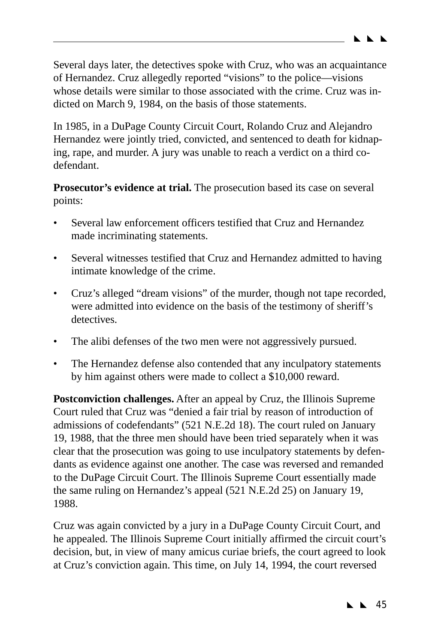Several days later, the detectives spoke with Cruz, who was an acquaintance of Hernandez. Cruz allegedly reported "visions" to the police—visions whose details were similar to those associated with the crime. Cruz was indicted on March 9, 1984, on the basis of those statements.

In 1985, in a DuPage County Circuit Court, Rolando Cruz and Alejandro Hernandez were jointly tried, convicted, and sentenced to death for kidnaping, rape, and murder. A jury was unable to reach a verdict on a third codefendant.

**Prosecutor's evidence at trial.** The prosecution based its case on several points:

- Several law enforcement officers testified that Cruz and Hernandez made incriminating statements.
- Several witnesses testified that Cruz and Hernandez admitted to having intimate knowledge of the crime.
- Cruz's alleged "dream visions" of the murder, though not tape recorded, were admitted into evidence on the basis of the testimony of sheriff's detectives.
- The alibi defenses of the two men were not aggressively pursued.
- The Hernandez defense also contended that any inculpatory statements by him against others were made to collect a \$10,000 reward.

**Postconviction challenges.** After an appeal by Cruz, the Illinois Supreme Court ruled that Cruz was "denied a fair trial by reason of introduction of admissions of codefendants" (521 N.E.2d 18). The court ruled on January 19, 1988, that the three men should have been tried separately when it was clear that the prosecution was going to use inculpatory statements by defendants as evidence against one another. The case was reversed and remanded to the DuPage Circuit Court. The Illinois Supreme Court essentially made the same ruling on Hernandez's appeal (521 N.E.2d 25) on January 19, 1988.

Cruz was again convicted by a jury in a DuPage County Circuit Court, and he appealed. The Illinois Supreme Court initially affirmed the circuit court's decision, but, in view of many amicus curiae briefs, the court agreed to look at Cruz's conviction again. This time, on July 14, 1994, the court reversed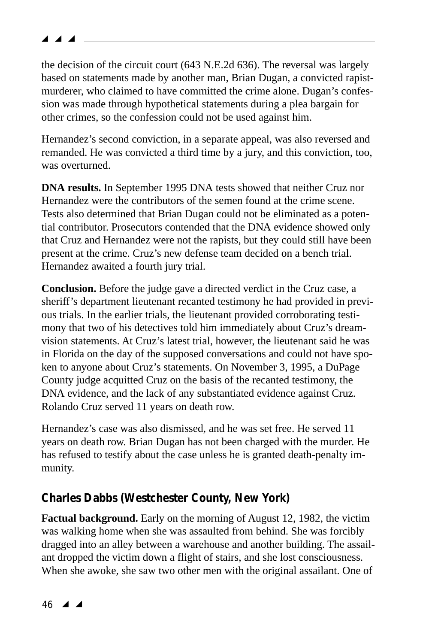the decision of the circuit court (643 N.E.2d 636). The reversal was largely based on statements made by another man, Brian Dugan, a convicted rapistmurderer, who claimed to have committed the crime alone. Dugan's confession was made through hypothetical statements during a plea bargain for other crimes, so the confession could not be used against him.

Hernandez's second conviction, in a separate appeal, was also reversed and remanded. He was convicted a third time by a jury, and this conviction, too, was overturned.

**DNA results.** In September 1995 DNA tests showed that neither Cruz nor Hernandez were the contributors of the semen found at the crime scene. Tests also determined that Brian Dugan could not be eliminated as a potential contributor. Prosecutors contended that the DNA evidence showed only that Cruz and Hernandez were not the rapists, but they could still have been present at the crime. Cruz's new defense team decided on a bench trial. Hernandez awaited a fourth jury trial.

**Conclusion.** Before the judge gave a directed verdict in the Cruz case, a sheriff's department lieutenant recanted testimony he had provided in previous trials. In the earlier trials, the lieutenant provided corroborating testimony that two of his detectives told him immediately about Cruz's dreamvision statements. At Cruz's latest trial, however, the lieutenant said he was in Florida on the day of the supposed conversations and could not have spoken to anyone about Cruz's statements. On November 3, 1995, a DuPage County judge acquitted Cruz on the basis of the recanted testimony, the DNA evidence, and the lack of any substantiated evidence against Cruz. Rolando Cruz served 11 years on death row.

Hernandez's case was also dismissed, and he was set free. He served 11 years on death row. Brian Dugan has not been charged with the murder. He has refused to testify about the case unless he is granted death-penalty immunity.

### **Charles Dabbs (Westchester County, New York)**

**Factual background.** Early on the morning of August 12, 1982, the victim was walking home when she was assaulted from behind. She was forcibly dragged into an alley between a warehouse and another building. The assailant dropped the victim down a flight of stairs, and she lost consciousness. When she awoke, she saw two other men with the original assailant. One of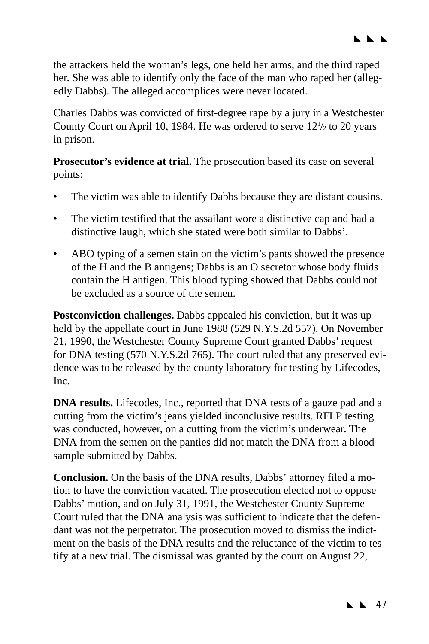the attackers held the woman's legs, one held her arms, and the third raped her. She was able to identify only the face of the man who raped her (allegedly Dabbs). The alleged accomplices were never located.

Charles Dabbs was convicted of first-degree rape by a jury in a Westchester County Court on April 10, 1984. He was ordered to serve  $12^{1/2}$  to 20 years in prison.

**Prosecutor's evidence at trial.** The prosecution based its case on several points:

- The victim was able to identify Dabbs because they are distant cousins.
- The victim testified that the assailant wore a distinctive cap and had a distinctive laugh, which she stated were both similar to Dabbs'.
- ABO typing of a semen stain on the victim's pants showed the presence of the H and the B antigens; Dabbs is an O secretor whose body fluids contain the H antigen. This blood typing showed that Dabbs could not be excluded as a source of the semen.

**Postconviction challenges.** Dabbs appealed his conviction, but it was upheld by the appellate court in June 1988 (529 N.Y.S.2d 557). On November 21, 1990, the Westchester County Supreme Court granted Dabbs' request for DNA testing (570 N.Y.S.2d 765). The court ruled that any preserved evidence was to be released by the county laboratory for testing by Lifecodes, Inc.

**DNA results.** Lifecodes, Inc., reported that DNA tests of a gauze pad and a cutting from the victim's jeans yielded inconclusive results. RFLP testing was conducted, however, on a cutting from the victim's underwear. The DNA from the semen on the panties did not match the DNA from a blood sample submitted by Dabbs.

**Conclusion.** On the basis of the DNA results, Dabbs' attorney filed a motion to have the conviction vacated. The prosecution elected not to oppose Dabbs' motion, and on July 31, 1991, the Westchester County Supreme Court ruled that the DNA analysis was sufficient to indicate that the defendant was not the perpetrator. The prosecution moved to dismiss the indictment on the basis of the DNA results and the reluctance of the victim to testify at a new trial. The dismissal was granted by the court on August 22,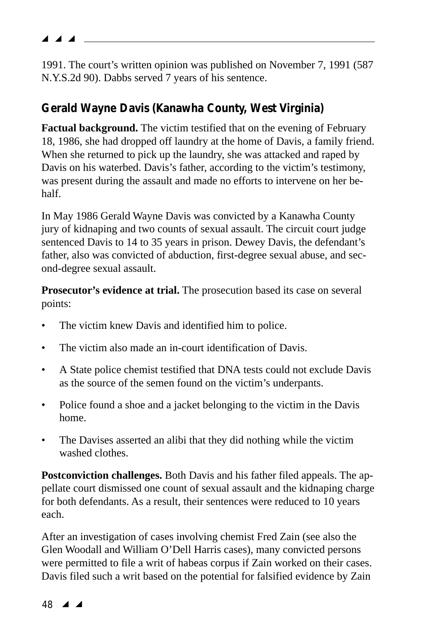1991. The court's written opinion was published on November 7, 1991 (587 N.Y.S.2d 90). Dabbs served 7 years of his sentence.

### **Gerald Wayne Davis (Kanawha County, West Virginia)**

**Factual background.** The victim testified that on the evening of February 18, 1986, she had dropped off laundry at the home of Davis, a family friend. When she returned to pick up the laundry, she was attacked and raped by Davis on his waterbed. Davis's father, according to the victim's testimony, was present during the assault and made no efforts to intervene on her behalf.

In May 1986 Gerald Wayne Davis was convicted by a Kanawha County jury of kidnaping and two counts of sexual assault. The circuit court judge sentenced Davis to 14 to 35 years in prison. Dewey Davis, the defendant's father, also was convicted of abduction, first-degree sexual abuse, and second-degree sexual assault.

**Prosecutor's evidence at trial.** The prosecution based its case on several points:

- The victim knew Davis and identified him to police.
- The victim also made an in-court identification of Davis.
- A State police chemist testified that DNA tests could not exclude Davis as the source of the semen found on the victim's underpants.
- Police found a shoe and a jacket belonging to the victim in the Davis home.
- The Davises asserted an alibi that they did nothing while the victim washed clothes.

**Postconviction challenges.** Both Davis and his father filed appeals. The appellate court dismissed one count of sexual assault and the kidnaping charge for both defendants. As a result, their sentences were reduced to 10 years each.

After an investigation of cases involving chemist Fred Zain (see also the Glen Woodall and William O'Dell Harris cases), many convicted persons were permitted to file a writ of habeas corpus if Zain worked on their cases. Davis filed such a writ based on the potential for falsified evidence by Zain

48 ▲ ▲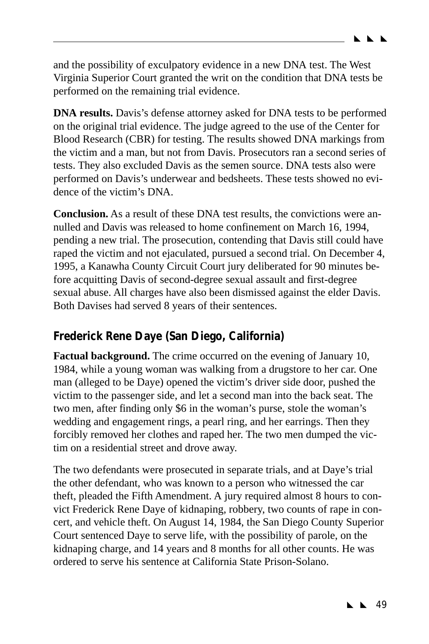and the possibility of exculpatory evidence in a new DNA test. The West Virginia Superior Court granted the writ on the condition that DNA tests be performed on the remaining trial evidence.

**DNA results.** Davis's defense attorney asked for DNA tests to be performed on the original trial evidence. The judge agreed to the use of the Center for Blood Research (CBR) for testing. The results showed DNA markings from the victim and a man, but not from Davis. Prosecutors ran a second series of tests. They also excluded Davis as the semen source. DNA tests also were performed on Davis's underwear and bedsheets. These tests showed no evidence of the victim's DNA.

**Conclusion.** As a result of these DNA test results, the convictions were annulled and Davis was released to home confinement on March 16, 1994, pending a new trial. The prosecution, contending that Davis still could have raped the victim and not ejaculated, pursued a second trial. On December 4, 1995, a Kanawha County Circuit Court jury deliberated for 90 minutes before acquitting Davis of second-degree sexual assault and first-degree sexual abuse. All charges have also been dismissed against the elder Davis. Both Davises had served 8 years of their sentences.

### **Frederick Rene Daye (San Diego, California)**

**Factual background.** The crime occurred on the evening of January 10, 1984, while a young woman was walking from a drugstore to her car. One man (alleged to be Daye) opened the victim's driver side door, pushed the victim to the passenger side, and let a second man into the back seat. The two men, after finding only \$6 in the woman's purse, stole the woman's wedding and engagement rings, a pearl ring, and her earrings. Then they forcibly removed her clothes and raped her. The two men dumped the victim on a residential street and drove away.

The two defendants were prosecuted in separate trials, and at Daye's trial the other defendant, who was known to a person who witnessed the car theft, pleaded the Fifth Amendment. A jury required almost 8 hours to convict Frederick Rene Daye of kidnaping, robbery, two counts of rape in concert, and vehicle theft. On August 14, 1984, the San Diego County Superior Court sentenced Daye to serve life, with the possibility of parole, on the kidnaping charge, and 14 years and 8 months for all other counts. He was ordered to serve his sentence at California State Prison-Solano.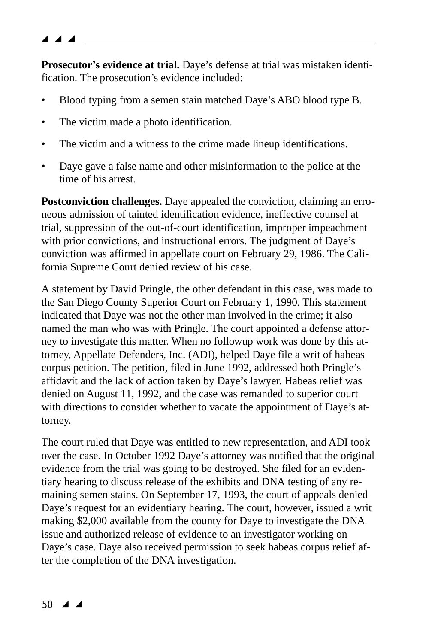**Prosecutor's evidence at trial.** Daye's defense at trial was mistaken identification. The prosecution's evidence included:

- Blood typing from a semen stain matched Daye's ABO blood type B.
- The victim made a photo identification.
- The victim and a witness to the crime made lineup identifications.
- Daye gave a false name and other misinformation to the police at the time of his arrest.

**Postconviction challenges.** Daye appealed the conviction, claiming an erroneous admission of tainted identification evidence, ineffective counsel at trial, suppression of the out-of-court identification, improper impeachment with prior convictions, and instructional errors. The judgment of Daye's conviction was affirmed in appellate court on February 29, 1986. The California Supreme Court denied review of his case.

A statement by David Pringle, the other defendant in this case, was made to the San Diego County Superior Court on February 1, 1990. This statement indicated that Daye was not the other man involved in the crime; it also named the man who was with Pringle. The court appointed a defense attorney to investigate this matter. When no followup work was done by this attorney, Appellate Defenders, Inc. (ADI), helped Daye file a writ of habeas corpus petition. The petition, filed in June 1992, addressed both Pringle's affidavit and the lack of action taken by Daye's lawyer. Habeas relief was denied on August 11, 1992, and the case was remanded to superior court with directions to consider whether to vacate the appointment of Daye's attorney.

The court ruled that Daye was entitled to new representation, and ADI took over the case. In October 1992 Daye's attorney was notified that the original evidence from the trial was going to be destroyed. She filed for an evidentiary hearing to discuss release of the exhibits and DNA testing of any remaining semen stains. On September 17, 1993, the court of appeals denied Daye's request for an evidentiary hearing. The court, however, issued a writ making \$2,000 available from the county for Daye to investigate the DNA issue and authorized release of evidence to an investigator working on Daye's case. Daye also received permission to seek habeas corpus relief after the completion of the DNA investigation.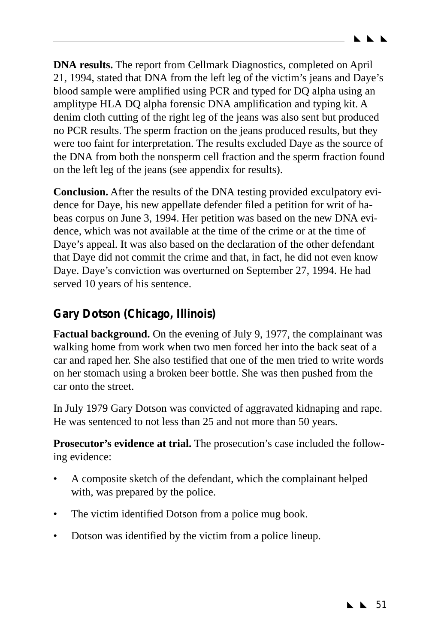**DNA results.** The report from Cellmark Diagnostics, completed on April 21, 1994, stated that DNA from the left leg of the victim's jeans and Daye's blood sample were amplified using PCR and typed for DQ alpha using an amplitype HLA DQ alpha forensic DNA amplification and typing kit. A denim cloth cutting of the right leg of the jeans was also sent but produced no PCR results. The sperm fraction on the jeans produced results, but they were too faint for interpretation. The results excluded Daye as the source of the DNA from both the nonsperm cell fraction and the sperm fraction found on the left leg of the jeans (see appendix for results).

**Conclusion.** After the results of the DNA testing provided exculpatory evidence for Daye, his new appellate defender filed a petition for writ of habeas corpus on June 3, 1994. Her petition was based on the new DNA evidence, which was not available at the time of the crime or at the time of Daye's appeal. It was also based on the declaration of the other defendant that Daye did not commit the crime and that, in fact, he did not even know Daye. Daye's conviction was overturned on September 27, 1994. He had served 10 years of his sentence.

# **Gary Dotson (Chicago, Illinois)**

**Factual background.** On the evening of July 9, 1977, the complainant was walking home from work when two men forced her into the back seat of a car and raped her. She also testified that one of the men tried to write words on her stomach using a broken beer bottle. She was then pushed from the car onto the street.

In July 1979 Gary Dotson was convicted of aggravated kidnaping and rape. He was sentenced to not less than 25 and not more than 50 years.

**Prosecutor's evidence at trial.** The prosecution's case included the following evidence:

- A composite sketch of the defendant, which the complainant helped with, was prepared by the police.
- The victim identified Dotson from a police mug book.
- Dotson was identified by the victim from a police lineup.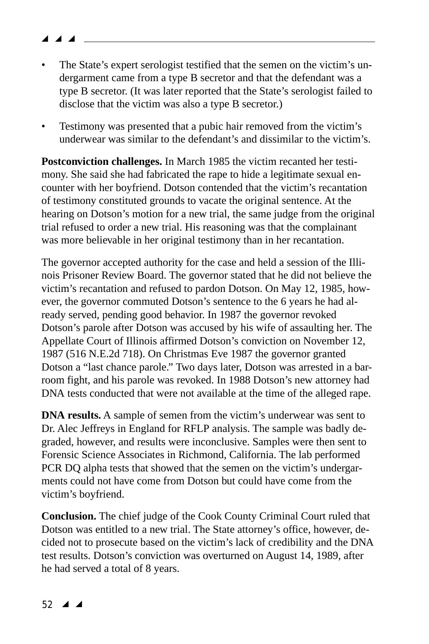- The State's expert serologist testified that the semen on the victim's undergarment came from a type B secretor and that the defendant was a type B secretor. (It was later reported that the State's serologist failed to disclose that the victim was also a type B secretor.)
- Testimony was presented that a pubic hair removed from the victim's underwear was similar to the defendant's and dissimilar to the victim's.

**Postconviction challenges.** In March 1985 the victim recanted her testimony. She said she had fabricated the rape to hide a legitimate sexual encounter with her boyfriend. Dotson contended that the victim's recantation of testimony constituted grounds to vacate the original sentence. At the hearing on Dotson's motion for a new trial, the same judge from the original trial refused to order a new trial. His reasoning was that the complainant was more believable in her original testimony than in her recantation.

The governor accepted authority for the case and held a session of the Illinois Prisoner Review Board. The governor stated that he did not believe the victim's recantation and refused to pardon Dotson. On May 12, 1985, however, the governor commuted Dotson's sentence to the 6 years he had already served, pending good behavior. In 1987 the governor revoked Dotson's parole after Dotson was accused by his wife of assaulting her. The Appellate Court of Illinois affirmed Dotson's conviction on November 12, 1987 (516 N.E.2d 718). On Christmas Eve 1987 the governor granted Dotson a "last chance parole." Two days later, Dotson was arrested in a barroom fight, and his parole was revoked. In 1988 Dotson's new attorney had DNA tests conducted that were not available at the time of the alleged rape.

**DNA results.** A sample of semen from the victim's underwear was sent to Dr. Alec Jeffreys in England for RFLP analysis. The sample was badly degraded, however, and results were inconclusive. Samples were then sent to Forensic Science Associates in Richmond, California. The lab performed PCR DQ alpha tests that showed that the semen on the victim's undergarments could not have come from Dotson but could have come from the victim's boyfriend.

**Conclusion.** The chief judge of the Cook County Criminal Court ruled that Dotson was entitled to a new trial. The State attorney's office, however, decided not to prosecute based on the victim's lack of credibility and the DNA test results. Dotson's conviction was overturned on August 14, 1989, after he had served a total of 8 years.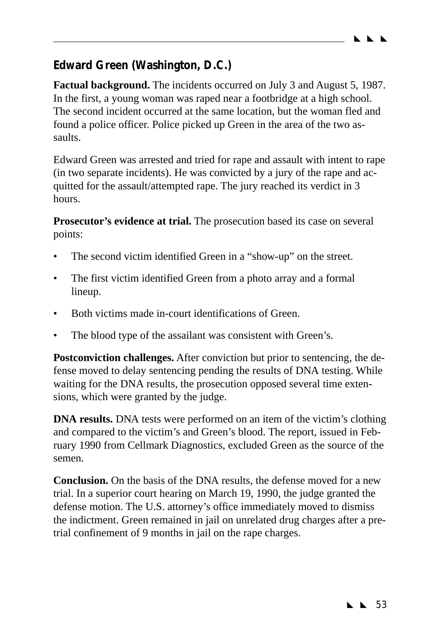# **Edward Green (Washington, D.C.)**

**Factual background.** The incidents occurred on July 3 and August 5, 1987. In the first, a young woman was raped near a footbridge at a high school. The second incident occurred at the same location, but the woman fled and found a police officer. Police picked up Green in the area of the two assaults.

Edward Green was arrested and tried for rape and assault with intent to rape (in two separate incidents). He was convicted by a jury of the rape and acquitted for the assault/attempted rape. The jury reached its verdict in 3 hours.

**Prosecutor's evidence at trial.** The prosecution based its case on several points:

- The second victim identified Green in a "show-up" on the street.
- The first victim identified Green from a photo array and a formal lineup.
- Both victims made in-court identifications of Green.
- The blood type of the assailant was consistent with Green's.

**Postconviction challenges.** After conviction but prior to sentencing, the defense moved to delay sentencing pending the results of DNA testing. While waiting for the DNA results, the prosecution opposed several time extensions, which were granted by the judge.

**DNA results.** DNA tests were performed on an item of the victim's clothing and compared to the victim's and Green's blood. The report, issued in February 1990 from Cellmark Diagnostics, excluded Green as the source of the semen.

**Conclusion.** On the basis of the DNA results, the defense moved for a new trial. In a superior court hearing on March 19, 1990, the judge granted the defense motion. The U.S. attorney's office immediately moved to dismiss the indictment. Green remained in jail on unrelated drug charges after a pretrial confinement of 9 months in jail on the rape charges.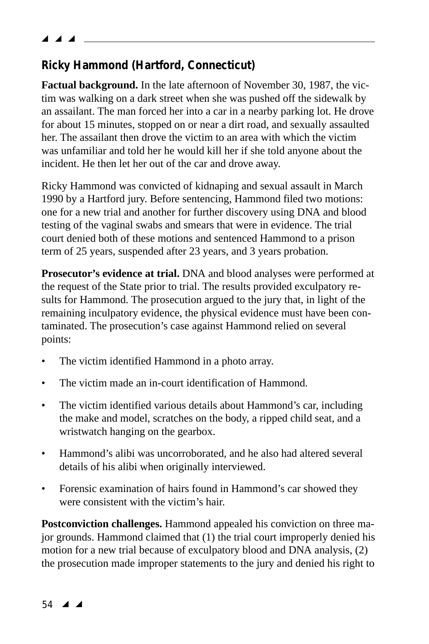# **Ricky Hammond (Hartford, Connecticut)**

**Factual background.** In the late afternoon of November 30, 1987, the victim was walking on a dark street when she was pushed off the sidewalk by an assailant. The man forced her into a car in a nearby parking lot. He drove for about 15 minutes, stopped on or near a dirt road, and sexually assaulted her. The assailant then drove the victim to an area with which the victim was unfamiliar and told her he would kill her if she told anyone about the incident. He then let her out of the car and drove away.

Ricky Hammond was convicted of kidnaping and sexual assault in March 1990 by a Hartford jury. Before sentencing, Hammond filed two motions: one for a new trial and another for further discovery using DNA and blood testing of the vaginal swabs and smears that were in evidence. The trial court denied both of these motions and sentenced Hammond to a prison term of 25 years, suspended after 23 years, and 3 years probation.

**Prosecutor's evidence at trial.** DNA and blood analyses were performed at the request of the State prior to trial. The results provided exculpatory results for Hammond. The prosecution argued to the jury that, in light of the remaining inculpatory evidence, the physical evidence must have been contaminated. The prosecution's case against Hammond relied on several points:

- The victim identified Hammond in a photo array.
- The victim made an in-court identification of Hammond.
- The victim identified various details about Hammond's car, including the make and model, scratches on the body, a ripped child seat, and a wristwatch hanging on the gearbox.
- Hammond's alibi was uncorroborated, and he also had altered several details of his alibi when originally interviewed.
- Forensic examination of hairs found in Hammond's car showed they were consistent with the victim's hair.

**Postconviction challenges.** Hammond appealed his conviction on three major grounds. Hammond claimed that (1) the trial court improperly denied his motion for a new trial because of exculpatory blood and DNA analysis, (2) the prosecution made improper statements to the jury and denied his right to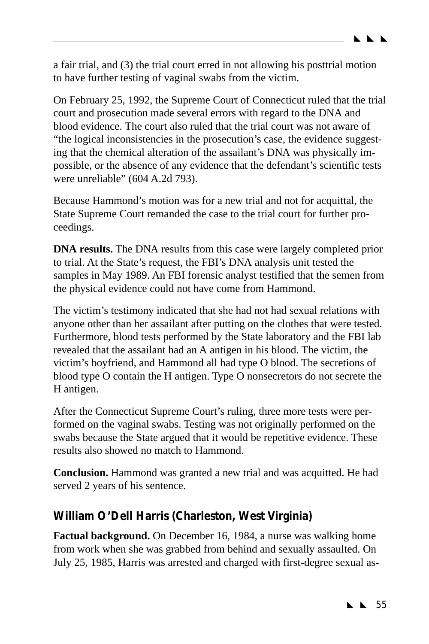a fair trial, and (3) the trial court erred in not allowing his posttrial motion to have further testing of vaginal swabs from the victim.

On February 25, 1992, the Supreme Court of Connecticut ruled that the trial court and prosecution made several errors with regard to the DNA and blood evidence. The court also ruled that the trial court was not aware of "the logical inconsistencies in the prosecution's case, the evidence suggesting that the chemical alteration of the assailant's DNA was physically impossible, or the absence of any evidence that the defendant's scientific tests were unreliable" (604 A.2d 793).

Because Hammond's motion was for a new trial and not for acquittal, the State Supreme Court remanded the case to the trial court for further proceedings.

**DNA results.** The DNA results from this case were largely completed prior to trial. At the State's request, the FBI's DNA analysis unit tested the samples in May 1989. An FBI forensic analyst testified that the semen from the physical evidence could not have come from Hammond.

The victim's testimony indicated that she had not had sexual relations with anyone other than her assailant after putting on the clothes that were tested. Furthermore, blood tests performed by the State laboratory and the FBI lab revealed that the assailant had an A antigen in his blood. The victim, the victim's boyfriend, and Hammond all had type O blood. The secretions of blood type O contain the H antigen. Type O nonsecretors do not secrete the H antigen.

After the Connecticut Supreme Court's ruling, three more tests were performed on the vaginal swabs. Testing was not originally performed on the swabs because the State argued that it would be repetitive evidence. These results also showed no match to Hammond.

**Conclusion.** Hammond was granted a new trial and was acquitted. He had served 2 years of his sentence.

# **William O'Dell Harris (Charleston, West Virginia)**

**Factual background.** On December 16, 1984, a nurse was walking home from work when she was grabbed from behind and sexually assaulted. On July 25, 1985, Harris was arrested and charged with first-degree sexual as-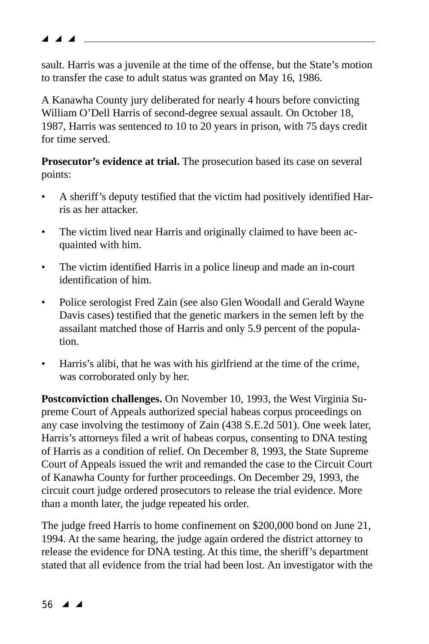sault. Harris was a juvenile at the time of the offense, but the State's motion to transfer the case to adult status was granted on May 16, 1986.

A Kanawha County jury deliberated for nearly 4 hours before convicting William O'Dell Harris of second-degree sexual assault. On October 18, 1987, Harris was sentenced to 10 to 20 years in prison, with 75 days credit for time served.

**Prosecutor's evidence at trial.** The prosecution based its case on several points:

- A sheriff's deputy testified that the victim had positively identified Harris as her attacker.
- The victim lived near Harris and originally claimed to have been acquainted with him.
- The victim identified Harris in a police lineup and made an in-court identification of him.
- Police serologist Fred Zain (see also Glen Woodall and Gerald Wayne Davis cases) testified that the genetic markers in the semen left by the assailant matched those of Harris and only 5.9 percent of the population.
- Harris's alibi, that he was with his girlfriend at the time of the crime, was corroborated only by her.

**Postconviction challenges.** On November 10, 1993, the West Virginia Supreme Court of Appeals authorized special habeas corpus proceedings on any case involving the testimony of Zain (438 S.E.2d 501). One week later, Harris's attorneys filed a writ of habeas corpus, consenting to DNA testing of Harris as a condition of relief. On December 8, 1993, the State Supreme Court of Appeals issued the writ and remanded the case to the Circuit Court of Kanawha County for further proceedings. On December 29, 1993, the circuit court judge ordered prosecutors to release the trial evidence. More than a month later, the judge repeated his order.

The judge freed Harris to home confinement on \$200,000 bond on June 21, 1994. At the same hearing, the judge again ordered the district attorney to release the evidence for DNA testing. At this time, the sheriff's department stated that all evidence from the trial had been lost. An investigator with the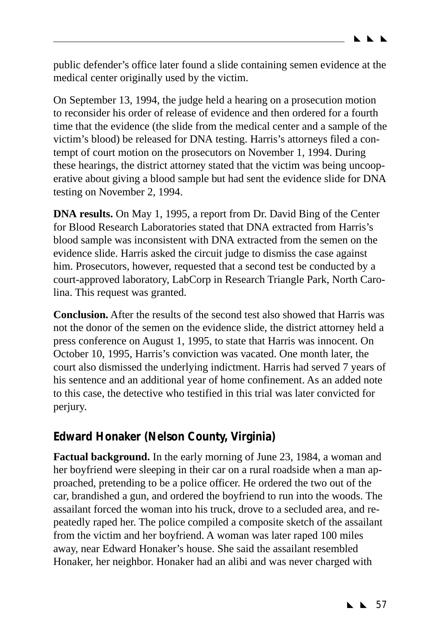public defender's office later found a slide containing semen evidence at the medical center originally used by the victim.

On September 13, 1994, the judge held a hearing on a prosecution motion to reconsider his order of release of evidence and then ordered for a fourth time that the evidence (the slide from the medical center and a sample of the victim's blood) be released for DNA testing. Harris's attorneys filed a contempt of court motion on the prosecutors on November 1, 1994. During these hearings, the district attorney stated that the victim was being uncooperative about giving a blood sample but had sent the evidence slide for DNA testing on November 2, 1994.

**DNA results.** On May 1, 1995, a report from Dr. David Bing of the Center for Blood Research Laboratories stated that DNA extracted from Harris's blood sample was inconsistent with DNA extracted from the semen on the evidence slide. Harris asked the circuit judge to dismiss the case against him. Prosecutors, however, requested that a second test be conducted by a court-approved laboratory, LabCorp in Research Triangle Park, North Carolina. This request was granted.

**Conclusion.** After the results of the second test also showed that Harris was not the donor of the semen on the evidence slide, the district attorney held a press conference on August 1, 1995, to state that Harris was innocent. On October 10, 1995, Harris's conviction was vacated. One month later, the court also dismissed the underlying indictment. Harris had served 7 years of his sentence and an additional year of home confinement. As an added note to this case, the detective who testified in this trial was later convicted for perjury.

**Edward Honaker (Nelson County, Virginia)**

**Factual background.** In the early morning of June 23, 1984, a woman and her boyfriend were sleeping in their car on a rural roadside when a man approached, pretending to be a police officer. He ordered the two out of the car, brandished a gun, and ordered the boyfriend to run into the woods. The assailant forced the woman into his truck, drove to a secluded area, and repeatedly raped her. The police compiled a composite sketch of the assailant from the victim and her boyfriend. A woman was later raped 100 miles away, near Edward Honaker's house. She said the assailant resembled Honaker, her neighbor. Honaker had an alibi and was never charged with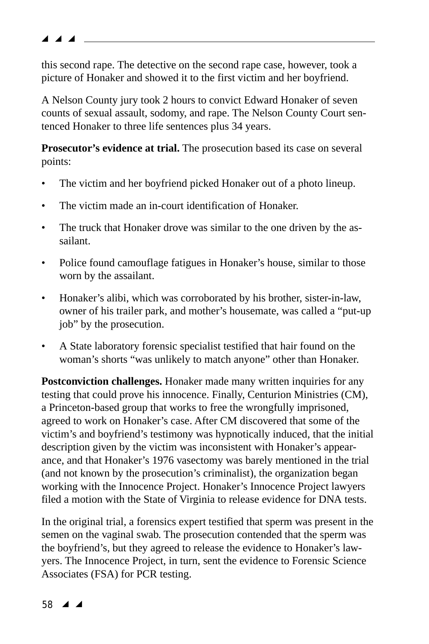this second rape. The detective on the second rape case, however, took a picture of Honaker and showed it to the first victim and her boyfriend.

A Nelson County jury took 2 hours to convict Edward Honaker of seven counts of sexual assault, sodomy, and rape. The Nelson County Court sentenced Honaker to three life sentences plus 34 years.

**Prosecutor's evidence at trial.** The prosecution based its case on several points:

- The victim and her boyfriend picked Honaker out of a photo lineup.
- The victim made an in-court identification of Honaker.
- The truck that Honaker drove was similar to the one driven by the assailant.
- Police found camouflage fatigues in Honaker's house, similar to those worn by the assailant.
- Honaker's alibi, which was corroborated by his brother, sister-in-law, owner of his trailer park, and mother's housemate, was called a "put-up job" by the prosecution.
- A State laboratory forensic specialist testified that hair found on the woman's shorts "was unlikely to match anyone" other than Honaker.

**Postconviction challenges.** Honaker made many written inquiries for any testing that could prove his innocence. Finally, Centurion Ministries (CM), a Princeton-based group that works to free the wrongfully imprisoned, agreed to work on Honaker's case. After CM discovered that some of the victim's and boyfriend's testimony was hypnotically induced, that the initial description given by the victim was inconsistent with Honaker's appearance, and that Honaker's 1976 vasectomy was barely mentioned in the trial (and not known by the prosecution's criminalist), the organization began working with the Innocence Project. Honaker's Innocence Project lawyers filed a motion with the State of Virginia to release evidence for DNA tests.

In the original trial, a forensics expert testified that sperm was present in the semen on the vaginal swab. The prosecution contended that the sperm was the boyfriend's, but they agreed to release the evidence to Honaker's lawyers. The Innocence Project, in turn, sent the evidence to Forensic Science Associates (FSA) for PCR testing.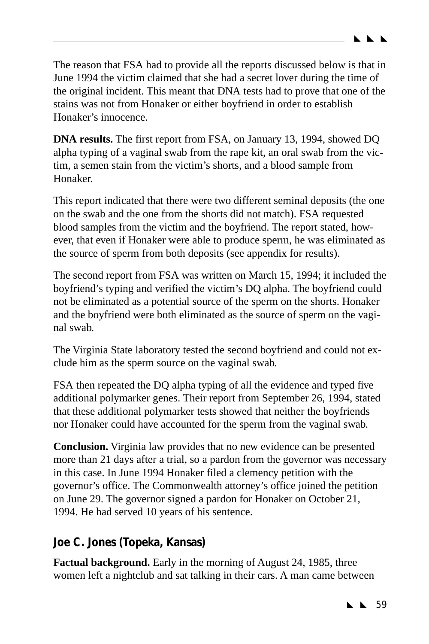The reason that FSA had to provide all the reports discussed below is that in June 1994 the victim claimed that she had a secret lover during the time of the original incident. This meant that DNA tests had to prove that one of the stains was not from Honaker or either boyfriend in order to establish Honaker's innocence.

**DNA results.** The first report from FSA, on January 13, 1994, showed DQ alpha typing of a vaginal swab from the rape kit, an oral swab from the victim, a semen stain from the victim's shorts, and a blood sample from Honaker.

This report indicated that there were two different seminal deposits (the one on the swab and the one from the shorts did not match). FSA requested blood samples from the victim and the boyfriend. The report stated, however, that even if Honaker were able to produce sperm, he was eliminated as the source of sperm from both deposits (see appendix for results).

The second report from FSA was written on March 15, 1994; it included the boyfriend's typing and verified the victim's DQ alpha. The boyfriend could not be eliminated as a potential source of the sperm on the shorts. Honaker and the boyfriend were both eliminated as the source of sperm on the vaginal swab.

The Virginia State laboratory tested the second boyfriend and could not exclude him as the sperm source on the vaginal swab.

FSA then repeated the DQ alpha typing of all the evidence and typed five additional polymarker genes. Their report from September 26, 1994, stated that these additional polymarker tests showed that neither the boyfriends nor Honaker could have accounted for the sperm from the vaginal swab.

**Conclusion.** Virginia law provides that no new evidence can be presented more than 21 days after a trial, so a pardon from the governor was necessary in this case. In June 1994 Honaker filed a clemency petition with the governor's office. The Commonwealth attorney's office joined the petition on June 29. The governor signed a pardon for Honaker on October 21, 1994. He had served 10 years of his sentence.

**Joe C. Jones (Topeka, Kansas)**

**Factual background.** Early in the morning of August 24, 1985, three women left a nightclub and sat talking in their cars. A man came between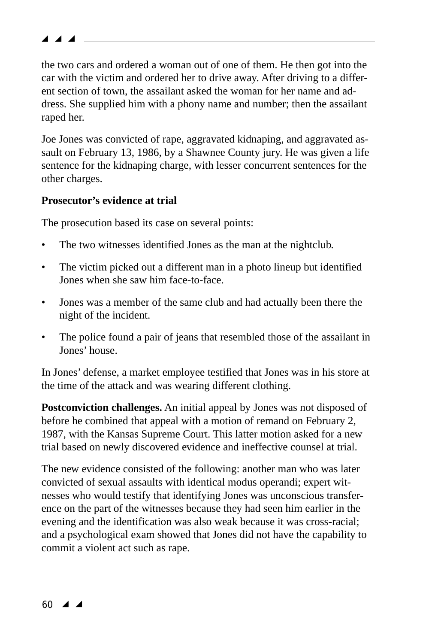the two cars and ordered a woman out of one of them. He then got into the car with the victim and ordered her to drive away. After driving to a different section of town, the assailant asked the woman for her name and address. She supplied him with a phony name and number; then the assailant raped her.

Joe Jones was convicted of rape, aggravated kidnaping, and aggravated assault on February 13, 1986, by a Shawnee County jury. He was given a life sentence for the kidnaping charge, with lesser concurrent sentences for the other charges.

### **Prosecutor's evidence at trial**

The prosecution based its case on several points:

- The two witnesses identified Jones as the man at the nightclub.
- The victim picked out a different man in a photo lineup but identified Jones when she saw him face-to-face.
- Jones was a member of the same club and had actually been there the night of the incident.
- The police found a pair of jeans that resembled those of the assailant in Jones' house.

In Jones' defense, a market employee testified that Jones was in his store at the time of the attack and was wearing different clothing.

**Postconviction challenges.** An initial appeal by Jones was not disposed of before he combined that appeal with a motion of remand on February 2, 1987, with the Kansas Supreme Court. This latter motion asked for a new trial based on newly discovered evidence and ineffective counsel at trial.

The new evidence consisted of the following: another man who was later convicted of sexual assaults with identical modus operandi; expert witnesses who would testify that identifying Jones was unconscious transference on the part of the witnesses because they had seen him earlier in the evening and the identification was also weak because it was cross-racial; and a psychological exam showed that Jones did not have the capability to commit a violent act such as rape.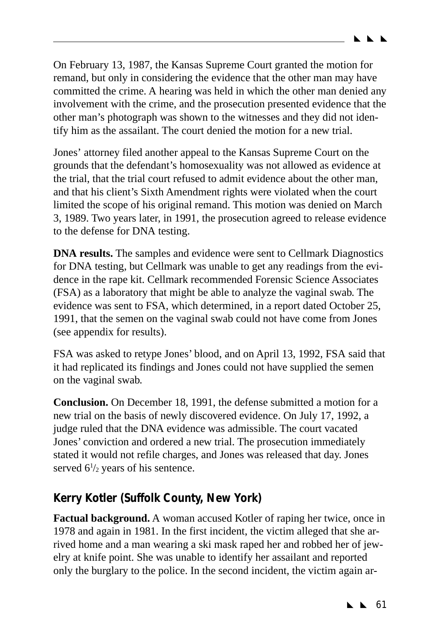On February 13, 1987, the Kansas Supreme Court granted the motion for remand, but only in considering the evidence that the other man may have committed the crime. A hearing was held in which the other man denied any involvement with the crime, and the prosecution presented evidence that the other man's photograph was shown to the witnesses and they did not identify him as the assailant. The court denied the motion for a new trial.

Jones' attorney filed another appeal to the Kansas Supreme Court on the grounds that the defendant's homosexuality was not allowed as evidence at the trial, that the trial court refused to admit evidence about the other man, and that his client's Sixth Amendment rights were violated when the court limited the scope of his original remand. This motion was denied on March 3, 1989. Two years later, in 1991, the prosecution agreed to release evidence to the defense for DNA testing.

**DNA results.** The samples and evidence were sent to Cellmark Diagnostics for DNA testing, but Cellmark was unable to get any readings from the evidence in the rape kit. Cellmark recommended Forensic Science Associates (FSA) as a laboratory that might be able to analyze the vaginal swab. The evidence was sent to FSA, which determined, in a report dated October 25, 1991, that the semen on the vaginal swab could not have come from Jones (see appendix for results).

FSA was asked to retype Jones' blood, and on April 13, 1992, FSA said that it had replicated its findings and Jones could not have supplied the semen on the vaginal swab.

**Conclusion.** On December 18, 1991, the defense submitted a motion for a new trial on the basis of newly discovered evidence. On July 17, 1992, a judge ruled that the DNA evidence was admissible. The court vacated Jones' conviction and ordered a new trial. The prosecution immediately stated it would not refile charges, and Jones was released that day. Jones served  $6\frac{1}{2}$  years of his sentence.

### **Kerry Kotler (Suffolk County, New York)**

**Factual background.** A woman accused Kotler of raping her twice, once in 1978 and again in 1981. In the first incident, the victim alleged that she arrived home and a man wearing a ski mask raped her and robbed her of jewelry at knife point. She was unable to identify her assailant and reported only the burglary to the police. In the second incident, the victim again ar-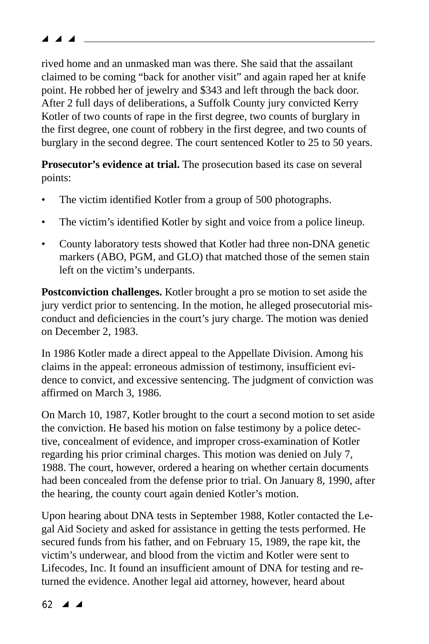### $\blacktriangle$   $\blacktriangle$   $\blacktriangle$

rived home and an unmasked man was there. She said that the assailant claimed to be coming "back for another visit" and again raped her at knife point. He robbed her of jewelry and \$343 and left through the back door. After 2 full days of deliberations, a Suffolk County jury convicted Kerry Kotler of two counts of rape in the first degree, two counts of burglary in the first degree, one count of robbery in the first degree, and two counts of burglary in the second degree. The court sentenced Kotler to 25 to 50 years.

**Prosecutor's evidence at trial.** The prosecution based its case on several points:

- The victim identified Kotler from a group of 500 photographs.
- The victim's identified Kotler by sight and voice from a police lineup.
- County laboratory tests showed that Kotler had three non-DNA genetic markers (ABO, PGM, and GLO) that matched those of the semen stain left on the victim's underpants.

**Postconviction challenges.** Kotler brought a pro se motion to set aside the jury verdict prior to sentencing. In the motion, he alleged prosecutorial misconduct and deficiencies in the court's jury charge. The motion was denied on December 2, 1983.

In 1986 Kotler made a direct appeal to the Appellate Division. Among his claims in the appeal: erroneous admission of testimony, insufficient evidence to convict, and excessive sentencing. The judgment of conviction was affirmed on March 3, 1986.

On March 10, 1987, Kotler brought to the court a second motion to set aside the conviction. He based his motion on false testimony by a police detective, concealment of evidence, and improper cross-examination of Kotler regarding his prior criminal charges. This motion was denied on July 7, 1988. The court, however, ordered a hearing on whether certain documents had been concealed from the defense prior to trial. On January 8, 1990, after the hearing, the county court again denied Kotler's motion.

Upon hearing about DNA tests in September 1988, Kotler contacted the Legal Aid Society and asked for assistance in getting the tests performed. He secured funds from his father, and on February 15, 1989, the rape kit, the victim's underwear, and blood from the victim and Kotler were sent to Lifecodes, Inc. It found an insufficient amount of DNA for testing and returned the evidence. Another legal aid attorney, however, heard about

### $62$   $\triangle$   $\triangle$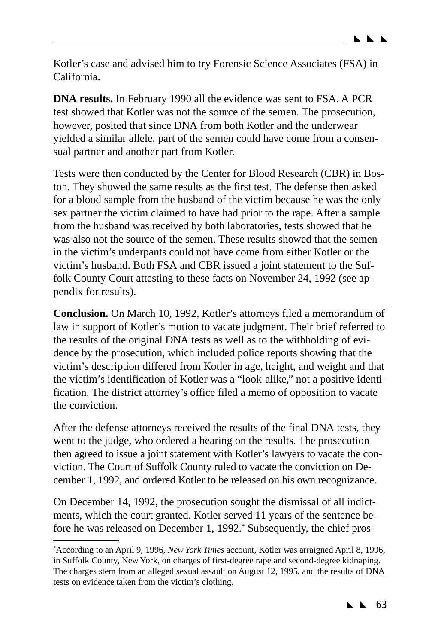Kotler's case and advised him to try Forensic Science Associates (FSA) in California.

**DNA results.** In February 1990 all the evidence was sent to FSA. A PCR test showed that Kotler was not the source of the semen. The prosecution, however, posited that since DNA from both Kotler and the underwear yielded a similar allele, part of the semen could have come from a consensual partner and another part from Kotler.

Tests were then conducted by the Center for Blood Research (CBR) in Boston. They showed the same results as the first test. The defense then asked for a blood sample from the husband of the victim because he was the only sex partner the victim claimed to have had prior to the rape. After a sample from the husband was received by both laboratories, tests showed that he was also not the source of the semen. These results showed that the semen in the victim's underpants could not have come from either Kotler or the victim's husband. Both FSA and CBR issued a joint statement to the Suffolk County Court attesting to these facts on November 24, 1992 (see appendix for results).

**Conclusion.** On March 10, 1992, Kotler's attorneys filed a memorandum of law in support of Kotler's motion to vacate judgment. Their brief referred to the results of the original DNA tests as well as to the withholding of evidence by the prosecution, which included police reports showing that the victim's description differed from Kotler in age, height, and weight and that the victim's identification of Kotler was a "look-alike," not a positive identification. The district attorney's office filed a memo of opposition to vacate the conviction.

After the defense attorneys received the results of the final DNA tests, they went to the judge, who ordered a hearing on the results. The prosecution then agreed to issue a joint statement with Kotler's lawyers to vacate the conviction. The Court of Suffolk County ruled to vacate the conviction on December 1, 1992, and ordered Kotler to be released on his own recognizance.

On December 14, 1992, the prosecution sought the dismissal of all indictments, which the court granted. Kotler served 11 years of the sentence before he was released on December 1, 1992.\* Subsequently, the chief pros-

<sup>\*</sup> According to an April 9, 1996, *New York Times* account, Kotler was arraigned April 8, 1996, in Suffolk County, New York, on charges of first-degree rape and second-degree kidnaping. The charges stem from an alleged sexual assault on August 12, 1995, and the results of DNA tests on evidence taken from the victim's clothing.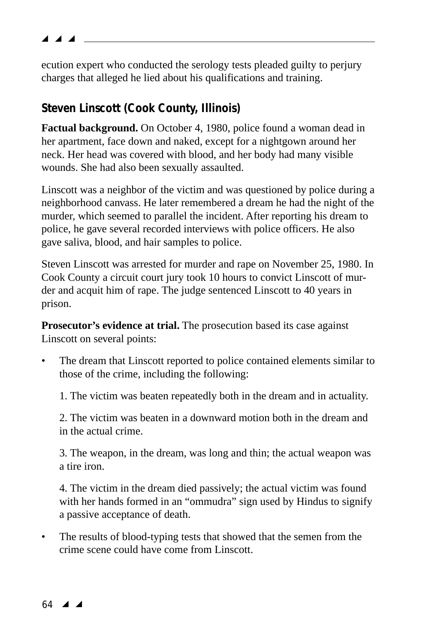ecution expert who conducted the serology tests pleaded guilty to perjury charges that alleged he lied about his qualifications and training.

### **Steven Linscott (Cook County, Illinois)**

**Factual background.** On October 4, 1980, police found a woman dead in her apartment, face down and naked, except for a nightgown around her neck. Her head was covered with blood, and her body had many visible wounds. She had also been sexually assaulted.

Linscott was a neighbor of the victim and was questioned by police during a neighborhood canvass. He later remembered a dream he had the night of the murder, which seemed to parallel the incident. After reporting his dream to police, he gave several recorded interviews with police officers. He also gave saliva, blood, and hair samples to police.

Steven Linscott was arrested for murder and rape on November 25, 1980. In Cook County a circuit court jury took 10 hours to convict Linscott of murder and acquit him of rape. The judge sentenced Linscott to 40 years in prison.

**Prosecutor's evidence at trial.** The prosecution based its case against Linscott on several points:

• The dream that Linscott reported to police contained elements similar to those of the crime, including the following:

1. The victim was beaten repeatedly both in the dream and in actuality.

2. The victim was beaten in a downward motion both in the dream and in the actual crime.

3. The weapon, in the dream, was long and thin; the actual weapon was a tire iron.

4. The victim in the dream died passively; the actual victim was found with her hands formed in an "ommudra" sign used by Hindus to signify a passive acceptance of death.

• The results of blood-typing tests that showed that the semen from the crime scene could have come from Linscott.

 $64$   $\blacktriangle$   $\blacktriangle$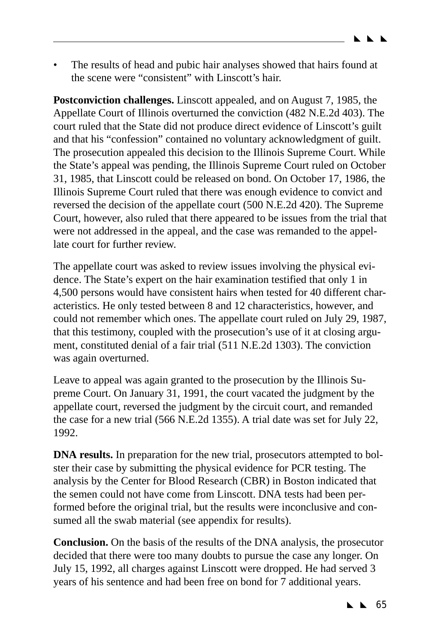The results of head and pubic hair analyses showed that hairs found at the scene were "consistent" with Linscott's hair.

**Postconviction challenges.** Linscott appealed, and on August 7, 1985, the Appellate Court of Illinois overturned the conviction (482 N.E.2d 403). The court ruled that the State did not produce direct evidence of Linscott's guilt and that his "confession" contained no voluntary acknowledgment of guilt. The prosecution appealed this decision to the Illinois Supreme Court. While the State's appeal was pending, the Illinois Supreme Court ruled on October 31, 1985, that Linscott could be released on bond. On October 17, 1986, the Illinois Supreme Court ruled that there was enough evidence to convict and reversed the decision of the appellate court (500 N.E.2d 420). The Supreme Court, however, also ruled that there appeared to be issues from the trial that were not addressed in the appeal, and the case was remanded to the appellate court for further review.

The appellate court was asked to review issues involving the physical evidence. The State's expert on the hair examination testified that only 1 in 4,500 persons would have consistent hairs when tested for 40 different characteristics. He only tested between 8 and 12 characteristics, however, and could not remember which ones. The appellate court ruled on July 29, 1987, that this testimony, coupled with the prosecution's use of it at closing argument, constituted denial of a fair trial (511 N.E.2d 1303). The conviction was again overturned.

Leave to appeal was again granted to the prosecution by the Illinois Supreme Court. On January 31, 1991, the court vacated the judgment by the appellate court, reversed the judgment by the circuit court, and remanded the case for a new trial (566 N.E.2d 1355). A trial date was set for July 22, 1992.

**DNA results.** In preparation for the new trial, prosecutors attempted to bolster their case by submitting the physical evidence for PCR testing. The analysis by the Center for Blood Research (CBR) in Boston indicated that the semen could not have come from Linscott. DNA tests had been performed before the original trial, but the results were inconclusive and consumed all the swab material (see appendix for results).

**Conclusion.** On the basis of the results of the DNA analysis, the prosecutor decided that there were too many doubts to pursue the case any longer. On July 15, 1992, all charges against Linscott were dropped. He had served 3 years of his sentence and had been free on bond for 7 additional years.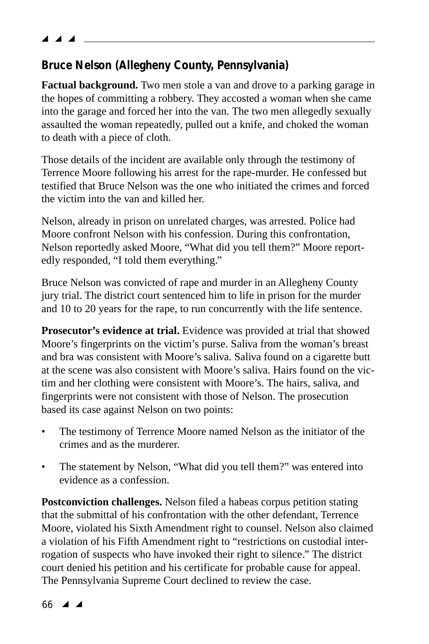# **Bruce Nelson (Allegheny County, Pennsylvania)**

**Factual background.** Two men stole a van and drove to a parking garage in the hopes of committing a robbery. They accosted a woman when she came into the garage and forced her into the van. The two men allegedly sexually assaulted the woman repeatedly, pulled out a knife, and choked the woman to death with a piece of cloth.

Those details of the incident are available only through the testimony of Terrence Moore following his arrest for the rape-murder. He confessed but testified that Bruce Nelson was the one who initiated the crimes and forced the victim into the van and killed her.

Nelson, already in prison on unrelated charges, was arrested. Police had Moore confront Nelson with his confession. During this confrontation, Nelson reportedly asked Moore, "What did you tell them?" Moore reportedly responded, "I told them everything."

Bruce Nelson was convicted of rape and murder in an Allegheny County jury trial. The district court sentenced him to life in prison for the murder and 10 to 20 years for the rape, to run concurrently with the life sentence.

**Prosecutor's evidence at trial.** Evidence was provided at trial that showed Moore's fingerprints on the victim's purse. Saliva from the woman's breast and bra was consistent with Moore's saliva. Saliva found on a cigarette butt at the scene was also consistent with Moore's saliva. Hairs found on the victim and her clothing were consistent with Moore's. The hairs, saliva, and fingerprints were not consistent with those of Nelson. The prosecution based its case against Nelson on two points:

- The testimony of Terrence Moore named Nelson as the initiator of the crimes and as the murderer.
- The statement by Nelson, "What did you tell them?" was entered into evidence as a confession.

**Postconviction challenges.** Nelson filed a habeas corpus petition stating that the submittal of his confrontation with the other defendant, Terrence Moore, violated his Sixth Amendment right to counsel. Nelson also claimed a violation of his Fifth Amendment right to "restrictions on custodial interrogation of suspects who have invoked their right to silence." The district court denied his petition and his certificate for probable cause for appeal. The Pennsylvania Supreme Court declined to review the case.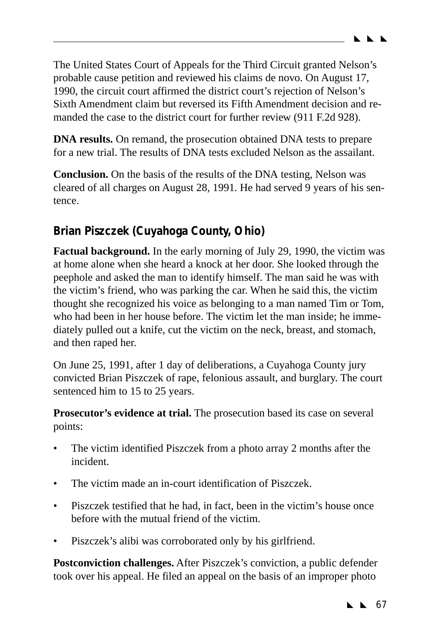The United States Court of Appeals for the Third Circuit granted Nelson's probable cause petition and reviewed his claims de novo. On August 17, 1990, the circuit court affirmed the district court's rejection of Nelson's Sixth Amendment claim but reversed its Fifth Amendment decision and remanded the case to the district court for further review (911 F.2d 928).

**DNA results.** On remand, the prosecution obtained DNA tests to prepare for a new trial. The results of DNA tests excluded Nelson as the assailant.

**Conclusion.** On the basis of the results of the DNA testing, Nelson was cleared of all charges on August 28, 1991. He had served 9 years of his sentence.

# **Brian Piszczek (Cuyahoga County, Ohio)**

**Factual background.** In the early morning of July 29, 1990, the victim was at home alone when she heard a knock at her door. She looked through the peephole and asked the man to identify himself. The man said he was with the victim's friend, who was parking the car. When he said this, the victim thought she recognized his voice as belonging to a man named Tim or Tom, who had been in her house before. The victim let the man inside; he immediately pulled out a knife, cut the victim on the neck, breast, and stomach, and then raped her.

On June 25, 1991, after 1 day of deliberations, a Cuyahoga County jury convicted Brian Piszczek of rape, felonious assault, and burglary. The court sentenced him to 15 to 25 years.

**Prosecutor's evidence at trial.** The prosecution based its case on several points:

- The victim identified Piszczek from a photo array 2 months after the incident.
- The victim made an in-court identification of Piszczek.
- Piszczek testified that he had, in fact, been in the victim's house once before with the mutual friend of the victim.
- Piszczek's alibi was corroborated only by his girlfriend.

**Postconviction challenges.** After Piszczek's conviction, a public defender took over his appeal. He filed an appeal on the basis of an improper photo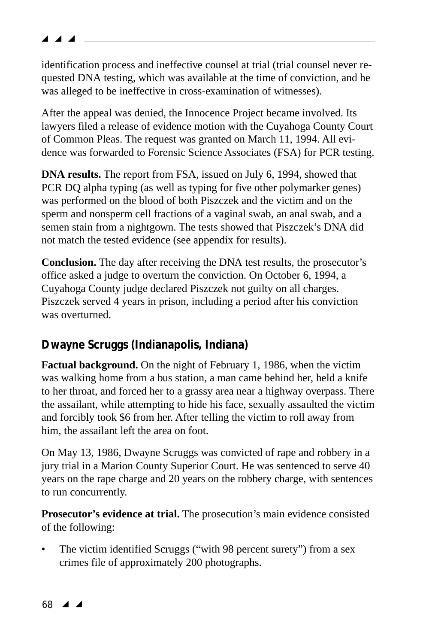identification process and ineffective counsel at trial (trial counsel never requested DNA testing, which was available at the time of conviction, and he was alleged to be ineffective in cross-examination of witnesses).

After the appeal was denied, the Innocence Project became involved. Its lawyers filed a release of evidence motion with the Cuyahoga County Court of Common Pleas. The request was granted on March 11, 1994. All evidence was forwarded to Forensic Science Associates (FSA) for PCR testing.

**DNA results.** The report from FSA, issued on July 6, 1994, showed that PCR DQ alpha typing (as well as typing for five other polymarker genes) was performed on the blood of both Piszczek and the victim and on the sperm and nonsperm cell fractions of a vaginal swab, an anal swab, and a semen stain from a nightgown. The tests showed that Piszczek's DNA did not match the tested evidence (see appendix for results).

**Conclusion.** The day after receiving the DNA test results, the prosecutor's office asked a judge to overturn the conviction. On October 6, 1994, a Cuyahoga County judge declared Piszczek not guilty on all charges. Piszczek served 4 years in prison, including a period after his conviction was overturned.

### **Dwayne Scruggs (Indianapolis, Indiana)**

**Factual background.** On the night of February 1, 1986, when the victim was walking home from a bus station, a man came behind her, held a knife to her throat, and forced her to a grassy area near a highway overpass. There the assailant, while attempting to hide his face, sexually assaulted the victim and forcibly took \$6 from her. After telling the victim to roll away from him, the assailant left the area on foot.

On May 13, 1986, Dwayne Scruggs was convicted of rape and robbery in a jury trial in a Marion County Superior Court. He was sentenced to serve 40 years on the rape charge and 20 years on the robbery charge, with sentences to run concurrently.

**Prosecutor's evidence at trial.** The prosecution's main evidence consisted of the following:

The victim identified Scruggs ("with 98 percent surety") from a sex crimes file of approximately 200 photographs.

68  $\triangle$   $\triangle$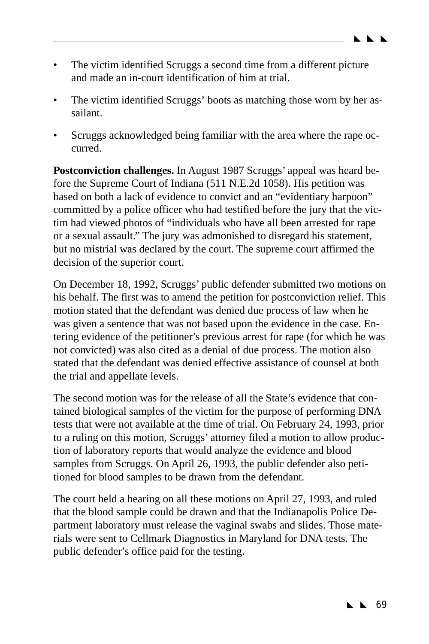- The victim identified Scruggs a second time from a different picture and made an in-court identification of him at trial.
- The victim identified Scruggs' boots as matching those worn by her assailant.
- Scruggs acknowledged being familiar with the area where the rape occurred.

**Postconviction challenges.** In August 1987 Scruggs' appeal was heard before the Supreme Court of Indiana (511 N.E.2d 1058). His petition was based on both a lack of evidence to convict and an "evidentiary harpoon" committed by a police officer who had testified before the jury that the victim had viewed photos of "individuals who have all been arrested for rape or a sexual assault." The jury was admonished to disregard his statement, but no mistrial was declared by the court. The supreme court affirmed the decision of the superior court.

On December 18, 1992, Scruggs' public defender submitted two motions on his behalf. The first was to amend the petition for postconviction relief. This motion stated that the defendant was denied due process of law when he was given a sentence that was not based upon the evidence in the case. Entering evidence of the petitioner's previous arrest for rape (for which he was not convicted) was also cited as a denial of due process. The motion also stated that the defendant was denied effective assistance of counsel at both the trial and appellate levels.

The second motion was for the release of all the State's evidence that contained biological samples of the victim for the purpose of performing DNA tests that were not available at the time of trial. On February 24, 1993, prior to a ruling on this motion, Scruggs' attorney filed a motion to allow production of laboratory reports that would analyze the evidence and blood samples from Scruggs. On April 26, 1993, the public defender also petitioned for blood samples to be drawn from the defendant.

The court held a hearing on all these motions on April 27, 1993, and ruled that the blood sample could be drawn and that the Indianapolis Police Department laboratory must release the vaginal swabs and slides. Those materials were sent to Cellmark Diagnostics in Maryland for DNA tests. The public defender's office paid for the testing.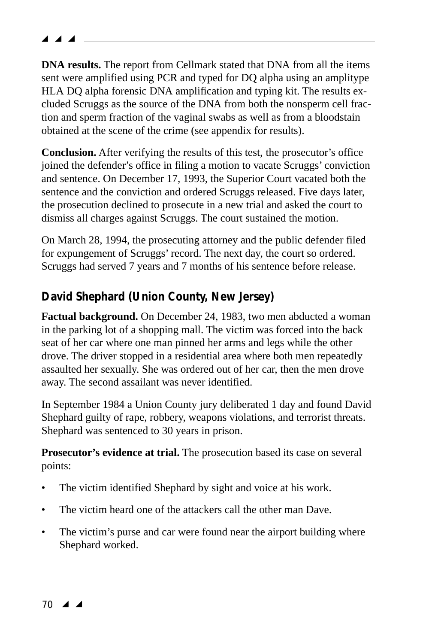**DNA results.** The report from Cellmark stated that DNA from all the items sent were amplified using PCR and typed for DQ alpha using an amplitype HLA DQ alpha forensic DNA amplification and typing kit. The results excluded Scruggs as the source of the DNA from both the nonsperm cell fraction and sperm fraction of the vaginal swabs as well as from a bloodstain obtained at the scene of the crime (see appendix for results).

**Conclusion.** After verifying the results of this test, the prosecutor's office joined the defender's office in filing a motion to vacate Scruggs' conviction and sentence. On December 17, 1993, the Superior Court vacated both the sentence and the conviction and ordered Scruggs released. Five days later, the prosecution declined to prosecute in a new trial and asked the court to dismiss all charges against Scruggs. The court sustained the motion.

On March 28, 1994, the prosecuting attorney and the public defender filed for expungement of Scruggs' record. The next day, the court so ordered. Scruggs had served 7 years and 7 months of his sentence before release.

### **David Shephard (Union County, New Jersey)**

**Factual background.** On December 24, 1983, two men abducted a woman in the parking lot of a shopping mall. The victim was forced into the back seat of her car where one man pinned her arms and legs while the other drove. The driver stopped in a residential area where both men repeatedly assaulted her sexually. She was ordered out of her car, then the men drove away. The second assailant was never identified.

In September 1984 a Union County jury deliberated 1 day and found David Shephard guilty of rape, robbery, weapons violations, and terrorist threats. Shephard was sentenced to 30 years in prison.

**Prosecutor's evidence at trial.** The prosecution based its case on several points:

- The victim identified Shephard by sight and voice at his work.
- The victim heard one of the attackers call the other man Dave.
- The victim's purse and car were found near the airport building where Shephard worked.

70 **4 4**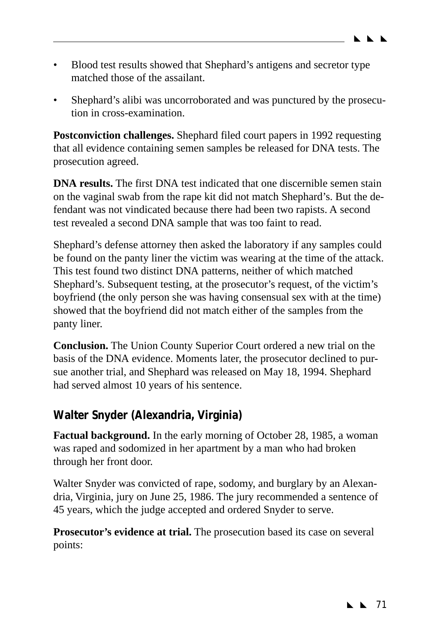- 
- Blood test results showed that Shephard's antigens and secretor type matched those of the assailant.
- Shephard's alibi was uncorroborated and was punctured by the prosecution in cross-examination.

**Postconviction challenges.** Shephard filed court papers in 1992 requesting that all evidence containing semen samples be released for DNA tests. The prosecution agreed.

**DNA results.** The first DNA test indicated that one discernible semen stain on the vaginal swab from the rape kit did not match Shephard's. But the defendant was not vindicated because there had been two rapists. A second test revealed a second DNA sample that was too faint to read.

Shephard's defense attorney then asked the laboratory if any samples could be found on the panty liner the victim was wearing at the time of the attack. This test found two distinct DNA patterns, neither of which matched Shephard's. Subsequent testing, at the prosecutor's request, of the victim's boyfriend (the only person she was having consensual sex with at the time) showed that the boyfriend did not match either of the samples from the panty liner.

**Conclusion.** The Union County Superior Court ordered a new trial on the basis of the DNA evidence. Moments later, the prosecutor declined to pursue another trial, and Shephard was released on May 18, 1994. Shephard had served almost 10 years of his sentence.

### **Walter Snyder (Alexandria, Virginia)**

**Factual background.** In the early morning of October 28, 1985, a woman was raped and sodomized in her apartment by a man who had broken through her front door.

Walter Snyder was convicted of rape, sodomy, and burglary by an Alexandria, Virginia, jury on June 25, 1986. The jury recommended a sentence of 45 years, which the judge accepted and ordered Snyder to serve.

**Prosecutor's evidence at trial.** The prosecution based its case on several points: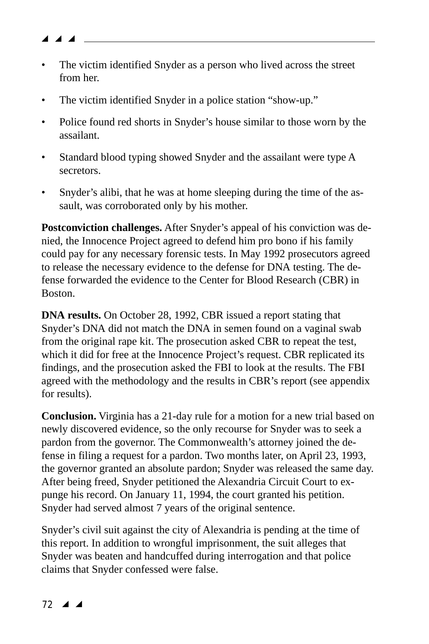- 
- The victim identified Snyder as a person who lived across the street from her.
- The victim identified Snyder in a police station "show-up."
- Police found red shorts in Snyder's house similar to those worn by the assailant.
- Standard blood typing showed Snyder and the assailant were type A secretors.
- Snyder's alibi, that he was at home sleeping during the time of the assault, was corroborated only by his mother.

**Postconviction challenges.** After Snyder's appeal of his conviction was denied, the Innocence Project agreed to defend him pro bono if his family could pay for any necessary forensic tests. In May 1992 prosecutors agreed to release the necessary evidence to the defense for DNA testing. The defense forwarded the evidence to the Center for Blood Research (CBR) in Boston.

**DNA results.** On October 28, 1992, CBR issued a report stating that Snyder's DNA did not match the DNA in semen found on a vaginal swab from the original rape kit. The prosecution asked CBR to repeat the test, which it did for free at the Innocence Project's request. CBR replicated its findings, and the prosecution asked the FBI to look at the results. The FBI agreed with the methodology and the results in CBR's report (see appendix for results).

**Conclusion.** Virginia has a 21-day rule for a motion for a new trial based on newly discovered evidence, so the only recourse for Snyder was to seek a pardon from the governor. The Commonwealth's attorney joined the defense in filing a request for a pardon. Two months later, on April 23, 1993, the governor granted an absolute pardon; Snyder was released the same day. After being freed, Snyder petitioned the Alexandria Circuit Court to expunge his record. On January 11, 1994, the court granted his petition. Snyder had served almost 7 years of the original sentence.

Snyder's civil suit against the city of Alexandria is pending at the time of this report. In addition to wrongful imprisonment, the suit alleges that Snyder was beaten and handcuffed during interrogation and that police claims that Snyder confessed were false.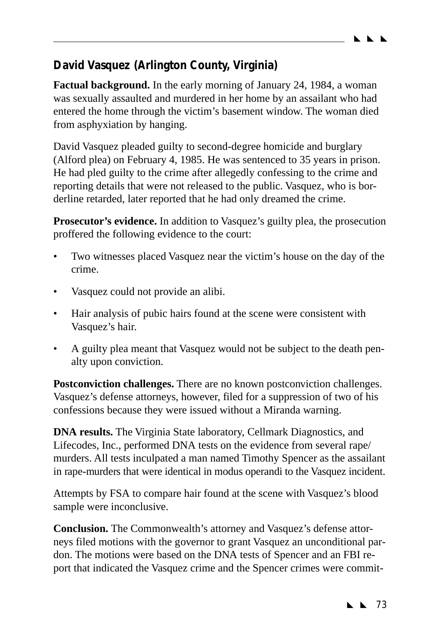# **David Vasquez (Arlington County, Virginia)**

**Factual background.** In the early morning of January 24, 1984, a woman was sexually assaulted and murdered in her home by an assailant who had entered the home through the victim's basement window. The woman died from asphyxiation by hanging.

David Vasquez pleaded guilty to second-degree homicide and burglary (Alford plea) on February 4, 1985. He was sentenced to 35 years in prison. He had pled guilty to the crime after allegedly confessing to the crime and reporting details that were not released to the public. Vasquez, who is borderline retarded, later reported that he had only dreamed the crime.

**Prosecutor's evidence.** In addition to Vasquez's guilty plea, the prosecution proffered the following evidence to the court:

- Two witnesses placed Vasquez near the victim's house on the day of the crime.
- Vasquez could not provide an alibi.
- Hair analysis of pubic hairs found at the scene were consistent with Vasquez's hair.
- A guilty plea meant that Vasquez would not be subject to the death penalty upon conviction.

**Postconviction challenges.** There are no known postconviction challenges. Vasquez's defense attorneys, however, filed for a suppression of two of his confessions because they were issued without a Miranda warning.

**DNA results.** The Virginia State laboratory, Cellmark Diagnostics, and Lifecodes, Inc., performed DNA tests on the evidence from several rape/ murders. All tests inculpated a man named Timothy Spencer as the assailant in rape-murders that were identical in modus operandi to the Vasquez incident.

Attempts by FSA to compare hair found at the scene with Vasquez's blood sample were inconclusive.

**Conclusion.** The Commonwealth's attorney and Vasquez's defense attorneys filed motions with the governor to grant Vasquez an unconditional pardon. The motions were based on the DNA tests of Spencer and an FBI report that indicated the Vasquez crime and the Spencer crimes were commit-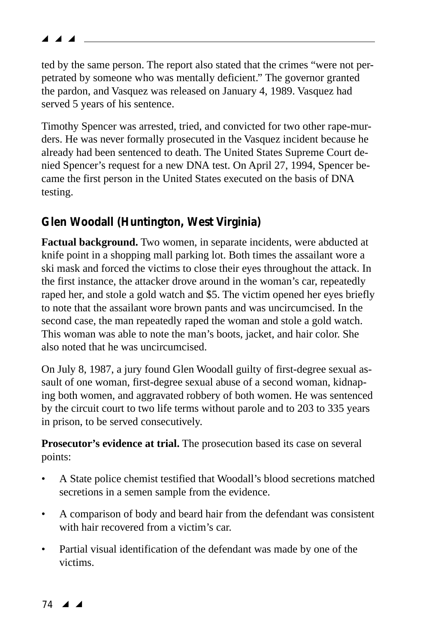ted by the same person. The report also stated that the crimes "were not perpetrated by someone who was mentally deficient." The governor granted the pardon, and Vasquez was released on January 4, 1989. Vasquez had served 5 years of his sentence.

Timothy Spencer was arrested, tried, and convicted for two other rape-murders. He was never formally prosecuted in the Vasquez incident because he already had been sentenced to death. The United States Supreme Court denied Spencer's request for a new DNA test. On April 27, 1994, Spencer became the first person in the United States executed on the basis of DNA testing.

### **Glen Woodall (Huntington, West Virginia)**

**Factual background.** Two women, in separate incidents, were abducted at knife point in a shopping mall parking lot. Both times the assailant wore a ski mask and forced the victims to close their eyes throughout the attack. In the first instance, the attacker drove around in the woman's car, repeatedly raped her, and stole a gold watch and \$5. The victim opened her eyes briefly to note that the assailant wore brown pants and was uncircumcised. In the second case, the man repeatedly raped the woman and stole a gold watch. This woman was able to note the man's boots, jacket, and hair color. She also noted that he was uncircumcised.

On July 8, 1987, a jury found Glen Woodall guilty of first-degree sexual assault of one woman, first-degree sexual abuse of a second woman, kidnaping both women, and aggravated robbery of both women. He was sentenced by the circuit court to two life terms without parole and to 203 to 335 years in prison, to be served consecutively.

**Prosecutor's evidence at trial.** The prosecution based its case on several points:

- A State police chemist testified that Woodall's blood secretions matched secretions in a semen sample from the evidence.
- A comparison of body and beard hair from the defendant was consistent with hair recovered from a victim's car.
- Partial visual identification of the defendant was made by one of the victims.

 $74$   $\blacktriangle$   $\blacktriangle$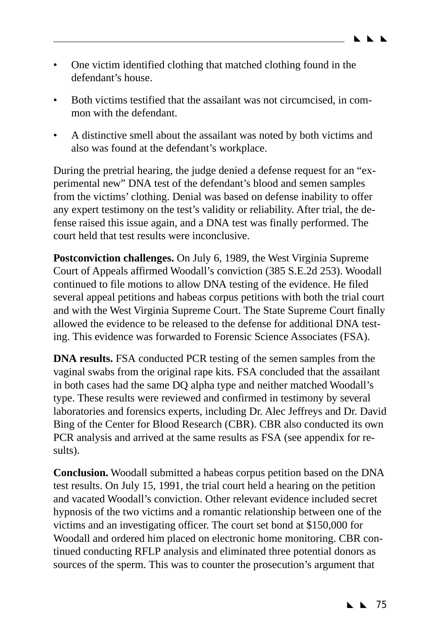- One victim identified clothing that matched clothing found in the defendant's house.
- Both victims testified that the assailant was not circumcised, in common with the defendant.
- A distinctive smell about the assailant was noted by both victims and also was found at the defendant's workplace.

During the pretrial hearing, the judge denied a defense request for an "experimental new" DNA test of the defendant's blood and semen samples from the victims' clothing. Denial was based on defense inability to offer any expert testimony on the test's validity or reliability. After trial, the defense raised this issue again, and a DNA test was finally performed. The court held that test results were inconclusive.

**Postconviction challenges.** On July 6, 1989, the West Virginia Supreme Court of Appeals affirmed Woodall's conviction (385 S.E.2d 253). Woodall continued to file motions to allow DNA testing of the evidence. He filed several appeal petitions and habeas corpus petitions with both the trial court and with the West Virginia Supreme Court. The State Supreme Court finally allowed the evidence to be released to the defense for additional DNA testing. This evidence was forwarded to Forensic Science Associates (FSA).

**DNA results.** FSA conducted PCR testing of the semen samples from the vaginal swabs from the original rape kits. FSA concluded that the assailant in both cases had the same DQ alpha type and neither matched Woodall's type. These results were reviewed and confirmed in testimony by several laboratories and forensics experts, including Dr. Alec Jeffreys and Dr. David Bing of the Center for Blood Research (CBR). CBR also conducted its own PCR analysis and arrived at the same results as FSA (see appendix for results).

**Conclusion.** Woodall submitted a habeas corpus petition based on the DNA test results. On July 15, 1991, the trial court held a hearing on the petition and vacated Woodall's conviction. Other relevant evidence included secret hypnosis of the two victims and a romantic relationship between one of the victims and an investigating officer. The court set bond at \$150,000 for Woodall and ordered him placed on electronic home monitoring. CBR continued conducting RFLP analysis and eliminated three potential donors as sources of the sperm. This was to counter the prosecution's argument that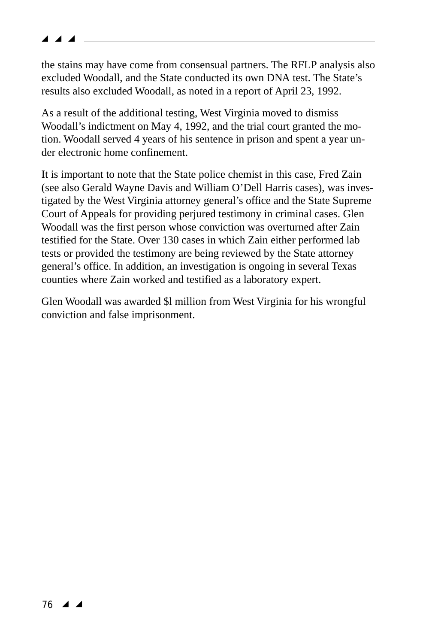the stains may have come from consensual partners. The RFLP analysis also excluded Woodall, and the State conducted its own DNA test. The State's results also excluded Woodall, as noted in a report of April 23, 1992.

As a result of the additional testing, West Virginia moved to dismiss Woodall's indictment on May 4, 1992, and the trial court granted the motion. Woodall served 4 years of his sentence in prison and spent a year under electronic home confinement.

It is important to note that the State police chemist in this case, Fred Zain (see also Gerald Wayne Davis and William O'Dell Harris cases), was investigated by the West Virginia attorney general's office and the State Supreme Court of Appeals for providing perjured testimony in criminal cases. Glen Woodall was the first person whose conviction was overturned after Zain testified for the State. Over 130 cases in which Zain either performed lab tests or provided the testimony are being reviewed by the State attorney general's office. In addition, an investigation is ongoing in several Texas counties where Zain worked and testified as a laboratory expert.

Glen Woodall was awarded \$l million from West Virginia for his wrongful conviction and false imprisonment.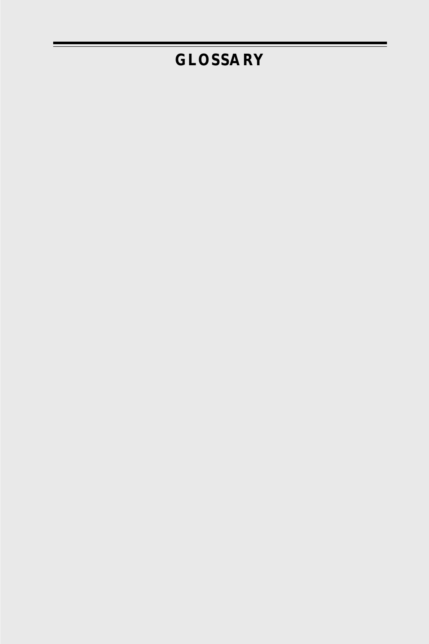# **GLOSSARY**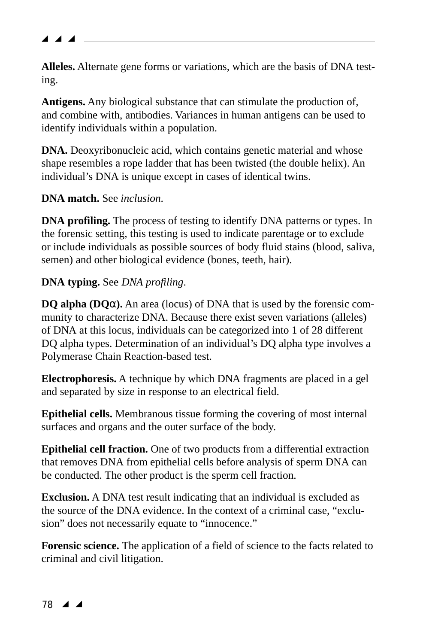**Alleles.** Alternate gene forms or variations, which are the basis of DNA testing.

**Antigens.** Any biological substance that can stimulate the production of, and combine with, antibodies. Variances in human antigens can be used to identify individuals within a population.

**DNA.** Deoxyribonucleic acid, which contains genetic material and whose shape resembles a rope ladder that has been twisted (the double helix). An individual's DNA is unique except in cases of identical twins.

#### **DNA match.** See *inclusion*.

**DNA profiling.** The process of testing to identify DNA patterns or types. In the forensic setting, this testing is used to indicate parentage or to exclude or include individuals as possible sources of body fluid stains (blood, saliva, semen) and other biological evidence (bones, teeth, hair).

#### **DNA typing.** See *DNA profiling*.

**DQ alpha (DQ**α**).** An area (locus) of DNA that is used by the forensic community to characterize DNA. Because there exist seven variations (alleles) of DNA at this locus, individuals can be categorized into 1 of 28 different DQ alpha types. Determination of an individual's DQ alpha type involves a Polymerase Chain Reaction-based test.

**Electrophoresis.** A technique by which DNA fragments are placed in a gel and separated by size in response to an electrical field.

**Epithelial cells.** Membranous tissue forming the covering of most internal surfaces and organs and the outer surface of the body.

**Epithelial cell fraction.** One of two products from a differential extraction that removes DNA from epithelial cells before analysis of sperm DNA can be conducted. The other product is the sperm cell fraction.

**Exclusion.** A DNA test result indicating that an individual is excluded as the source of the DNA evidence. In the context of a criminal case, "exclusion" does not necessarily equate to "innocence."

**Forensic science.** The application of a field of science to the facts related to criminal and civil litigation.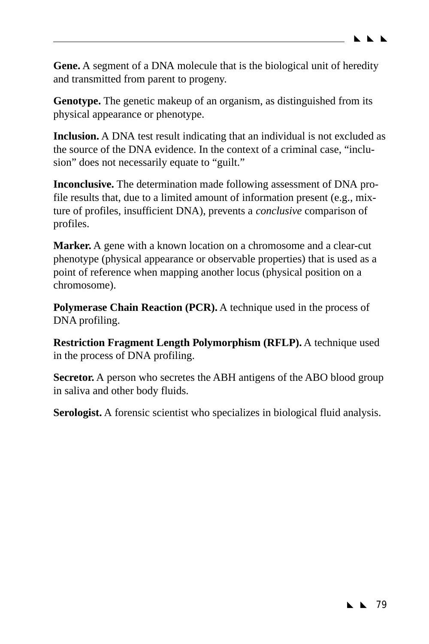**Gene.** A segment of a DNA molecule that is the biological unit of heredity and transmitted from parent to progeny.

**Genotype.** The genetic makeup of an organism, as distinguished from its physical appearance or phenotype.

**Inclusion.** A DNA test result indicating that an individual is not excluded as the source of the DNA evidence. In the context of a criminal case, "inclusion" does not necessarily equate to "guilt."

**Inconclusive.** The determination made following assessment of DNA profile results that, due to a limited amount of information present (e.g., mixture of profiles, insufficient DNA), prevents a *conclusive* comparison of profiles.

**Marker.** A gene with a known location on a chromosome and a clear-cut phenotype (physical appearance or observable properties) that is used as a point of reference when mapping another locus (physical position on a chromosome).

**Polymerase Chain Reaction (PCR).** A technique used in the process of DNA profiling.

**Restriction Fragment Length Polymorphism (RFLP).** A technique used in the process of DNA profiling.

**Secretor.** A person who secretes the ABH antigens of the ABO blood group in saliva and other body fluids.

**Serologist.** A forensic scientist who specializes in biological fluid analysis.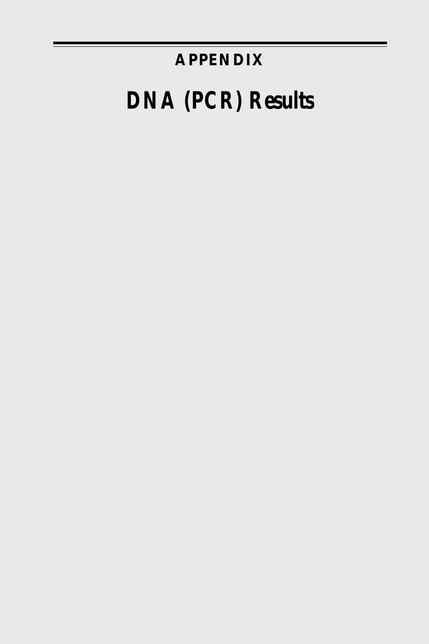# **APPENDIX DNA (PCR) Results**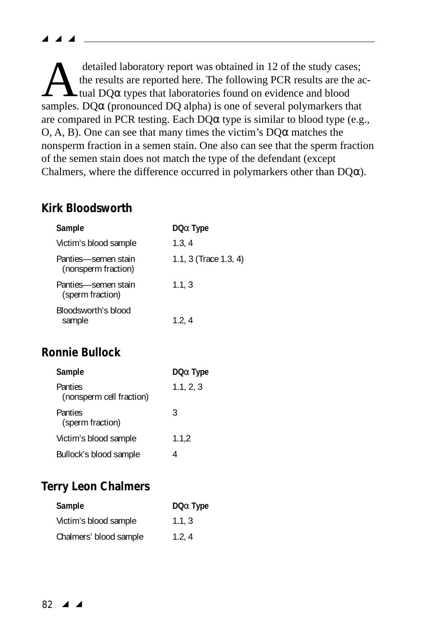detailed laboratory report was obtained in 12 of the study cases;<br>the results are reported here. The following PCR results are the a<br>tual  $DQ\alpha$  types that laboratories found on evidence and blood<br>samples  $DQ\alpha$  (propounc the results are reported here. The following PCR results are the ac- $\text{\textsterling}$  tual DQα types that laboratories found on evidence and blood samples. DQα (pronounced DQ alpha) is one of several polymarkers that are compared in PCR testing. Each  $DQ\alpha$  type is similar to blood type (e.g., O, A, B). One can see that many times the victim's  $DQ\alpha$  matches the nonsperm fraction in a semen stain. One also can see that the sperm fraction of the semen stain does not match the type of the defendant (except Chalmers, where the difference occurred in polymarkers other than  $DQ\alpha$ ).

#### **Kirk Bloodsworth**

| Sample                                     | $DQ\alpha$ Type       |
|--------------------------------------------|-----------------------|
| Victim's blood sample                      | 1.3.4                 |
| Panties-semen stain<br>(nonsperm fraction) | 1.1, 3 (Trace 1.3, 4) |
| Panties-semen stain<br>(sperm fraction)    | 1.1, 3                |
| Bloodsworth's blood<br>sample              | 1.2, 4                |
|                                            |                       |

#### **Ronnie Bullock**

| Sample                              | $DQ\alpha$ Type |
|-------------------------------------|-----------------|
| Panties<br>(nonsperm cell fraction) | 1.1, 2, 3       |
| Panties<br>(sperm fraction)         | 3               |
| Victim's blood sample               | 1.1,2           |
| Bullock's blood sample              | 4               |
|                                     |                 |

#### **Terry Leon Chalmers**

| Sample                 | $DQ\alpha$ Type |
|------------------------|-----------------|
| Victim's blood sample  | 1.1.3           |
| Chalmers' blood sample | 1.2.4           |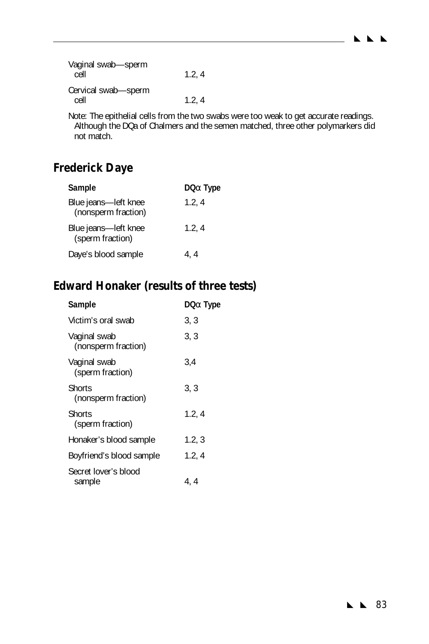| Vaginal swab-sperm<br>cell  | 1.2.4 |
|-----------------------------|-------|
| Cervical swab-sperm<br>cell | 1.2.4 |

Note: The epithelial cells from the two swabs were too weak to get accurate readings. Although the DQa of Chalmers and the semen matched, three other polymarkers did not match.

#### **Frederick Daye**

| Sample                                      | $DQ\alpha$ Type |
|---------------------------------------------|-----------------|
| Blue jeans-left knee<br>(nonsperm fraction) | 1.2.4           |
| Blue jeans-left knee<br>(sperm fraction)    | 1.2.4           |
| Daye's blood sample                         | 4.4             |

#### **Edward Honaker (results of three tests)**

| Sample                              | $DQ\alpha$ Type |
|-------------------------------------|-----------------|
| Victim's oral swab                  | 3, 3            |
| Vaginal swab<br>(nonsperm fraction) | 3, 3            |
| Vaginal swab<br>(sperm fraction)    | 3,4             |
| Shorts<br>(nonsperm fraction)       | 3, 3            |
| <b>Shorts</b><br>(sperm fraction)   | 1.2, 4          |
| Honaker's blood sample              | 1.2, 3          |
| Boyfriend's blood sample            | 1.2, 4          |
| Secret lover's blood<br>sample      | 4.4             |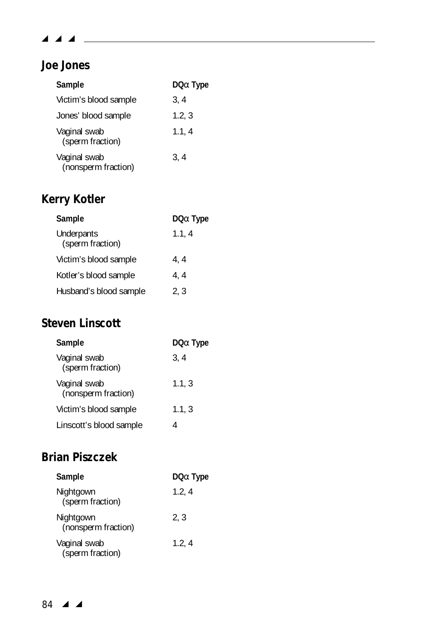# 

#### **Joe Jones**

| Sample                              | $DQ\alpha$ Type |
|-------------------------------------|-----------------|
| Victim's blood sample               | 3.4             |
| Jones' blood sample                 | 1.2, 3          |
| Vaginal swab<br>(sperm fraction)    | 1.1.4           |
| Vaginal swab<br>(nonsperm fraction) | 3.4             |

## **Kerry Kotler**

| Sample                         | $DQ\alpha$ Type |
|--------------------------------|-----------------|
| Underpants<br>(sperm fraction) | 1.1.4           |
| Victim's blood sample          | 4.4             |
| Kotler's blood sample          | 4.4             |
| Husband's blood sample         | 2, 3            |

#### **Steven Linscott**

| Sample                              | $DQ\alpha$ Type |
|-------------------------------------|-----------------|
| Vaginal swab<br>(sperm fraction)    | 3.4             |
| Vaginal swab<br>(nonsperm fraction) | 1.1, 3          |
| Victim's blood sample               | 1.1, 3          |
| Linscott's blood sample             | 4               |
|                                     |                 |

#### **Brian Piszczek**

| Sample                           | $DQ\alpha$ Type |
|----------------------------------|-----------------|
| Nightgown<br>(sperm fraction)    | 1.2.4           |
| Nightgown<br>(nonsperm fraction) | 2, 3            |
| Vaginal swab<br>(sperm fraction) | 1.2.4           |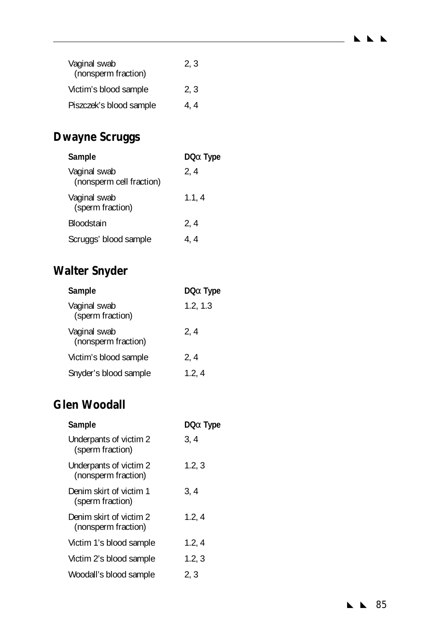| Vaginal swab<br>(nonsperm fraction) | 2.3  |
|-------------------------------------|------|
| Victim's blood sample               | 2, 3 |
| Piszczek's blood sample             | 4, 4 |

# **Dwayne Scruggs**

| $DQ\alpha$ Type |
|-----------------|
| 2.4             |
| 1.1, 4          |
| 2.4             |
| 4.4             |
|                 |

# **Walter Snyder**

| Sample                              | $DQ\alpha$ Type |
|-------------------------------------|-----------------|
| Vaginal swab<br>(sperm fraction)    | 1.2, 1.3        |
| Vaginal swab<br>(nonsperm fraction) | 2.4             |
| Victim's blood sample               | 2.4             |
| Snyder's blood sample               | 1.2, 4          |

### **Glen Woodall**

| Sample                                         | $DQ\alpha$ Type |
|------------------------------------------------|-----------------|
| Underpants of victim 2<br>(sperm fraction)     | 3, 4            |
| Underpants of victim 2<br>(nonsperm fraction)  | 1.2, 3          |
| Denim skirt of victim 1<br>(sperm fraction)    | 3, 4            |
| Denim skirt of victim 2<br>(nonsperm fraction) | 1.2.4           |
| Victim 1's blood sample                        | 1.2, 4          |
| Victim 2's blood sample                        | 1.2, 3          |
| Woodall's blood sample                         | 2.3             |
|                                                |                 |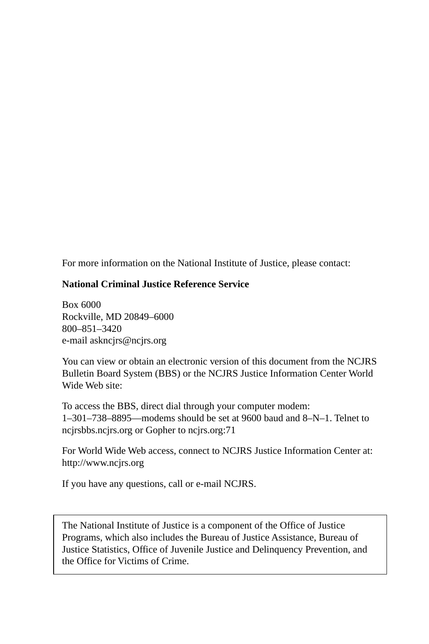For more information on the National Institute of Justice, please contact:

#### **National Criminal Justice Reference Service**

Box 6000 Rockville, MD 20849–6000 800–851–3420 e-mail askncjrs@ncjrs.org

You can view or obtain an electronic version of this document from the NCJRS Bulletin Board System (BBS) or the NCJRS Justice Information Center World Wide Web site:

To access the BBS, direct dial through your computer modem: 1–301–738–8895—modems should be set at 9600 baud and 8–N–1. Telnet to ncjrsbbs.ncjrs.org or Gopher to ncjrs.org:71

For World Wide Web access, connect to NCJRS Justice Information Center at: http://www.ncjrs.org

If you have any questions, call or e-mail NCJRS.

The National Institute of Justice is a component of the Office of Justice Programs, which also includes the Bureau of Justice Assistance, Bureau of Justice Statistics, Office of Juvenile Justice and Delinquency Prevention, and the Office for Victims of Crime.